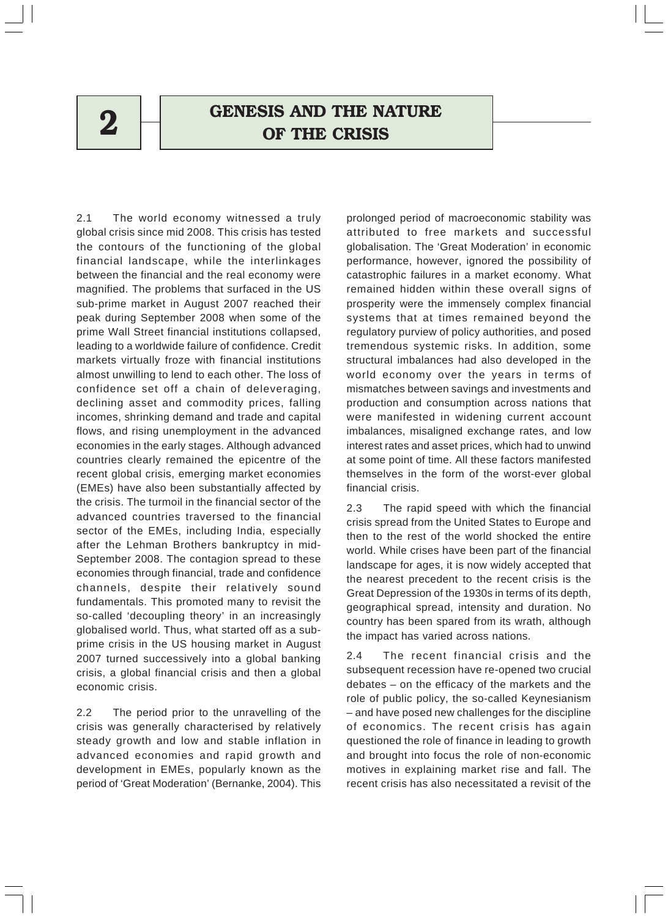# $2$   $\Box$  GENESIS AND THE NATURE OF THE CRISIS

2.1 The world economy witnessed a truly global crisis since mid 2008. This crisis has tested the contours of the functioning of the global financial landscape, while the interlinkages between the financial and the real economy were magnified. The problems that surfaced in the US sub-prime market in August 2007 reached their peak during September 2008 when some of the prime Wall Street financial institutions collapsed, leading to a worldwide failure of confidence. Credit markets virtually froze with financial institutions almost unwilling to lend to each other. The loss of confidence set off a chain of deleveraging, declining asset and commodity prices, falling incomes, shrinking demand and trade and capital flows, and rising unemployment in the advanced economies in the early stages. Although advanced countries clearly remained the epicentre of the recent global crisis, emerging market economies (EMEs) have also been substantially affected by the crisis. The turmoil in the financial sector of the advanced countries traversed to the financial sector of the EMEs, including India, especially after the Lehman Brothers bankruptcy in mid-September 2008. The contagion spread to these economies through financial, trade and confidence channels, despite their relatively sound fundamentals. This promoted many to revisit the so-called 'decoupling theory' in an increasingly globalised world. Thus, what started off as a subprime crisis in the US housing market in August 2007 turned successively into a global banking crisis, a global financial crisis and then a global economic crisis.

2.2 The period prior to the unravelling of the crisis was generally characterised by relatively steady growth and low and stable inflation in advanced economies and rapid growth and development in EMEs, popularly known as the period of 'Great Moderation' (Bernanke, 2004). This

prolonged period of macroeconomic stability was attributed to free markets and successful globalisation. The 'Great Moderation' in economic performance, however, ignored the possibility of catastrophic failures in a market economy. What remained hidden within these overall signs of prosperity were the immensely complex financial systems that at times remained beyond the regulatory purview of policy authorities, and posed tremendous systemic risks. In addition, some structural imbalances had also developed in the world economy over the years in terms of mismatches between savings and investments and production and consumption across nations that were manifested in widening current account imbalances, misaligned exchange rates, and low interest rates and asset prices, which had to unwind at some point of time. All these factors manifested themselves in the form of the worst-ever global financial crisis.

2.3 The rapid speed with which the financial crisis spread from the United States to Europe and then to the rest of the world shocked the entire world. While crises have been part of the financial landscape for ages, it is now widely accepted that the nearest precedent to the recent crisis is the Great Depression of the 1930s in terms of its depth, geographical spread, intensity and duration. No country has been spared from its wrath, although the impact has varied across nations.

2.4 The recent financial crisis and the subsequent recession have re-opened two crucial debates – on the efficacy of the markets and the role of public policy, the so-called Keynesianism – and have posed new challenges for the discipline of economics. The recent crisis has again questioned the role of finance in leading to growth and brought into focus the role of non-economic motives in explaining market rise and fall. The recent crisis has also necessitated a revisit of the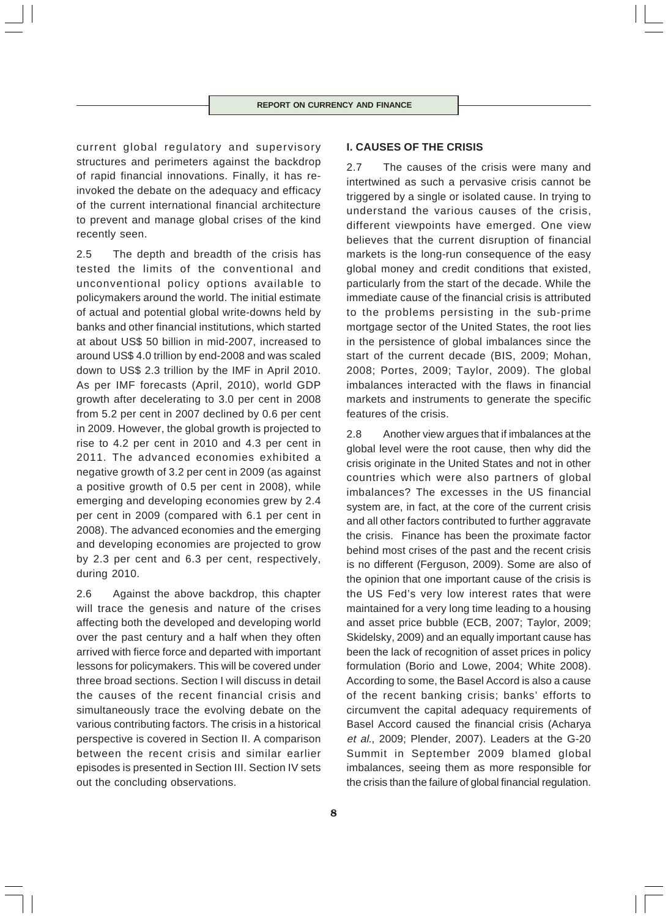current global regulatory and supervisory structures and perimeters against the backdrop of rapid financial innovations. Finally, it has reinvoked the debate on the adequacy and efficacy of the current international financial architecture to prevent and manage global crises of the kind recently seen.

2.5 The depth and breadth of the crisis has tested the limits of the conventional and unconventional policy options available to policymakers around the world. The initial estimate of actual and potential global write-downs held by banks and other financial institutions, which started at about US\$ 50 billion in mid-2007, increased to around US\$ 4.0 trillion by end-2008 and was scaled down to US\$ 2.3 trillion by the IMF in April 2010. As per IMF forecasts (April, 2010), world GDP growth after decelerating to 3.0 per cent in 2008 from 5.2 per cent in 2007 declined by 0.6 per cent in 2009. However, the global growth is projected to rise to 4.2 per cent in 2010 and 4.3 per cent in 2011. The advanced economies exhibited a negative growth of 3.2 per cent in 2009 (as against a positive growth of 0.5 per cent in 2008), while emerging and developing economies grew by 2.4 per cent in 2009 (compared with 6.1 per cent in 2008). The advanced economies and the emerging and developing economies are projected to grow by 2.3 per cent and 6.3 per cent, respectively, during 2010.

2.6 Against the above backdrop, this chapter will trace the genesis and nature of the crises affecting both the developed and developing world over the past century and a half when they often arrived with fierce force and departed with important lessons for policymakers. This will be covered under three broad sections. Section I will discuss in detail the causes of the recent financial crisis and simultaneously trace the evolving debate on the various contributing factors. The crisis in a historical perspective is covered in Section II. A comparison between the recent crisis and similar earlier episodes is presented in Section III. Section IV sets out the concluding observations.

# **I. CAUSES OF THE CRISIS**

2.7 The causes of the crisis were many and intertwined as such a pervasive crisis cannot be triggered by a single or isolated cause. In trying to understand the various causes of the crisis, different viewpoints have emerged. One view believes that the current disruption of financial markets is the long-run consequence of the easy global money and credit conditions that existed, particularly from the start of the decade. While the immediate cause of the financial crisis is attributed to the problems persisting in the sub-prime mortgage sector of the United States, the root lies in the persistence of global imbalances since the start of the current decade (BIS, 2009; Mohan, 2008; Portes, 2009; Taylor, 2009). The global imbalances interacted with the flaws in financial markets and instruments to generate the specific features of the crisis.

2.8 Another view argues that if imbalances at the global level were the root cause, then why did the crisis originate in the United States and not in other countries which were also partners of global imbalances? The excesses in the US financial system are, in fact, at the core of the current crisis and all other factors contributed to further aggravate the crisis. Finance has been the proximate factor behind most crises of the past and the recent crisis is no different (Ferguson, 2009). Some are also of the opinion that one important cause of the crisis is the US Fed's very low interest rates that were maintained for a very long time leading to a housing and asset price bubble (ECB, 2007; Taylor, 2009; Skidelsky, 2009) and an equally important cause has been the lack of recognition of asset prices in policy formulation (Borio and Lowe, 2004; White 2008). According to some, the Basel Accord is also a cause of the recent banking crisis; banks' efforts to circumvent the capital adequacy requirements of Basel Accord caused the financial crisis (Acharya et al., 2009; Plender, 2007). Leaders at the G-20 Summit in September 2009 blamed global imbalances, seeing them as more responsible for the crisis than the failure of global financial regulation.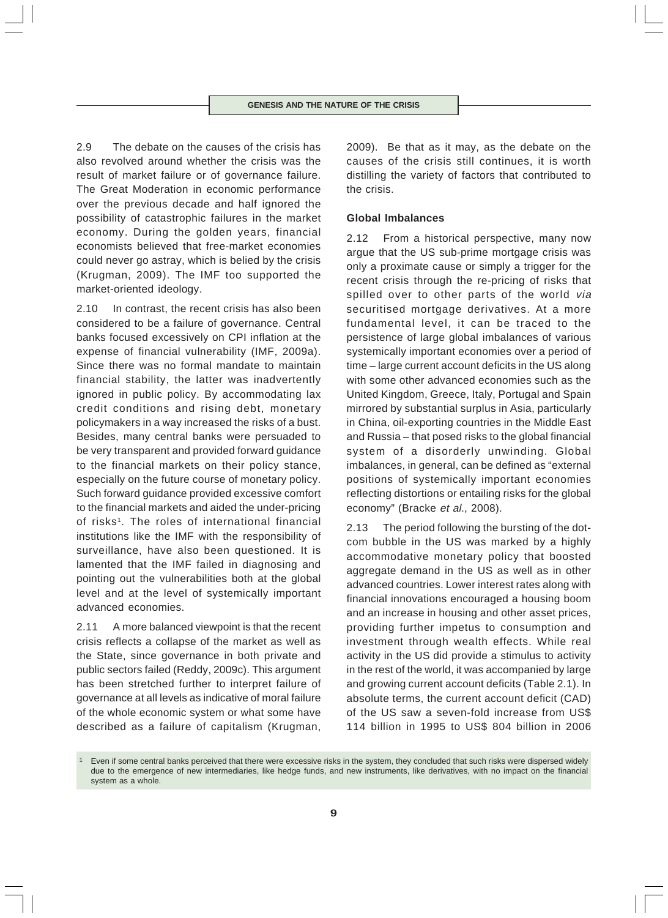2.9 The debate on the causes of the crisis has also revolved around whether the crisis was the result of market failure or of governance failure. The Great Moderation in economic performance over the previous decade and half ignored the possibility of catastrophic failures in the market economy. During the golden years, financial economists believed that free-market economies could never go astray, which is belied by the crisis (Krugman, 2009). The IMF too supported the market-oriented ideology.

2.10 In contrast, the recent crisis has also been considered to be a failure of governance. Central banks focused excessively on CPI inflation at the expense of financial vulnerability (IMF, 2009a). Since there was no formal mandate to maintain financial stability, the latter was inadvertently ignored in public policy. By accommodating lax credit conditions and rising debt, monetary policymakers in a way increased the risks of a bust. Besides, many central banks were persuaded to be very transparent and provided forward guidance to the financial markets on their policy stance, especially on the future course of monetary policy. Such forward guidance provided excessive comfort to the financial markets and aided the under-pricing of risks<sup>1</sup>. The roles of international financial institutions like the IMF with the responsibility of surveillance, have also been questioned. It is lamented that the IMF failed in diagnosing and pointing out the vulnerabilities both at the global level and at the level of systemically important advanced economies.

2.11 A more balanced viewpoint is that the recent crisis reflects a collapse of the market as well as the State, since governance in both private and public sectors failed (Reddy, 2009c). This argument has been stretched further to interpret failure of governance at all levels as indicative of moral failure of the whole economic system or what some have described as a failure of capitalism (Krugman,

2009). Be that as it may, as the debate on the causes of the crisis still continues, it is worth distilling the variety of factors that contributed to the crisis.

# **Global Imbalances**

2.12 From a historical perspective, many now argue that the US sub-prime mortgage crisis was only a proximate cause or simply a trigger for the recent crisis through the re-pricing of risks that spilled over to other parts of the world via securitised mortgage derivatives. At a more fundamental level, it can be traced to the persistence of large global imbalances of various systemically important economies over a period of time – large current account deficits in the US along with some other advanced economies such as the United Kingdom, Greece, Italy, Portugal and Spain mirrored by substantial surplus in Asia, particularly in China, oil-exporting countries in the Middle East and Russia – that posed risks to the global financial system of a disorderly unwinding. Global imbalances, in general, can be defined as "external positions of systemically important economies reflecting distortions or entailing risks for the global economy" (Bracke et al., 2008).

2.13 The period following the bursting of the dotcom bubble in the US was marked by a highly accommodative monetary policy that boosted aggregate demand in the US as well as in other advanced countries. Lower interest rates along with financial innovations encouraged a housing boom and an increase in housing and other asset prices, providing further impetus to consumption and investment through wealth effects. While real activity in the US did provide a stimulus to activity in the rest of the world, it was accompanied by large and growing current account deficits (Table 2.1). In absolute terms, the current account deficit (CAD) of the US saw a seven-fold increase from US\$ 114 billion in 1995 to US\$ 804 billion in 2006

Even if some central banks perceived that there were excessive risks in the system, they concluded that such risks were dispersed widely due to the emergence of new intermediaries, like hedge funds, and new instruments, like derivatives, with no impact on the financial system as a whole.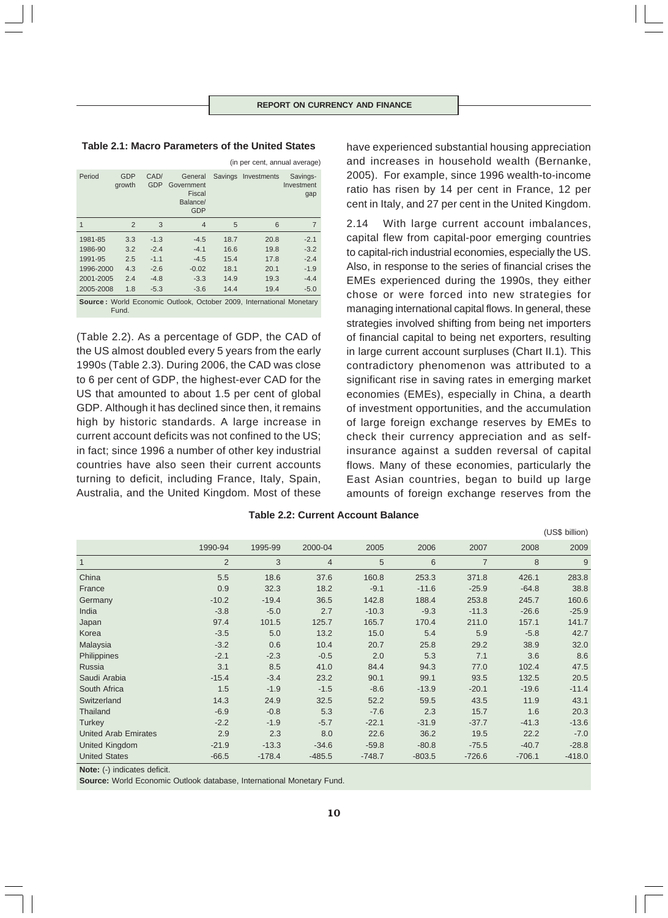(in per cent, annual average)

### **Table 2.1: Macro Parameters of the United States**

| Period                                                                               | <b>GDP</b><br>growth | CAD/<br><b>GDP</b> | General<br>Government<br>Fiscal<br>Balance/<br><b>GDP</b> |      | Savings Investments | Savings-<br>Investment<br>gap |  |  |
|--------------------------------------------------------------------------------------|----------------------|--------------------|-----------------------------------------------------------|------|---------------------|-------------------------------|--|--|
| 1                                                                                    | $\overline{2}$       | 3                  | $\overline{4}$                                            | 5    | 6                   | 7                             |  |  |
| 1981-85                                                                              | 3.3                  | $-1.3$             | $-4.5$                                                    | 18.7 | 20.8                | $-2.1$                        |  |  |
| 1986-90                                                                              | 3.2                  | $-2.4$             | $-4.1$                                                    | 16.6 | 19.8                | $-3.2$                        |  |  |
| 1991-95                                                                              | 2.5                  | $-1.1$             | $-4.5$                                                    | 15.4 | 17.8                | $-2.4$                        |  |  |
| 1996-2000                                                                            | 4.3                  | $-2.6$             | $-0.02$                                                   | 18.1 | 20.1                | $-1.9$                        |  |  |
| 2001-2005                                                                            | 2.4                  | $-4.8$             | $-3.3$                                                    | 14.9 | 19.3                | $-4.4$                        |  |  |
| 2005-2008                                                                            | 1.8                  | $-5.3$             | $-3.6$                                                    | 14.4 | 19.4                | $-5.0$                        |  |  |
| <b>Source:</b> World Economic Outlook, October 2009, International Monetary<br>Fund. |                      |                    |                                                           |      |                     |                               |  |  |

(Table 2.2). As a percentage of GDP, the CAD of the US almost doubled every 5 years from the early 1990s (Table 2.3). During 2006, the CAD was close to 6 per cent of GDP, the highest-ever CAD for the US that amounted to about 1.5 per cent of global GDP. Although it has declined since then, it remains high by historic standards. A large increase in current account deficits was not confined to the US; in fact; since 1996 a number of other key industrial countries have also seen their current accounts turning to deficit, including France, Italy, Spain, Australia, and the United Kingdom. Most of these

have experienced substantial housing appreciation and increases in household wealth (Bernanke, 2005). For example, since 1996 wealth-to-income ratio has risen by 14 per cent in France, 12 per cent in Italy, and 27 per cent in the United Kingdom.

2.14 With large current account imbalances, capital flew from capital-poor emerging countries to capital-rich industrial economies, especially the US. Also, in response to the series of financial crises the EMEs experienced during the 1990s, they either chose or were forced into new strategies for managing international capital flows. In general, these strategies involved shifting from being net importers of financial capital to being net exporters, resulting in large current account surpluses (Chart II.1). This contradictory phenomenon was attributed to a significant rise in saving rates in emerging market economies (EMEs), especially in China, a dearth of investment opportunities, and the accumulation of large foreign exchange reserves by EMEs to check their currency appreciation and as selfinsurance against a sudden reversal of capital flows. Many of these economies, particularly the East Asian countries, began to build up large amounts of foreign exchange reserves from the

| Table 2.2: Current Account Balance |  |
|------------------------------------|--|
|------------------------------------|--|

|                             |         |          |          |          |          |                |          | (US\$ billion) |
|-----------------------------|---------|----------|----------|----------|----------|----------------|----------|----------------|
|                             | 1990-94 | 1995-99  | 2000-04  | 2005     | 2006     | 2007           | 2008     | 2009           |
| $\mathbf{1}$                | 2       | 3        | 4        | 5        | 6        | $\overline{7}$ | 8        | 9              |
| China                       | 5.5     | 18.6     | 37.6     | 160.8    | 253.3    | 371.8          | 426.1    | 283.8          |
| France                      | 0.9     | 32.3     | 18.2     | $-9.1$   | $-11.6$  | $-25.9$        | $-64.8$  | 38.8           |
| Germany                     | $-10.2$ | $-19.4$  | 36.5     | 142.8    | 188.4    | 253.8          | 245.7    | 160.6          |
| India                       | $-3.8$  | $-5.0$   | 2.7      | $-10.3$  | $-9.3$   | $-11.3$        | $-26.6$  | $-25.9$        |
| Japan                       | 97.4    | 101.5    | 125.7    | 165.7    | 170.4    | 211.0          | 157.1    | 141.7          |
| Korea                       | $-3.5$  | 5.0      | 13.2     | 15.0     | 5.4      | 5.9            | $-5.8$   | 42.7           |
| Malaysia                    | $-3.2$  | 0.6      | 10.4     | 20.7     | 25.8     | 29.2           | 38.9     | 32.0           |
| Philippines                 | $-2.1$  | $-2.3$   | $-0.5$   | 2.0      | 5.3      | 7.1            | 3.6      | 8.6            |
| Russia                      | 3.1     | 8.5      | 41.0     | 84.4     | 94.3     | 77.0           | 102.4    | 47.5           |
| Saudi Arabia                | $-15.4$ | $-3.4$   | 23.2     | 90.1     | 99.1     | 93.5           | 132.5    | 20.5           |
| South Africa                | 1.5     | $-1.9$   | $-1.5$   | $-8.6$   | $-13.9$  | $-20.1$        | $-19.6$  | $-11.4$        |
| Switzerland                 | 14.3    | 24.9     | 32.5     | 52.2     | 59.5     | 43.5           | 11.9     | 43.1           |
| Thailand                    | $-6.9$  | $-0.8$   | 5.3      | $-7.6$   | 2.3      | 15.7           | 1.6      | 20.3           |
| <b>Turkey</b>               | $-2.2$  | $-1.9$   | $-5.7$   | $-22.1$  | $-31.9$  | $-37.7$        | $-41.3$  | $-13.6$        |
| <b>United Arab Emirates</b> | 2.9     | 2.3      | 8.0      | 22.6     | 36.2     | 19.5           | 22.2     | $-7.0$         |
| United Kingdom              | $-21.9$ | $-13.3$  | $-34.6$  | $-59.8$  | $-80.8$  | $-75.5$        | $-40.7$  | $-28.8$        |
| <b>United States</b>        | $-66.5$ | $-178.4$ | $-485.5$ | $-748.7$ | $-803.5$ | $-726.6$       | $-706.1$ | $-418.0$       |

**Note:** (-) indicates deficit.

**Source:** World Economic Outlook database, International Monetary Fund.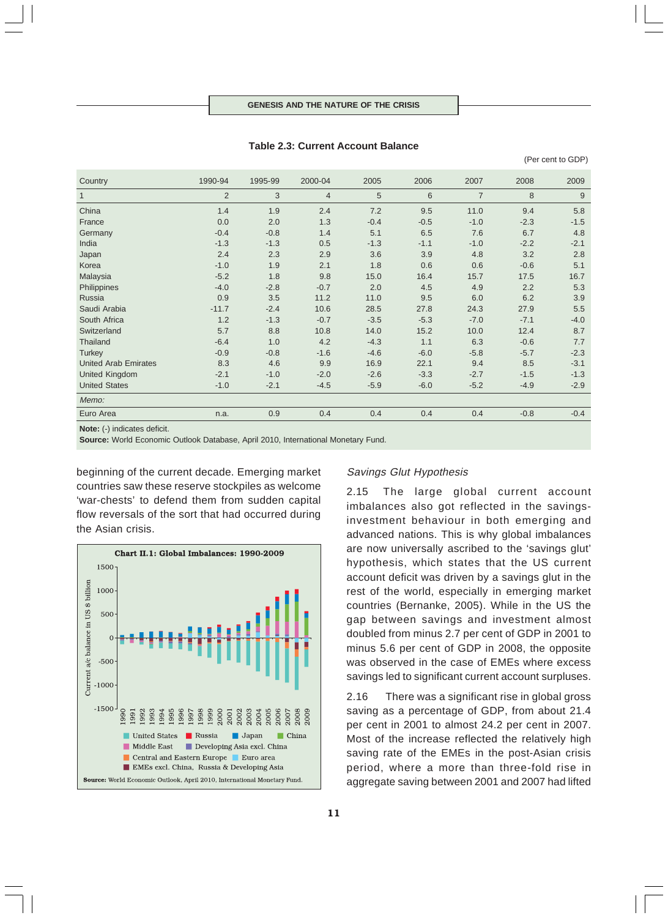**Table 2.3: Current Account Balance**

(Per cent to GDP)

| Country                                                                                                                                                           | 1990-94 | 1995-99 | 2000-04        | 2005   | 2006   | 2007           | 2008   | 2009           |
|-------------------------------------------------------------------------------------------------------------------------------------------------------------------|---------|---------|----------------|--------|--------|----------------|--------|----------------|
| $\mathbf{1}$                                                                                                                                                      | 2       | 3       | $\overline{4}$ | 5      | 6      | $\overline{7}$ | 8      | $\overline{9}$ |
| China                                                                                                                                                             | 1.4     | 1.9     | 2.4            | 7.2    | 9.5    | 11.0           | 9.4    | 5.8            |
| France                                                                                                                                                            | 0.0     | 2.0     | 1.3            | $-0.4$ | $-0.5$ | $-1.0$         | $-2.3$ | $-1.5$         |
| Germany                                                                                                                                                           | $-0.4$  | $-0.8$  | 1.4            | 5.1    | 6.5    | 7.6            | 6.7    | 4.8            |
| India                                                                                                                                                             | $-1.3$  | $-1.3$  | 0.5            | $-1.3$ | $-1.1$ | $-1.0$         | $-2.2$ | $-2.1$         |
| Japan                                                                                                                                                             | 2.4     | 2.3     | 2.9            | 3.6    | 3.9    | 4.8            | 3.2    | 2.8            |
| Korea                                                                                                                                                             | $-1.0$  | 1.9     | 2.1            | 1.8    | 0.6    | 0.6            | $-0.6$ | 5.1            |
| Malaysia                                                                                                                                                          | $-5.2$  | 1.8     | 9.8            | 15.0   | 16.4   | 15.7           | 17.5   | 16.7           |
| Philippines                                                                                                                                                       | $-4.0$  | $-2.8$  | $-0.7$         | 2.0    | 4.5    | 4.9            | 2.2    | 5.3            |
| Russia                                                                                                                                                            | 0.9     | 3.5     | 11.2           | 11.0   | 9.5    | 6.0            | 6.2    | 3.9            |
| Saudi Arabia                                                                                                                                                      | $-11.7$ | $-2.4$  | 10.6           | 28.5   | 27.8   | 24.3           | 27.9   | 5.5            |
| South Africa                                                                                                                                                      | 1.2     | $-1.3$  | $-0.7$         | $-3.5$ | $-5.3$ | $-7.0$         | $-7.1$ | $-4.0$         |
| Switzerland                                                                                                                                                       | 5.7     | 8.8     | 10.8           | 14.0   | 15.2   | 10.0           | 12.4   | 8.7            |
| Thailand                                                                                                                                                          | $-6.4$  | 1.0     | 4.2            | $-4.3$ | 1.1    | 6.3            | $-0.6$ | 7.7            |
| <b>Turkey</b>                                                                                                                                                     | $-0.9$  | $-0.8$  | $-1.6$         | $-4.6$ | $-6.0$ | $-5.8$         | $-5.7$ | $-2.3$         |
| <b>United Arab Emirates</b>                                                                                                                                       | 8.3     | 4.6     | 9.9            | 16.9   | 22.1   | 9.4            | 8.5    | $-3.1$         |
| United Kingdom                                                                                                                                                    | $-2.1$  | $-1.0$  | $-2.0$         | $-2.6$ | $-3.3$ | $-2.7$         | $-1.5$ | $-1.3$         |
| <b>United States</b>                                                                                                                                              | $-1.0$  | $-2.1$  | $-4.5$         | $-5.9$ | $-6.0$ | $-5.2$         | $-4.9$ | $-2.9$         |
| Memo:                                                                                                                                                             |         |         |                |        |        |                |        |                |
| Euro Area                                                                                                                                                         | n.a.    | 0.9     | 0.4            | 0.4    | 0.4    | 0.4            | $-0.8$ | $-0.4$         |
| $M = 1 - \frac{1}{2}$ $\frac{1}{2}$ $\frac{1}{2}$ $\frac{1}{2}$ $\frac{1}{2}$ $\frac{1}{2}$ $\frac{1}{2}$ $\frac{1}{2}$ $\frac{1}{2}$ $\frac{1}{2}$ $\frac{1}{2}$ |         |         |                |        |        |                |        |                |

**Note:** (-) indicates deficit.

**Source:** World Economic Outlook Database, April 2010, International Monetary Fund.

beginning of the current decade. Emerging market countries saw these reserve stockpiles as welcome 'war-chests' to defend them from sudden capital flow reversals of the sort that had occurred during the Asian crisis.



### Savings Glut Hypothesis

2.15 The large global current account imbalances also got reflected in the savingsinvestment behaviour in both emerging and advanced nations. This is why global imbalances are now universally ascribed to the 'savings glut' hypothesis, which states that the US current account deficit was driven by a savings glut in the rest of the world, especially in emerging market countries (Bernanke, 2005). While in the US the gap between savings and investment almost doubled from minus 2.7 per cent of GDP in 2001 to minus 5.6 per cent of GDP in 2008, the opposite was observed in the case of EMEs where excess savings led to significant current account surpluses.

2.16 There was a significant rise in global gross saving as a percentage of GDP, from about 21.4 per cent in 2001 to almost 24.2 per cent in 2007. Most of the increase reflected the relatively high saving rate of the EMEs in the post-Asian crisis period, where a more than three-fold rise in aggregate saving between 2001 and 2007 had lifted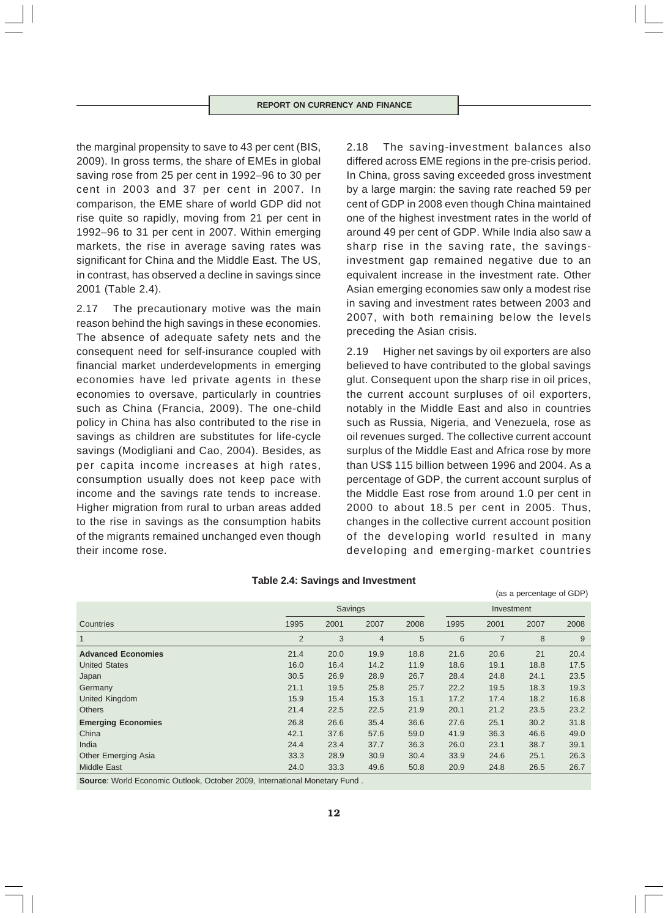the marginal propensity to save to 43 per cent (BIS, 2009). In gross terms, the share of EMEs in global saving rose from 25 per cent in 1992–96 to 30 per cent in 2003 and 37 per cent in 2007. In comparison, the EME share of world GDP did not rise quite so rapidly, moving from 21 per cent in 1992–96 to 31 per cent in 2007. Within emerging markets, the rise in average saving rates was significant for China and the Middle East. The US, in contrast, has observed a decline in savings since 2001 (Table 2.4).

2.17 The precautionary motive was the main reason behind the high savings in these economies. The absence of adequate safety nets and the consequent need for self-insurance coupled with financial market underdevelopments in emerging economies have led private agents in these economies to oversave, particularly in countries such as China (Francia, 2009). The one-child policy in China has also contributed to the rise in savings as children are substitutes for life-cycle savings (Modigliani and Cao, 2004). Besides, as per capita income increases at high rates, consumption usually does not keep pace with income and the savings rate tends to increase. Higher migration from rural to urban areas added to the rise in savings as the consumption habits of the migrants remained unchanged even though their income rose.

2.18 The saving-investment balances also differed across EME regions in the pre-crisis period. In China, gross saving exceeded gross investment by a large margin: the saving rate reached 59 per cent of GDP in 2008 even though China maintained one of the highest investment rates in the world of around 49 per cent of GDP. While India also saw a sharp rise in the saving rate, the savingsinvestment gap remained negative due to an equivalent increase in the investment rate. Other Asian emerging economies saw only a modest rise in saving and investment rates between 2003 and 2007, with both remaining below the levels preceding the Asian crisis.

2.19 Higher net savings by oil exporters are also believed to have contributed to the global savings glut. Consequent upon the sharp rise in oil prices, the current account surpluses of oil exporters, notably in the Middle East and also in countries such as Russia, Nigeria, and Venezuela, rose as oil revenues surged. The collective current account surplus of the Middle East and Africa rose by more than US\$ 115 billion between 1996 and 2004. As a percentage of GDP, the current account surplus of the Middle East rose from around 1.0 per cent in 2000 to about 18.5 per cent in 2005. Thus, changes in the collective current account position of the developing world resulted in many developing and emerging-market countries

(as a percentage of GDP)

|                            |                | Savings |                |      |      | Investment |      |      |
|----------------------------|----------------|---------|----------------|------|------|------------|------|------|
| Countries                  | 1995           | 2001    | 2007           | 2008 | 1995 | 2001       | 2007 | 2008 |
| $\overline{1}$             | $\overline{2}$ | 3       | $\overline{4}$ | 5    | 6    | 7          | 8    | 9    |
| <b>Advanced Economies</b>  | 21.4           | 20.0    | 19.9           | 18.8 | 21.6 | 20.6       | 21   | 20.4 |
| <b>United States</b>       | 16.0           | 16.4    | 14.2           | 11.9 | 18.6 | 19.1       | 18.8 | 17.5 |
| Japan                      | 30.5           | 26.9    | 28.9           | 26.7 | 28.4 | 24.8       | 24.1 | 23.5 |
| Germany                    | 21.1           | 19.5    | 25.8           | 25.7 | 22.2 | 19.5       | 18.3 | 19.3 |
| <b>United Kingdom</b>      | 15.9           | 15.4    | 15.3           | 15.1 | 17.2 | 17.4       | 18.2 | 16.8 |
| <b>Others</b>              | 21.4           | 22.5    | 22.5           | 21.9 | 20.1 | 21.2       | 23.5 | 23.2 |
| <b>Emerging Economies</b>  | 26.8           | 26.6    | 35.4           | 36.6 | 27.6 | 25.1       | 30.2 | 31.8 |
| China                      | 42.1           | 37.6    | 57.6           | 59.0 | 41.9 | 36.3       | 46.6 | 49.0 |
| India                      | 24.4           | 23.4    | 37.7           | 36.3 | 26.0 | 23.1       | 38.7 | 39.1 |
| <b>Other Emerging Asia</b> | 33.3           | 28.9    | 30.9           | 30.4 | 33.9 | 24.6       | 25.1 | 26.3 |
| <b>Middle East</b>         | 24.0           | 33.3    | 49.6           | 50.8 | 20.9 | 24.8       | 26.5 | 26.7 |
|                            |                |         |                |      |      |            |      |      |

### **Table 2.4: Savings and Investment**

**Source**: World Economic Outlook, October 2009, International Monetary Fund .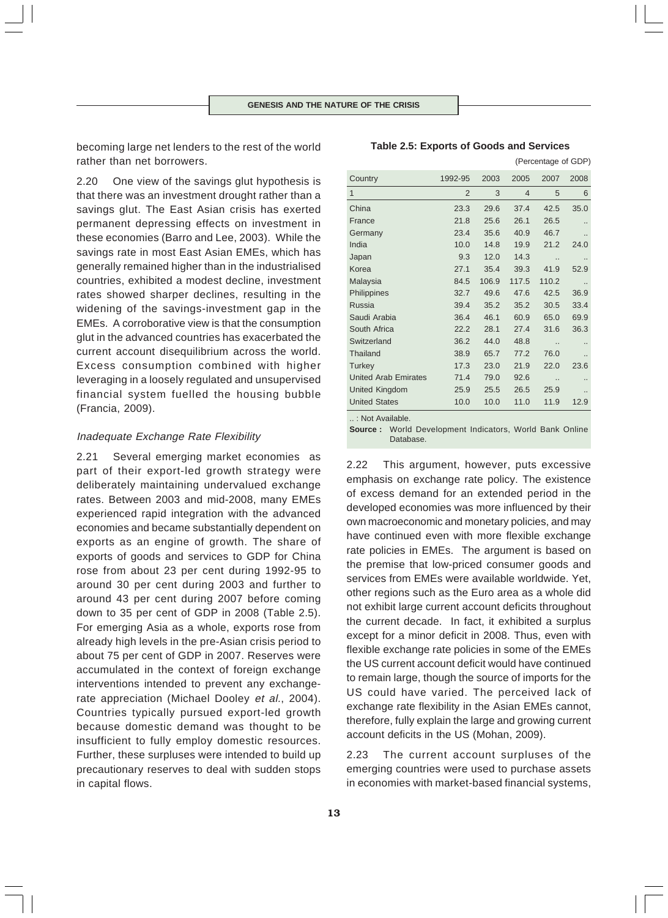becoming large net lenders to the rest of the world rather than net borrowers.

2.20 One view of the savings glut hypothesis is that there was an investment drought rather than a savings glut. The East Asian crisis has exerted permanent depressing effects on investment in these economies (Barro and Lee, 2003). While the savings rate in most East Asian EMEs, which has generally remained higher than in the industrialised countries, exhibited a modest decline, investment rates showed sharper declines, resulting in the widening of the savings-investment gap in the EMEs. A corroborative view is that the consumption glut in the advanced countries has exacerbated the current account disequilibrium across the world. Excess consumption combined with higher leveraging in a loosely regulated and unsupervised financial system fuelled the housing bubble (Francia, 2009).

# Inadequate Exchange Rate Flexibility

2.21 Several emerging market economies as part of their export-led growth strategy were deliberately maintaining undervalued exchange rates. Between 2003 and mid-2008, many EMEs experienced rapid integration with the advanced economies and became substantially dependent on exports as an engine of growth. The share of exports of goods and services to GDP for China rose from about 23 per cent during 1992-95 to around 30 per cent during 2003 and further to around 43 per cent during 2007 before coming down to 35 per cent of GDP in 2008 (Table 2.5). For emerging Asia as a whole, exports rose from already high levels in the pre-Asian crisis period to about 75 per cent of GDP in 2007. Reserves were accumulated in the context of foreign exchange interventions intended to prevent any exchangerate appreciation (Michael Dooley et al., 2004). Countries typically pursued export-led growth because domestic demand was thought to be insufficient to fully employ domestic resources. Further, these surpluses were intended to build up precautionary reserves to deal with sudden stops in capital flows.

| Country                     | 1992-95        | 2003  | 2005           | 2007                 | 2008                 |
|-----------------------------|----------------|-------|----------------|----------------------|----------------------|
| 1                           | $\overline{2}$ | 3     | $\overline{4}$ | 5                    | 6                    |
| China                       | 23.3           | 29.6  | 37.4           | 42.5                 | 35.0                 |
| France                      | 21.8           | 25.6  | 26.1           | 26.5                 |                      |
| Germany                     | 23.4           | 35.6  | 40.9           | 46.7                 |                      |
| India                       | 10.0           | 14.8  | 19.9           | 21.2                 | 24.0                 |
| Japan                       | 9.3            | 12.0  | 14.3           |                      |                      |
| Korea                       | 27.1           | 35.4  | 39.3           | 41.9                 | 52.9                 |
| Malaysia                    | 84.5           | 106.9 | 117.5          | 110.2                |                      |
| Philippines                 | 32.7           | 49.6  | 47.6           | 42.5                 | 36.9                 |
| Russia                      | 39.4           | 35.2  | 35.2           | 30.5                 | 33.4                 |
| Saudi Arabia                | 36.4           | 46.1  | 60.9           | 65.0                 | 69.9                 |
| South Africa                | 22.2           | 28.1  | 27.4           | 31.6                 | 36.3                 |
| Switzerland                 | 36.2           | 44.0  | 48.8           | $\ddot{\phantom{a}}$ |                      |
| Thailand                    | 38.9           | 65.7  | 77.2           | 76.0                 | $\ddot{\phantom{a}}$ |
| <b>Turkey</b>               | 17.3           | 23.0  | 21.9           | 22.0                 | 23.6                 |
| <b>United Arab Emirates</b> | 71.4           | 79.0  | 92.6           |                      |                      |
| <b>United Kingdom</b>       | 25.9           | 25.5  | 26.5           | 25.9                 |                      |
| <b>United States</b>        | 10.0           | 10.0  | 11.0           | 11.9                 | 12.9                 |
|                             |                |       |                |                      |                      |

### **Table 2.5: Exports of Goods and Services**

(Percentage of GDP)

.. : Not Available.

**Source :** World Development Indicators, World Bank Online Database.

2.22 This argument, however, puts excessive emphasis on exchange rate policy. The existence of excess demand for an extended period in the developed economies was more influenced by their own macroeconomic and monetary policies, and may have continued even with more flexible exchange rate policies in EMEs. The argument is based on the premise that low-priced consumer goods and services from EMEs were available worldwide. Yet, other regions such as the Euro area as a whole did not exhibit large current account deficits throughout the current decade. In fact, it exhibited a surplus except for a minor deficit in 2008. Thus, even with flexible exchange rate policies in some of the EMEs the US current account deficit would have continued to remain large, though the source of imports for the US could have varied. The perceived lack of exchange rate flexibility in the Asian EMEs cannot, therefore, fully explain the large and growing current account deficits in the US (Mohan, 2009).

2.23 The current account surpluses of the emerging countries were used to purchase assets in economies with market-based financial systems,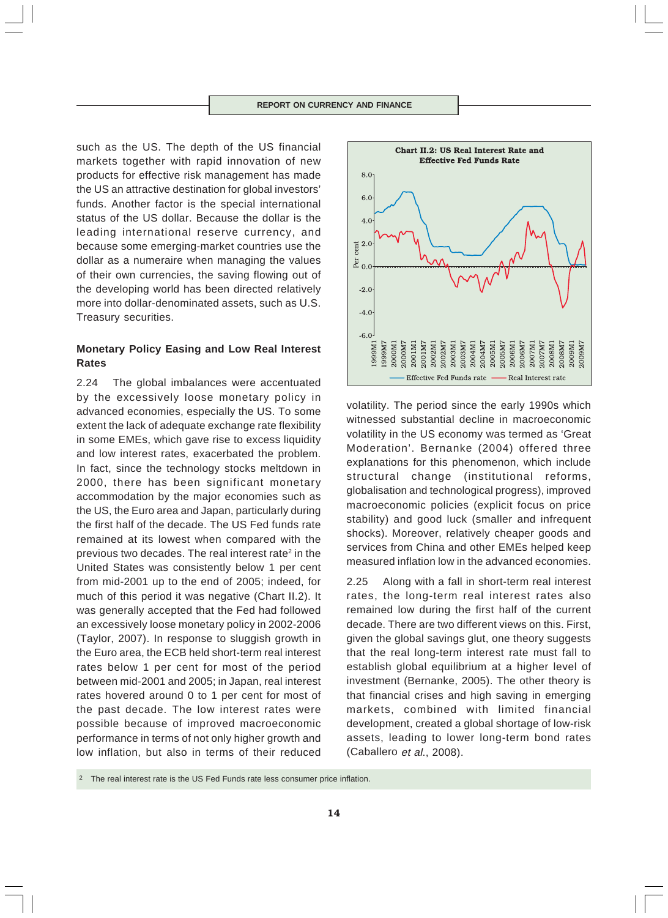such as the US. The depth of the US financial markets together with rapid innovation of new products for effective risk management has made the US an attractive destination for global investors' funds. Another factor is the special international status of the US dollar. Because the dollar is the leading international reserve currency, and because some emerging-market countries use the dollar as a numeraire when managing the values of their own currencies, the saving flowing out of the developing world has been directed relatively more into dollar-denominated assets, such as U.S. Treasury securities.

# **Monetary Policy Easing and Low Real Interest Rates**

2.24 The global imbalances were accentuated by the excessively loose monetary policy in advanced economies, especially the US. To some extent the lack of adequate exchange rate flexibility in some EMEs, which gave rise to excess liquidity and low interest rates, exacerbated the problem. In fact, since the technology stocks meltdown in 2000, there has been significant monetary accommodation by the major economies such as the US, the Euro area and Japan, particularly during the first half of the decade. The US Fed funds rate remained at its lowest when compared with the previous two decades. The real interest rate<sup>2</sup> in the United States was consistently below 1 per cent from mid-2001 up to the end of 2005; indeed, for much of this period it was negative (Chart II.2). It was generally accepted that the Fed had followed an excessively loose monetary policy in 2002-2006 (Taylor, 2007). In response to sluggish growth in the Euro area, the ECB held short-term real interest rates below 1 per cent for most of the period between mid-2001 and 2005; in Japan, real interest rates hovered around 0 to 1 per cent for most of the past decade. The low interest rates were possible because of improved macroeconomic performance in terms of not only higher growth and low inflation, but also in terms of their reduced



volatility. The period since the early 1990s which witnessed substantial decline in macroeconomic volatility in the US economy was termed as 'Great Moderation'. Bernanke (2004) offered three explanations for this phenomenon, which include structural change (institutional reforms, globalisation and technological progress), improved macroeconomic policies (explicit focus on price stability) and good luck (smaller and infrequent shocks). Moreover, relatively cheaper goods and services from China and other EMEs helped keep measured inflation low in the advanced economies.

2.25 Along with a fall in short-term real interest rates, the long-term real interest rates also remained low during the first half of the current decade. There are two different views on this. First, given the global savings glut, one theory suggests that the real long-term interest rate must fall to establish global equilibrium at a higher level of investment (Bernanke, 2005). The other theory is that financial crises and high saving in emerging markets, combined with limited financial development, created a global shortage of low-risk assets, leading to lower long-term bond rates (Caballero et al., 2008).

The real interest rate is the US Fed Funds rate less consumer price inflation.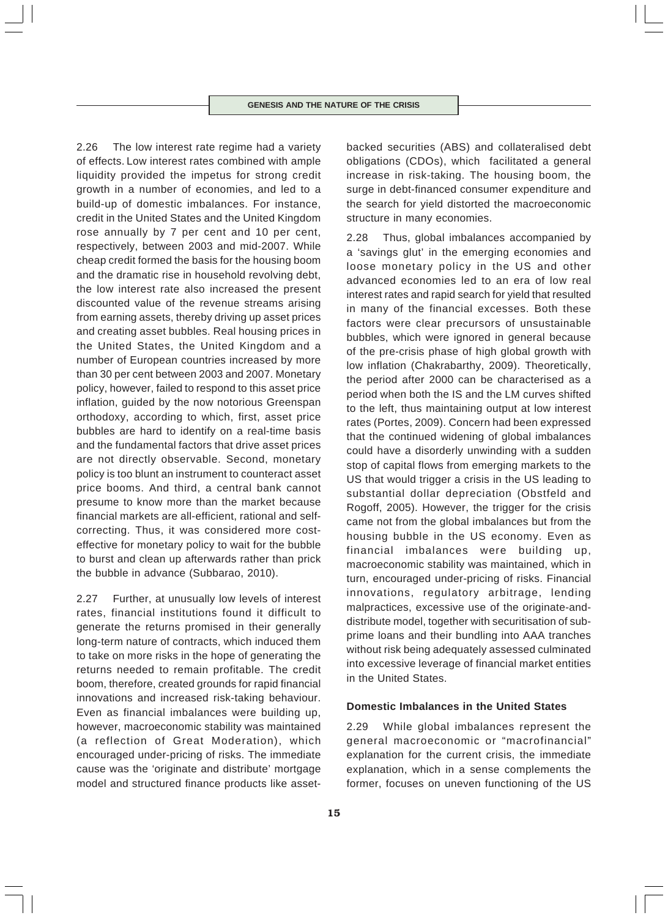2.26 The low interest rate regime had a variety of effects. Low interest rates combined with ample liquidity provided the impetus for strong credit growth in a number of economies, and led to a build-up of domestic imbalances. For instance, credit in the United States and the United Kingdom rose annually by 7 per cent and 10 per cent, respectively, between 2003 and mid-2007. While cheap credit formed the basis for the housing boom and the dramatic rise in household revolving debt, the low interest rate also increased the present discounted value of the revenue streams arising from earning assets, thereby driving up asset prices and creating asset bubbles. Real housing prices in the United States, the United Kingdom and a number of European countries increased by more than 30 per cent between 2003 and 2007. Monetary policy, however, failed to respond to this asset price inflation, guided by the now notorious Greenspan orthodoxy, according to which, first, asset price bubbles are hard to identify on a real-time basis and the fundamental factors that drive asset prices are not directly observable. Second, monetary policy is too blunt an instrument to counteract asset price booms. And third, a central bank cannot presume to know more than the market because financial markets are all-efficient, rational and selfcorrecting. Thus, it was considered more costeffective for monetary policy to wait for the bubble to burst and clean up afterwards rather than prick the bubble in advance (Subbarao, 2010).

2.27 Further, at unusually low levels of interest rates, financial institutions found it difficult to generate the returns promised in their generally long-term nature of contracts, which induced them to take on more risks in the hope of generating the returns needed to remain profitable. The credit boom, therefore, created grounds for rapid financial innovations and increased risk-taking behaviour. Even as financial imbalances were building up, however, macroeconomic stability was maintained (a reflection of Great Moderation), which encouraged under-pricing of risks. The immediate cause was the 'originate and distribute' mortgage model and structured finance products like assetbacked securities (ABS) and collateralised debt obligations (CDOs), which facilitated a general increase in risk-taking. The housing boom, the surge in debt-financed consumer expenditure and the search for yield distorted the macroeconomic structure in many economies.

2.28 Thus, global imbalances accompanied by a 'savings glut' in the emerging economies and loose monetary policy in the US and other advanced economies led to an era of low real interest rates and rapid search for yield that resulted in many of the financial excesses. Both these factors were clear precursors of unsustainable bubbles, which were ignored in general because of the pre-crisis phase of high global growth with low inflation (Chakrabarthy, 2009). Theoretically, the period after 2000 can be characterised as a period when both the IS and the LM curves shifted to the left, thus maintaining output at low interest rates (Portes, 2009). Concern had been expressed that the continued widening of global imbalances could have a disorderly unwinding with a sudden stop of capital flows from emerging markets to the US that would trigger a crisis in the US leading to substantial dollar depreciation (Obstfeld and Rogoff, 2005). However, the trigger for the crisis came not from the global imbalances but from the housing bubble in the US economy. Even as financial imbalances were building up, macroeconomic stability was maintained, which in turn, encouraged under-pricing of risks. Financial innovations, regulatory arbitrage, lending malpractices, excessive use of the originate-anddistribute model, together with securitisation of subprime loans and their bundling into AAA tranches without risk being adequately assessed culminated into excessive leverage of financial market entities in the United States.

## **Domestic Imbalances in the United States**

2.29 While global imbalances represent the general macroeconomic or "macrofinancial" explanation for the current crisis, the immediate explanation, which in a sense complements the former, focuses on uneven functioning of the US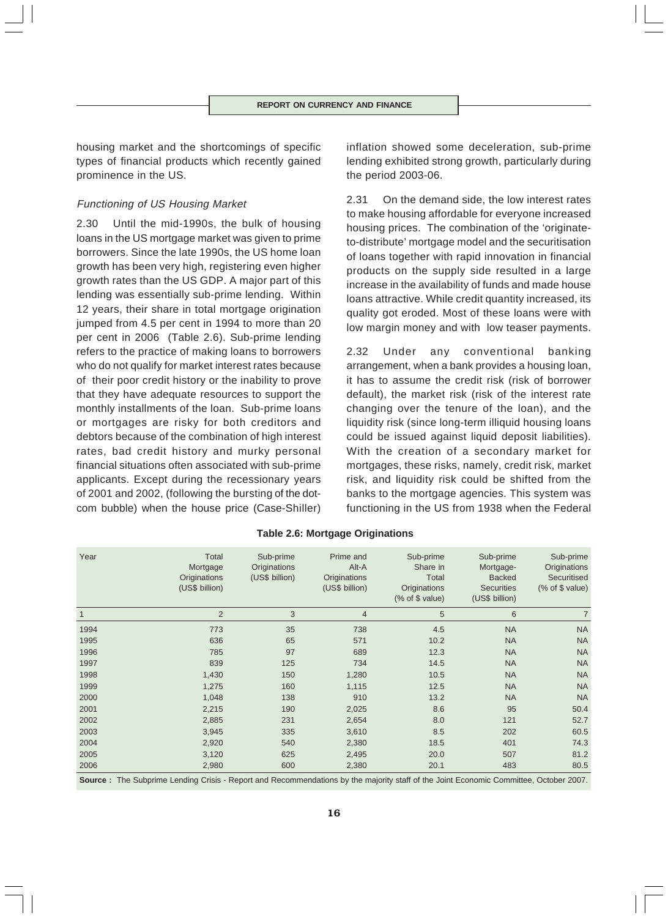housing market and the shortcomings of specific types of financial products which recently gained prominence in the US.

# Functioning of US Housing Market

2.30 Until the mid-1990s, the bulk of housing loans in the US mortgage market was given to prime borrowers. Since the late 1990s, the US home loan growth has been very high, registering even higher growth rates than the US GDP. A major part of this lending was essentially sub-prime lending. Within 12 years, their share in total mortgage origination jumped from 4.5 per cent in 1994 to more than 20 per cent in 2006 (Table 2.6). Sub-prime lending refers to the practice of making loans to borrowers who do not qualify for market interest rates because of their poor credit history or the inability to prove that they have adequate resources to support the monthly installments of the loan. Sub-prime loans or mortgages are risky for both creditors and debtors because of the combination of high interest rates, bad credit history and murky personal financial situations often associated with sub-prime applicants. Except during the recessionary years of 2001 and 2002, (following the bursting of the dotcom bubble) when the house price (Case-Shiller) inflation showed some deceleration, sub-prime lending exhibited strong growth, particularly during the period 2003-06.

2.31 On the demand side, the low interest rates to make housing affordable for everyone increased housing prices. The combination of the 'originateto-distribute' mortgage model and the securitisation of loans together with rapid innovation in financial products on the supply side resulted in a large increase in the availability of funds and made house loans attractive. While credit quantity increased, its quality got eroded. Most of these loans were with low margin money and with low teaser payments.

2.32 Under any conventional banking arrangement, when a bank provides a housing loan, it has to assume the credit risk (risk of borrower default), the market risk (risk of the interest rate changing over the tenure of the loan), and the liquidity risk (since long-term illiquid housing loans could be issued against liquid deposit liabilities). With the creation of a secondary market for mortgages, these risks, namely, credit risk, market risk, and liquidity risk could be shifted from the banks to the mortgage agencies. This system was functioning in the US from 1938 when the Federal

| Year         | Total<br>Mortgage<br>Originations | Sub-prime<br>Originations<br>(US\$ billion) | Prime and<br>Alt-A<br>Originations | Sub-prime<br>Share in<br>Total                        | Sub-prime<br>Mortgage-<br><b>Backed</b> | Sub-prime<br>Originations<br>Securitised |
|--------------|-----------------------------------|---------------------------------------------|------------------------------------|-------------------------------------------------------|-----------------------------------------|------------------------------------------|
|              | (US\$ billion)                    |                                             | (US\$ billion)                     | Originations<br>$(% \mathcal{L}_{0})$ (% of \$ value) | <b>Securities</b><br>(US\$ billion)     | $(% \mathcal{L}_{0})$ (% of \$ value)    |
| $\mathbf{1}$ | $\overline{2}$                    | 3                                           | $\overline{4}$                     | 5                                                     | 6                                       | $\overline{7}$                           |
| 1994         | 773                               | 35                                          | 738                                | 4.5                                                   | <b>NA</b>                               | <b>NA</b>                                |
| 1995         | 636                               | 65                                          | 571                                | 10.2                                                  | <b>NA</b>                               | <b>NA</b>                                |
| 1996         | 785                               | 97                                          | 689                                | 12.3                                                  | <b>NA</b>                               | <b>NA</b>                                |
| 1997         | 839                               | 125                                         | 734                                | 14.5                                                  | <b>NA</b>                               | <b>NA</b>                                |
| 1998         | 1,430                             | 150                                         | 1,280                              | 10.5                                                  | <b>NA</b>                               | <b>NA</b>                                |
| 1999         | 1,275                             | 160                                         | 1,115                              | 12.5                                                  | <b>NA</b>                               | <b>NA</b>                                |
| 2000         | 1,048                             | 138                                         | 910                                | 13.2                                                  | <b>NA</b>                               | <b>NA</b>                                |
| 2001         | 2,215                             | 190                                         | 2,025                              | 8.6                                                   | 95                                      | 50.4                                     |
| 2002         | 2,885                             | 231                                         | 2,654                              | 8.0                                                   | 121                                     | 52.7                                     |
| 2003         | 3,945                             | 335                                         | 3,610                              | 8.5                                                   | 202                                     | 60.5                                     |
| 2004         | 2,920                             | 540                                         | 2,380                              | 18.5                                                  | 401                                     | 74.3                                     |
| 2005         | 3,120                             | 625                                         | 2,495                              | 20.0                                                  | 507                                     | 81.2                                     |
| 2006         | 2,980                             | 600                                         | 2,380                              | 20.1                                                  | 483                                     | 80.5                                     |
|              |                                   |                                             |                                    |                                                       |                                         |                                          |

# **Table 2.6: Mortgage Originations**

**Source :** The Subprime Lending Crisis - Report and Recommendations by the majority staff of the Joint Economic Committee, October 2007.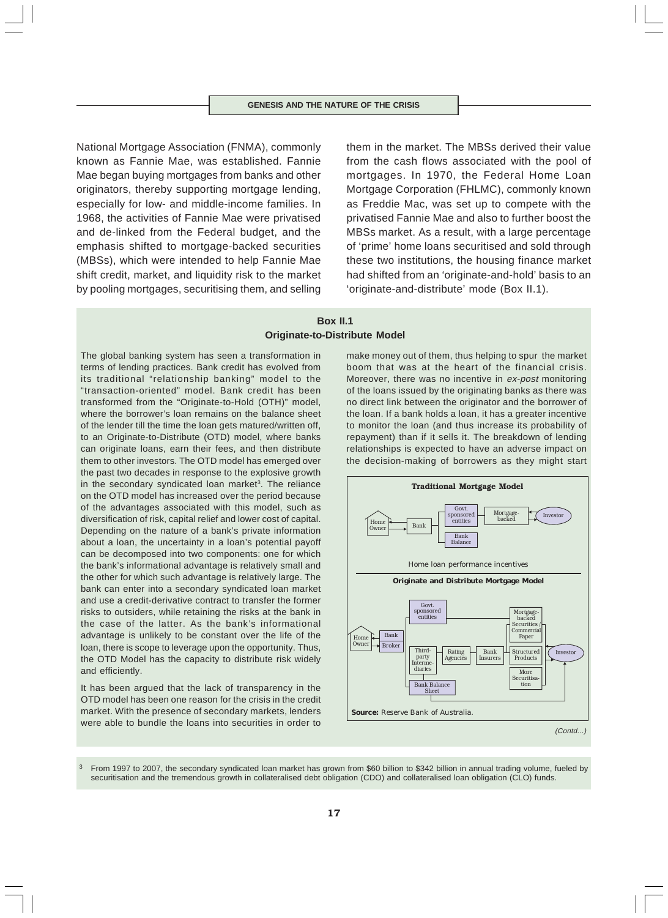National Mortgage Association (FNMA), commonly known as Fannie Mae, was established. Fannie Mae began buying mortgages from banks and other originators, thereby supporting mortgage lending, especially for low- and middle-income families. In 1968, the activities of Fannie Mae were privatised and de-linked from the Federal budget, and the emphasis shifted to mortgage-backed securities (MBSs), which were intended to help Fannie Mae shift credit, market, and liquidity risk to the market by pooling mortgages, securitising them, and selling

them in the market. The MBSs derived their value from the cash flows associated with the pool of mortgages. In 1970, the Federal Home Loan Mortgage Corporation (FHLMC), commonly known as Freddie Mac, was set up to compete with the privatised Fannie Mae and also to further boost the MBSs market. As a result, with a large percentage of 'prime' home loans securitised and sold through these two institutions, the housing finance market had shifted from an 'originate-and-hold' basis to an 'originate-and-distribute' mode (Box II.1).

# **Box II.1 Originate-to-Distribute Model**

The global banking system has seen a transformation in terms of lending practices. Bank credit has evolved from its traditional "relationship banking" model to the "transaction-oriented" model. Bank credit has been transformed from the "Originate-to-Hold (OTH)" model, where the borrower's loan remains on the balance sheet of the lender till the time the loan gets matured/written off, to an Originate-to-Distribute (OTD) model, where banks can originate loans, earn their fees, and then distribute them to other investors. The OTD model has emerged over the past two decades in response to the explosive growth in the secondary syndicated loan market<sup>3</sup>. The reliance on the OTD model has increased over the period because of the advantages associated with this model, such as diversification of risk, capital relief and lower cost of capital. Depending on the nature of a bank's private information about a loan, the uncertainty in a loan's potential payoff can be decomposed into two components: one for which the bank's informational advantage is relatively small and the other for which such advantage is relatively large. The bank can enter into a secondary syndicated loan market and use a credit-derivative contract to transfer the former risks to outsiders, while retaining the risks at the bank in the case of the latter. As the bank's informational advantage is unlikely to be constant over the life of the loan, there is scope to leverage upon the opportunity. Thus, the OTD Model has the capacity to distribute risk widely and efficiently.

It has been argued that the lack of transparency in the OTD model has been one reason for the crisis in the credit market. With the presence of secondary markets, lenders were able to bundle the loans into securities in order to

make money out of them, thus helping to spur the market boom that was at the heart of the financial crisis. Moreover, there was no incentive in ex-post monitoring of the loans issued by the originating banks as there was no direct link between the originator and the borrower of the loan. If a bank holds a loan, it has a greater incentive to monitor the loan (and thus increase its probability of repayment) than if it sells it. The breakdown of lending relationships is expected to have an adverse impact on the decision-making of borrowers as they might start



From 1997 to 2007, the secondary syndicated loan market has grown from \$60 billion to \$342 billion in annual trading volume, fueled by securitisation and the tremendous growth in collateralised debt obligation (CDO) and collateralised loan obligation (CLO) funds.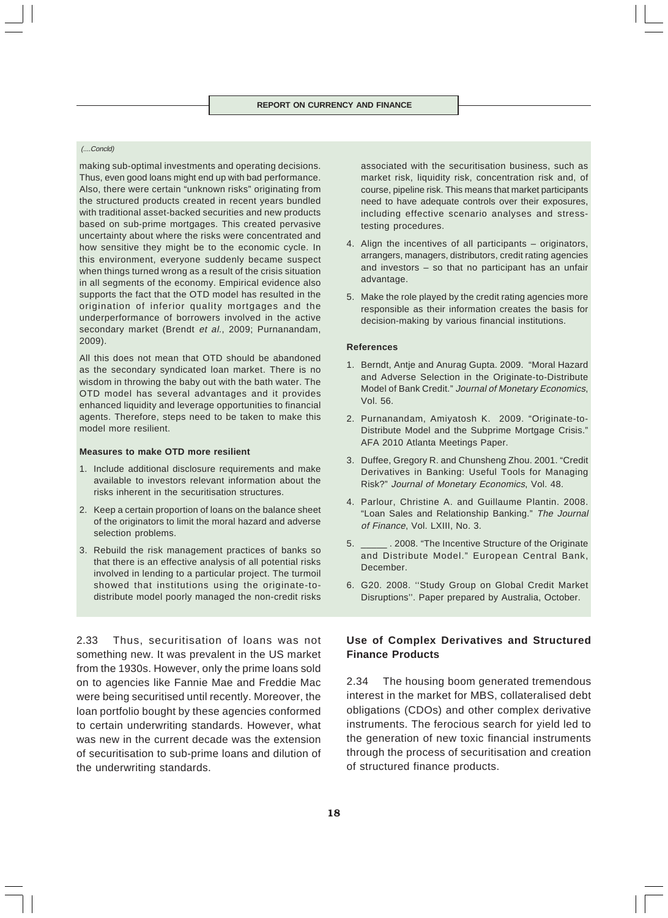# (....Concld)

making sub-optimal investments and operating decisions. Thus, even good loans might end up with bad performance. Also, there were certain "unknown risks" originating from the structured products created in recent years bundled with traditional asset-backed securities and new products based on sub-prime mortgages. This created pervasive uncertainty about where the risks were concentrated and how sensitive they might be to the economic cycle. In this environment, everyone suddenly became suspect when things turned wrong as a result of the crisis situation in all segments of the economy. Empirical evidence also supports the fact that the OTD model has resulted in the origination of inferior quality mortgages and the underperformance of borrowers involved in the active secondary market (Brendt et al., 2009; Purnanandam, 2009).

All this does not mean that OTD should be abandoned as the secondary syndicated loan market. There is no wisdom in throwing the baby out with the bath water. The OTD model has several advantages and it provides enhanced liquidity and leverage opportunities to financial agents. Therefore, steps need to be taken to make this model more resilient.

#### **Measures to make OTD more resilient**

- 1. Include additional disclosure requirements and make available to investors relevant information about the risks inherent in the securitisation structures.
- 2. Keep a certain proportion of loans on the balance sheet of the originators to limit the moral hazard and adverse selection problems.
- 3. Rebuild the risk management practices of banks so that there is an effective analysis of all potential risks involved in lending to a particular project. The turmoil showed that institutions using the originate-todistribute model poorly managed the non-credit risks

2.33 Thus, securitisation of loans was not something new. It was prevalent in the US market from the 1930s. However, only the prime loans sold on to agencies like Fannie Mae and Freddie Mac were being securitised until recently. Moreover, the loan portfolio bought by these agencies conformed to certain underwriting standards. However, what was new in the current decade was the extension of securitisation to sub-prime loans and dilution of the underwriting standards.

associated with the securitisation business, such as market risk, liquidity risk, concentration risk and, of course, pipeline risk. This means that market participants need to have adequate controls over their exposures, including effective scenario analyses and stresstesting procedures.

- 4. Align the incentives of all participants originators, arrangers, managers, distributors, credit rating agencies and investors – so that no participant has an unfair advantage.
- 5. Make the role played by the credit rating agencies more responsible as their information creates the basis for decision-making by various financial institutions.

#### **References**

- 1. Berndt, Antje and Anurag Gupta. 2009. "Moral Hazard and Adverse Selection in the Originate-to-Distribute Model of Bank Credit." Journal of Monetary Economics, Vol. 56.
- 2. Purnanandam, Amiyatosh K. 2009. "Originate-to-Distribute Model and the Subprime Mortgage Crisis." AFA 2010 Atlanta Meetings Paper.
- 3. Duffee, Gregory R. and Chunsheng Zhou. 2001. "Credit Derivatives in Banking: Useful Tools for Managing Risk?" Journal of Monetary Economics, Vol. 48.
- 4. Parlour, Christine A. and Guillaume Plantin. 2008. "Loan Sales and Relationship Banking." The Journal of Finance, Vol. LXIII, No. 3.
- 5. \_\_\_\_\_ . 2008. "The Incentive Structure of the Originate and Distribute Model." European Central Bank, December.
- 6. G20. 2008. ''Study Group on Global Credit Market Disruptions''. Paper prepared by Australia, October.

# **Use of Complex Derivatives and Structured Finance Products**

2.34 The housing boom generated tremendous interest in the market for MBS, collateralised debt obligations (CDOs) and other complex derivative instruments. The ferocious search for yield led to the generation of new toxic financial instruments through the process of securitisation and creation of structured finance products.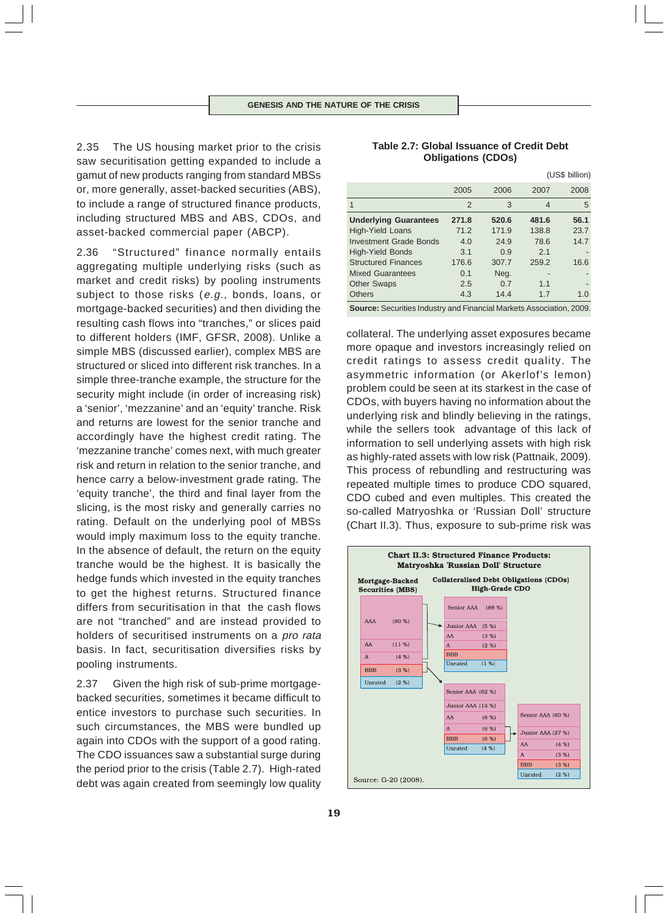2.35 The US housing market prior to the crisis saw securitisation getting expanded to include a gamut of new products ranging from standard MBSs or, more generally, asset-backed securities (ABS), to include a range of structured finance products, including structured MBS and ABS, CDOs, and asset-backed commercial paper (ABCP).

2.36 "Structured" finance normally entails aggregating multiple underlying risks (such as market and credit risks) by pooling instruments subject to those risks (e.g., bonds, loans, or mortgage-backed securities) and then dividing the resulting cash flows into "tranches," or slices paid to different holders (IMF, GFSR, 2008). Unlike a simple MBS (discussed earlier), complex MBS are structured or sliced into different risk tranches. In a simple three-tranche example, the structure for the security might include (in order of increasing risk) a 'senior', 'mezzanine' and an 'equity' tranche. Risk and returns are lowest for the senior tranche and accordingly have the highest credit rating. The 'mezzanine tranche' comes next, with much greater risk and return in relation to the senior tranche, and hence carry a below-investment grade rating. The 'equity tranche', the third and final layer from the slicing, is the most risky and generally carries no rating. Default on the underlying pool of MBSs would imply maximum loss to the equity tranche. In the absence of default, the return on the equity tranche would be the highest. It is basically the hedge funds which invested in the equity tranches to get the highest returns. Structured finance differs from securitisation in that the cash flows are not "tranched" and are instead provided to holders of securitised instruments on a pro rata basis. In fact, securitisation diversifies risks by pooling instruments.

2.37 Given the high risk of sub-prime mortgagebacked securities, sometimes it became difficult to entice investors to purchase such securities. In such circumstances, the MBS were bundled up again into CDOs with the support of a good rating. The CDO issuances saw a substantial surge during the period prior to the crisis (Table 2.7). High-rated debt was again created from seemingly low quality

# **Table 2.7: Global Issuance of Credit Debt Obligations (CDOs)**

|                               |       |       |       | (US\$ billion) |
|-------------------------------|-------|-------|-------|----------------|
|                               | 2005  | 2006  | 2007  | 2008           |
| 1                             | 2     | 3     | 4     | 5              |
| <b>Underlying Guarantees</b>  | 271.8 | 520.6 | 481.6 | 56.1           |
| <b>High-Yield Loans</b>       | 71.2  | 171.9 | 138.8 | 23.7           |
| <b>Investment Grade Bonds</b> | 4.0   | 24.9  | 78.6  | 14.7           |
| <b>High-Yield Bonds</b>       | 3.1   | 0.9   | 2.1   |                |
| <b>Structured Finances</b>    | 176.6 | 307.7 | 259.2 | 16.6           |
| <b>Mixed Guarantees</b>       | 0.1   | Neg.  |       |                |
| <b>Other Swaps</b>            | 2.5   | 0.7   | 1.1   |                |
| <b>Others</b>                 | 4.3   | 14.4  | 1.7   | 1.0            |
|                               |       |       |       |                |

**Source:** Securities Industry and Financial Markets Association, 2009.

collateral. The underlying asset exposures became more opaque and investors increasingly relied on credit ratings to assess credit quality. The asymmetric information (or Akerlof's lemon) problem could be seen at its starkest in the case of CDOs, with buyers having no information about the underlying risk and blindly believing in the ratings, while the sellers took advantage of this lack of information to sell underlying assets with high risk as highly-rated assets with low risk (Pattnaik, 2009). This process of rebundling and restructuring was repeated multiple times to produce CDO squared, CDO cubed and even multiples. This created the so-called Matryoshka or 'Russian Doll' structure (Chart II.3). Thus, exposure to sub-prime risk was

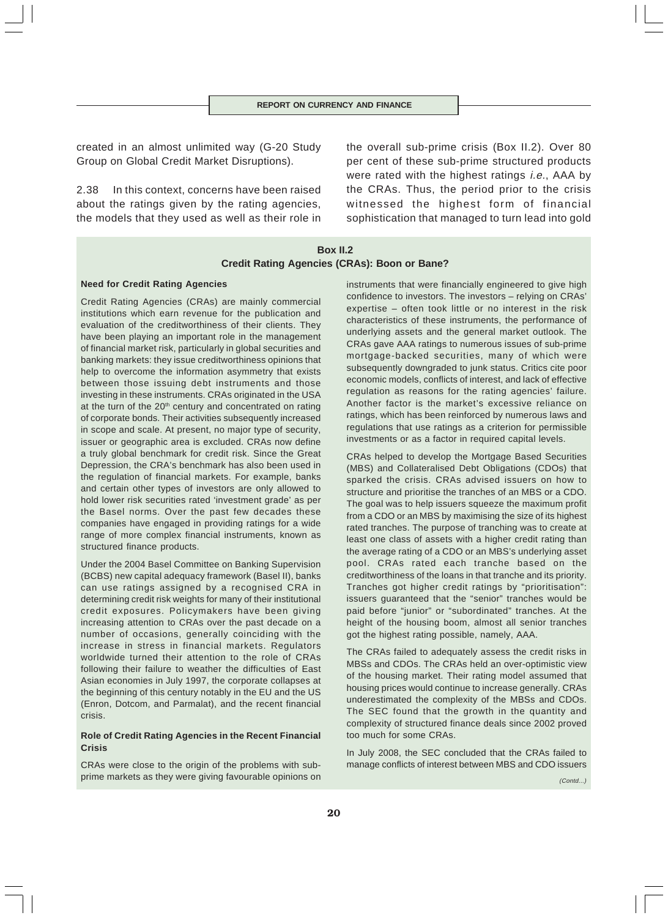created in an almost unlimited way (G-20 Study Group on Global Credit Market Disruptions).

2.38 In this context, concerns have been raised about the ratings given by the rating agencies, the models that they used as well as their role in the overall sub-prime crisis (Box II.2). Over 80 per cent of these sub-prime structured products were rated with the highest ratings *i.e.*, AAA by the CRAs. Thus, the period prior to the crisis witnessed the highest form of financial sophistication that managed to turn lead into gold

# **Box II.2 Credit Rating Agencies (CRAs): Boon or Bane?**

### **Need for Credit Rating Agencies**

Credit Rating Agencies (CRAs) are mainly commercial institutions which earn revenue for the publication and evaluation of the creditworthiness of their clients. They have been playing an important role in the management of financial market risk, particularly in global securities and banking markets: they issue creditworthiness opinions that help to overcome the information asymmetry that exists between those issuing debt instruments and those investing in these instruments. CRAs originated in the USA at the turn of the  $20<sup>th</sup>$  century and concentrated on rating of corporate bonds. Their activities subsequently increased in scope and scale. At present, no major type of security, issuer or geographic area is excluded. CRAs now define a truly global benchmark for credit risk. Since the Great Depression, the CRA's benchmark has also been used in the regulation of financial markets. For example, banks and certain other types of investors are only allowed to hold lower risk securities rated 'investment grade' as per the Basel norms. Over the past few decades these companies have engaged in providing ratings for a wide range of more complex financial instruments, known as structured finance products.

Under the 2004 Basel Committee on Banking Supervision (BCBS) new capital adequacy framework (Basel II), banks can use ratings assigned by a recognised CRA in determining credit risk weights for many of their institutional credit exposures. Policymakers have been giving increasing attention to CRAs over the past decade on a number of occasions, generally coinciding with the increase in stress in financial markets. Regulators worldwide turned their attention to the role of CRAs following their failure to weather the difficulties of East Asian economies in July 1997, the corporate collapses at the beginning of this century notably in the EU and the US (Enron, Dotcom, and Parmalat), and the recent financial crisis.

### **Role of Credit Rating Agencies in the Recent Financial Crisis**

CRAs were close to the origin of the problems with subprime markets as they were giving favourable opinions on

instruments that were financially engineered to give high confidence to investors. The investors – relying on CRAs' expertise – often took little or no interest in the risk characteristics of these instruments, the performance of underlying assets and the general market outlook. The CRAs gave AAA ratings to numerous issues of sub-prime mortgage-backed securities, many of which were subsequently downgraded to junk status. Critics cite poor economic models, conflicts of interest, and lack of effective regulation as reasons for the rating agencies' failure. Another factor is the market's excessive reliance on ratings, which has been reinforced by numerous laws and regulations that use ratings as a criterion for permissible investments or as a factor in required capital levels.

CRAs helped to develop the Mortgage Based Securities (MBS) and Collateralised Debt Obligations (CDOs) that sparked the crisis. CRAs advised issuers on how to structure and prioritise the tranches of an MBS or a CDO. The goal was to help issuers squeeze the maximum profit from a CDO or an MBS by maximising the size of its highest rated tranches. The purpose of tranching was to create at least one class of assets with a higher credit rating than the average rating of a CDO or an MBS's underlying asset pool. CRAs rated each tranche based on the creditworthiness of the loans in that tranche and its priority. Tranches got higher credit ratings by "prioritisation": issuers guaranteed that the "senior" tranches would be paid before "junior" or "subordinated" tranches. At the height of the housing boom, almost all senior tranches got the highest rating possible, namely, AAA.

The CRAs failed to adequately assess the credit risks in MBSs and CDOs. The CRAs held an over-optimistic view of the housing market. Their rating model assumed that housing prices would continue to increase generally. CRAs underestimated the complexity of the MBSs and CDOs. The SEC found that the growth in the quantity and complexity of structured finance deals since 2002 proved too much for some CRAs.

In July 2008, the SEC concluded that the CRAs failed to manage conflicts of interest between MBS and CDO issuers

 $(Contd)$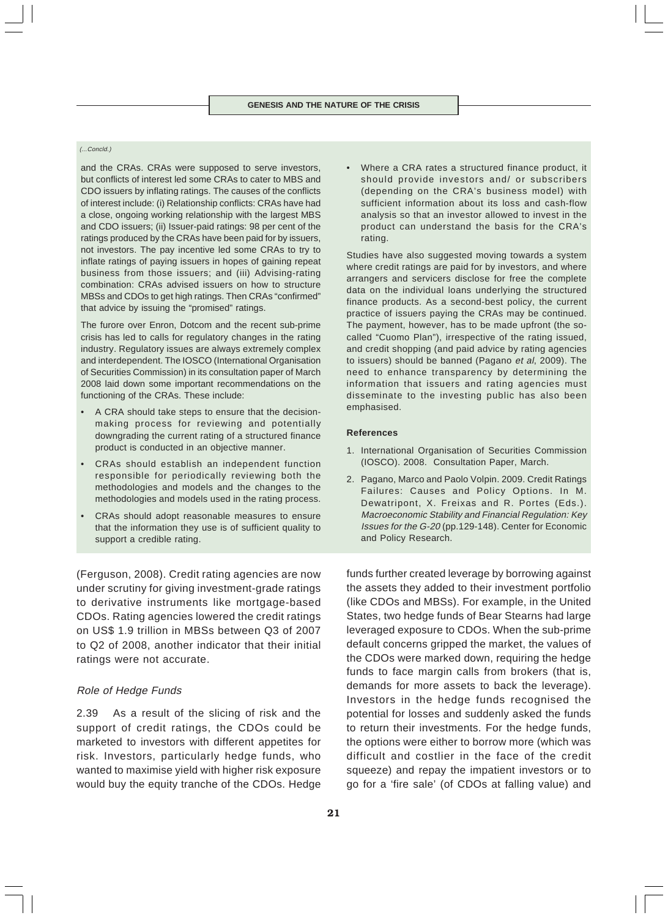#### (...Concld.)

and the CRAs. CRAs were supposed to serve investors, but conflicts of interest led some CRAs to cater to MBS and CDO issuers by inflating ratings. The causes of the conflicts of interest include: (i) Relationship conflicts: CRAs have had a close, ongoing working relationship with the largest MBS and CDO issuers; (ii) Issuer-paid ratings: 98 per cent of the ratings produced by the CRAs have been paid for by issuers, not investors. The pay incentive led some CRAs to try to inflate ratings of paying issuers in hopes of gaining repeat business from those issuers; and (iii) Advising-rating combination: CRAs advised issuers on how to structure MBSs and CDOs to get high ratings. Then CRAs "confirmed" that advice by issuing the "promised" ratings.

The furore over Enron, Dotcom and the recent sub-prime crisis has led to calls for regulatory changes in the rating industry. Regulatory issues are always extremely complex and interdependent. The IOSCO (International Organisation of Securities Commission) in its consultation paper of March 2008 laid down some important recommendations on the functioning of the CRAs. These include:

- A CRA should take steps to ensure that the decisionmaking process for reviewing and potentially downgrading the current rating of a structured finance product is conducted in an objective manner.
- CRAs should establish an independent function responsible for periodically reviewing both the methodologies and models and the changes to the methodologies and models used in the rating process.
- CRAs should adopt reasonable measures to ensure that the information they use is of sufficient quality to support a credible rating.

(Ferguson, 2008). Credit rating agencies are now under scrutiny for giving investment-grade ratings to derivative instruments like mortgage-based CDOs. Rating agencies lowered the credit ratings on US\$ 1.9 trillion in MBSs between Q3 of 2007 to Q2 of 2008, another indicator that their initial ratings were not accurate.

# Role of Hedge Funds

2.39 As a result of the slicing of risk and the support of credit ratings, the CDOs could be marketed to investors with different appetites for risk. Investors, particularly hedge funds, who wanted to maximise yield with higher risk exposure would buy the equity tranche of the CDOs. Hedge • Where a CRA rates a structured finance product, it should provide investors and/ or subscribers (depending on the CRA's business model) with sufficient information about its loss and cash-flow analysis so that an investor allowed to invest in the product can understand the basis for the CRA's rating.

Studies have also suggested moving towards a system where credit ratings are paid for by investors, and where arrangers and servicers disclose for free the complete data on the individual loans underlying the structured finance products. As a second-best policy, the current practice of issuers paying the CRAs may be continued. The payment, however, has to be made upfront (the socalled "Cuomo Plan"), irrespective of the rating issued, and credit shopping (and paid advice by rating agencies to issuers) should be banned (Pagano et al, 2009). The need to enhance transparency by determining the information that issuers and rating agencies must disseminate to the investing public has also been emphasised.

### **References**

- 1. International Organisation of Securities Commission (IOSCO). 2008. Consultation Paper, March.
- 2. Pagano, Marco and Paolo Volpin. 2009. Credit Ratings Failures: Causes and Policy Options. In M. Dewatripont, X. Freixas and R. Portes (Eds.). Macroeconomic Stability and Financial Regulation: Key Issues for the G-20 (pp.129-148). Center for Economic and Policy Research.

funds further created leverage by borrowing against the assets they added to their investment portfolio (like CDOs and MBSs). For example, in the United States, two hedge funds of Bear Stearns had large leveraged exposure to CDOs. When the sub-prime default concerns gripped the market, the values of the CDOs were marked down, requiring the hedge funds to face margin calls from brokers (that is, demands for more assets to back the leverage). Investors in the hedge funds recognised the potential for losses and suddenly asked the funds to return their investments. For the hedge funds, the options were either to borrow more (which was difficult and costlier in the face of the credit squeeze) and repay the impatient investors or to go for a 'fire sale' (of CDOs at falling value) and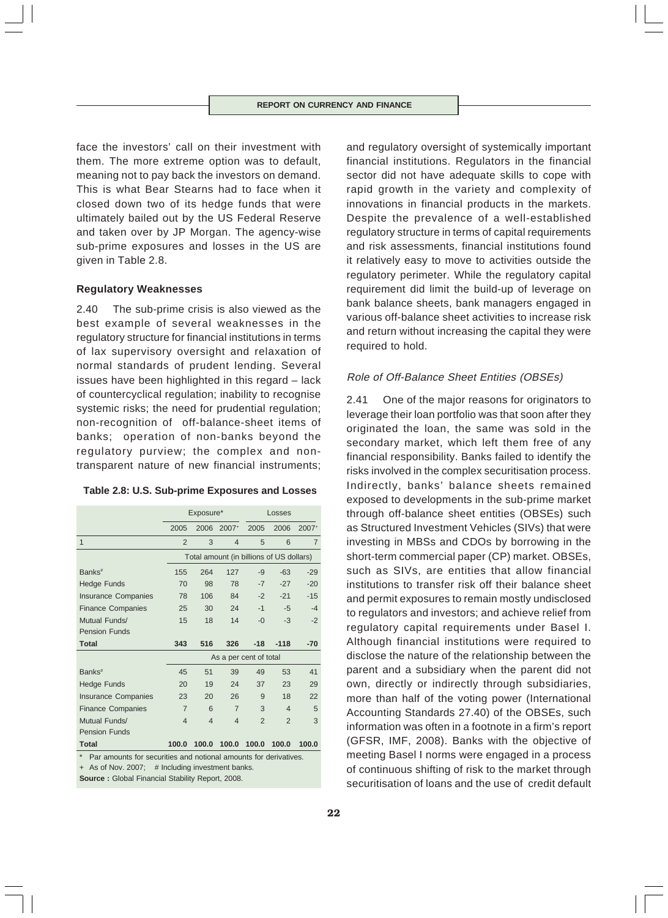face the investors' call on their investment with them. The more extreme option was to default, meaning not to pay back the investors on demand. This is what Bear Stearns had to face when it closed down two of its hedge funds that were ultimately bailed out by the US Federal Reserve and taken over by JP Morgan. The agency-wise sub-prime exposures and losses in the US are given in Table 2.8.

### **Regulatory Weaknesses**

2.40 The sub-prime crisis is also viewed as the best example of several weaknesses in the regulatory structure for financial institutions in terms of lax supervisory oversight and relaxation of normal standards of prudent lending. Several issues have been highlighted in this regard – lack of countercyclical regulation; inability to recognise systemic risks; the need for prudential regulation; non-recognition of off-balance-sheet items of banks; operation of non-banks beyond the regulatory purview; the complex and nontransparent nature of new financial instruments;

| Table 2.8: U.S. Sub-prime Exposures and Losses |  |  |  |  |
|------------------------------------------------|--|--|--|--|
|------------------------------------------------|--|--|--|--|

|                            |                | Exposure*      |                                          | Losses         |                |                |
|----------------------------|----------------|----------------|------------------------------------------|----------------|----------------|----------------|
|                            | 2005           | 2006           | 2007+                                    | 2005           | 2006           | $2007+$        |
| $\mathbf{1}$               | $\mathfrak{p}$ | 3              | 4                                        | 5              | 6              | $\overline{7}$ |
|                            |                |                | Total amount (in billions of US dollars) |                |                |                |
| Banks <sup>#</sup>         | 155            | 264            | 127                                      | -9             | $-63$          | $-29$          |
| <b>Hedge Funds</b>         | 70             | 98             | 78                                       | $-7$           | $-27$          | $-20$          |
| <b>Insurance Companies</b> | 78             | 106            | 84                                       | $-2$           | $-21$          | $-15$          |
| <b>Finance Companies</b>   | 25             | 30             | 24                                       | $-1$           | $-5$           | $-4$           |
| Mutual Funds/              | 15             | 18             | 14                                       | $-0$           | $-3$           | $-2$           |
| <b>Pension Funds</b>       |                |                |                                          |                |                |                |
| <b>Total</b>               | 343            | 516            | 326                                      | $-18$          | $-118$         | $-70$          |
|                            |                |                | As a per cent of total                   |                |                |                |
| Banks <sup>#</sup>         | 45             | 51             | 39                                       | 49             | 53             | 41             |
| <b>Hedge Funds</b>         | 20             | 19             | 24                                       | 37             | 23             | 29             |
| <b>Insurance Companies</b> | 23             | 20             | 26                                       | 9              | 18             | 22             |
| <b>Finance Companies</b>   | $\overline{7}$ | 6              | $\overline{7}$                           | 3              | $\overline{4}$ | 5              |
| Mutual Funds/              | $\overline{4}$ | $\overline{4}$ | $\overline{4}$                           | $\overline{2}$ | $\overline{2}$ | 3              |
| <b>Pension Funds</b>       |                |                |                                          |                |                |                |
| <b>Total</b>               | 100.0          | 100.0          | 100.0                                    | 100.0          | 100.0          | 100.0          |

Par amounts for securities and notional amounts for derivatives.

+ As of Nov. 2007; # Including investment banks.

**Source :** Global Financial Stability Report, 2008.

and regulatory oversight of systemically important financial institutions. Regulators in the financial sector did not have adequate skills to cope with rapid growth in the variety and complexity of innovations in financial products in the markets. Despite the prevalence of a well-established regulatory structure in terms of capital requirements and risk assessments, financial institutions found it relatively easy to move to activities outside the regulatory perimeter. While the regulatory capital requirement did limit the build-up of leverage on bank balance sheets, bank managers engaged in various off-balance sheet activities to increase risk and return without increasing the capital they were required to hold.

### Role of Off-Balance Sheet Entities (OBSEs)

2.41 One of the major reasons for originators to leverage their loan portfolio was that soon after they originated the loan, the same was sold in the secondary market, which left them free of any financial responsibility. Banks failed to identify the risks involved in the complex securitisation process. Indirectly, banks' balance sheets remained exposed to developments in the sub-prime market through off-balance sheet entities (OBSEs) such as Structured Investment Vehicles (SIVs) that were investing in MBSs and CDOs by borrowing in the short-term commercial paper (CP) market. OBSEs, such as SIVs, are entities that allow financial institutions to transfer risk off their balance sheet and permit exposures to remain mostly undisclosed to regulators and investors; and achieve relief from regulatory capital requirements under Basel I. Although financial institutions were required to disclose the nature of the relationship between the parent and a subsidiary when the parent did not own, directly or indirectly through subsidiaries, more than half of the voting power (International Accounting Standards 27.40) of the OBSEs, such information was often in a footnote in a firm's report (GFSR, IMF, 2008). Banks with the objective of meeting Basel I norms were engaged in a process of continuous shifting of risk to the market through securitisation of loans and the use of credit default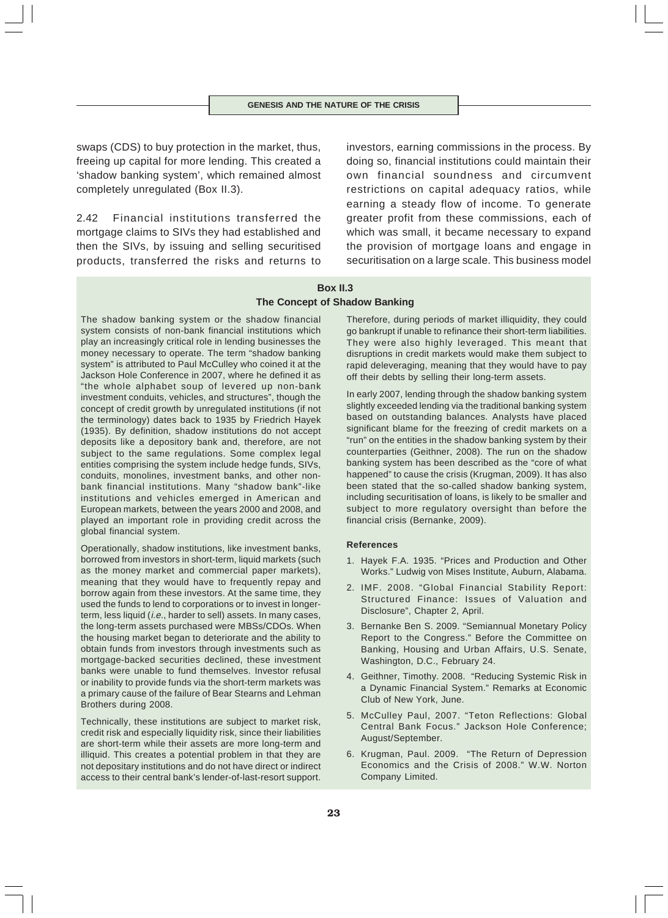swaps (CDS) to buy protection in the market, thus, freeing up capital for more lending. This created a 'shadow banking system', which remained almost completely unregulated (Box II.3).

2.42 Financial institutions transferred the mortgage claims to SIVs they had established and then the SIVs, by issuing and selling securitised products, transferred the risks and returns to investors, earning commissions in the process. By doing so, financial institutions could maintain their own financial soundness and circumvent restrictions on capital adequacy ratios, while earning a steady flow of income. To generate greater profit from these commissions, each of which was small, it became necessary to expand the provision of mortgage loans and engage in securitisation on a large scale. This business model

# **Box II.3 The Concept of Shadow Banking**

The shadow banking system or the shadow financial system consists of non-bank financial institutions which play an increasingly critical role in lending businesses the money necessary to operate. The term "shadow banking system" is attributed to Paul McCulley who coined it at the Jackson Hole Conference in 2007, where he defined it as "the whole alphabet soup of levered up non-bank investment conduits, vehicles, and structures", though the concept of credit growth by unregulated institutions (if not the terminology) dates back to 1935 by Friedrich Hayek (1935). By definition, shadow institutions do not accept deposits like a depository bank and, therefore, are not subject to the same regulations. Some complex legal entities comprising the system include hedge funds, SIVs, conduits, monolines, investment banks, and other nonbank financial institutions. Many "shadow bank"-like institutions and vehicles emerged in American and European markets, between the years 2000 and 2008, and played an important role in providing credit across the global financial system.

Operationally, shadow institutions, like investment banks, borrowed from investors in short-term, liquid markets (such as the money market and commercial paper markets), meaning that they would have to frequently repay and borrow again from these investors. At the same time, they used the funds to lend to corporations or to invest in longerterm, less liquid (i.e., harder to sell) assets. In many cases, the long-term assets purchased were MBSs/CDOs. When the housing market began to deteriorate and the ability to obtain funds from investors through investments such as mortgage-backed securities declined, these investment banks were unable to fund themselves. Investor refusal or inability to provide funds via the short-term markets was a primary cause of the failure of Bear Stearns and Lehman Brothers during 2008.

Technically, these institutions are subject to market risk, credit risk and especially liquidity risk, since their liabilities are short-term while their assets are more long-term and illiquid. This creates a potential problem in that they are not depositary institutions and do not have direct or indirect access to their central bank's lender-of-last-resort support.

Therefore, during periods of market illiquidity, they could go bankrupt if unable to refinance their short-term liabilities. They were also highly leveraged. This meant that disruptions in credit markets would make them subject to rapid deleveraging, meaning that they would have to pay off their debts by selling their long-term assets.

In early 2007, lending through the shadow banking system slightly exceeded lending via the traditional banking system based on outstanding balances. Analysts have placed significant blame for the freezing of credit markets on a "run" on the entities in the shadow banking system by their counterparties (Geithner, 2008). The run on the shadow banking system has been described as the "core of what happened" to cause the crisis (Krugman, 2009). It has also been stated that the so-called shadow banking system, including securitisation of loans, is likely to be smaller and subject to more regulatory oversight than before the financial crisis (Bernanke, 2009).

#### **References**

- 1. Hayek F.A. 1935. "Prices and Production and Other Works." Ludwig von Mises Institute, Auburn, Alabama.
- 2. IMF. 2008. "Global Financial Stability Report: Structured Finance: Issues of Valuation and Disclosure", Chapter 2, April.
- 3. Bernanke Ben S. 2009. "Semiannual Monetary Policy Report to the Congress." Before the Committee on Banking, Housing and Urban Affairs, U.S. Senate, Washington, D.C., February 24.
- 4. Geithner, Timothy. 2008. "Reducing Systemic Risk in a Dynamic Financial System." Remarks at Economic Club of New York, June.
- 5. McCulley Paul, 2007. "Teton Reflections: Global Central Bank Focus." Jackson Hole Conference; August/September.
- 6. Krugman, Paul. 2009. "The Return of Depression Economics and the Crisis of 2008." W.W. Norton Company Limited.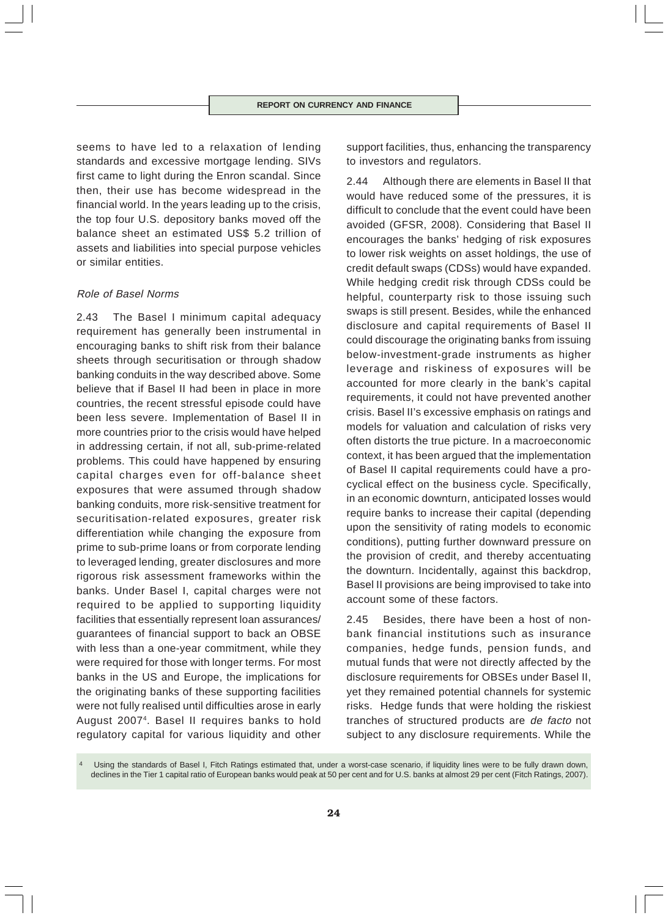seems to have led to a relaxation of lending standards and excessive mortgage lending. SIVs first came to light during the Enron scandal. Since then, their use has become widespread in the financial world. In the years leading up to the crisis, the top four U.S. depository banks moved off the balance sheet an estimated US\$ 5.2 trillion of assets and liabilities into special purpose vehicles or similar entities.

# Role of Basel Norms

2.43 The Basel I minimum capital adequacy requirement has generally been instrumental in encouraging banks to shift risk from their balance sheets through securitisation or through shadow banking conduits in the way described above. Some believe that if Basel II had been in place in more countries, the recent stressful episode could have been less severe. Implementation of Basel II in more countries prior to the crisis would have helped in addressing certain, if not all, sub-prime-related problems. This could have happened by ensuring capital charges even for off-balance sheet exposures that were assumed through shadow banking conduits, more risk-sensitive treatment for securitisation-related exposures, greater risk differentiation while changing the exposure from prime to sub-prime loans or from corporate lending to leveraged lending, greater disclosures and more rigorous risk assessment frameworks within the banks. Under Basel I, capital charges were not required to be applied to supporting liquidity facilities that essentially represent loan assurances/ guarantees of financial support to back an OBSE with less than a one-year commitment, while they were required for those with longer terms. For most banks in the US and Europe, the implications for the originating banks of these supporting facilities were not fully realised until difficulties arose in early August 20074. Basel II requires banks to hold regulatory capital for various liquidity and other

support facilities, thus, enhancing the transparency to investors and regulators.

2.44 Although there are elements in Basel II that would have reduced some of the pressures, it is difficult to conclude that the event could have been avoided (GFSR, 2008). Considering that Basel II encourages the banks' hedging of risk exposures to lower risk weights on asset holdings, the use of credit default swaps (CDSs) would have expanded. While hedging credit risk through CDSs could be helpful, counterparty risk to those issuing such swaps is still present. Besides, while the enhanced disclosure and capital requirements of Basel II could discourage the originating banks from issuing below-investment-grade instruments as higher leverage and riskiness of exposures will be accounted for more clearly in the bank's capital requirements, it could not have prevented another crisis. Basel II's excessive emphasis on ratings and models for valuation and calculation of risks very often distorts the true picture. In a macroeconomic context, it has been argued that the implementation of Basel II capital requirements could have a procyclical effect on the business cycle. Specifically, in an economic downturn, anticipated losses would require banks to increase their capital (depending upon the sensitivity of rating models to economic conditions), putting further downward pressure on the provision of credit, and thereby accentuating the downturn. Incidentally, against this backdrop, Basel II provisions are being improvised to take into account some of these factors.

2.45 Besides, there have been a host of nonbank financial institutions such as insurance companies, hedge funds, pension funds, and mutual funds that were not directly affected by the disclosure requirements for OBSEs under Basel II, yet they remained potential channels for systemic risks. Hedge funds that were holding the riskiest tranches of structured products are de facto not subject to any disclosure requirements. While the

Using the standards of Basel I, Fitch Ratings estimated that, under a worst-case scenario, if liquidity lines were to be fully drawn down, declines in the Tier 1 capital ratio of European banks would peak at 50 per cent and for U.S. banks at almost 29 per cent (Fitch Ratings, 2007).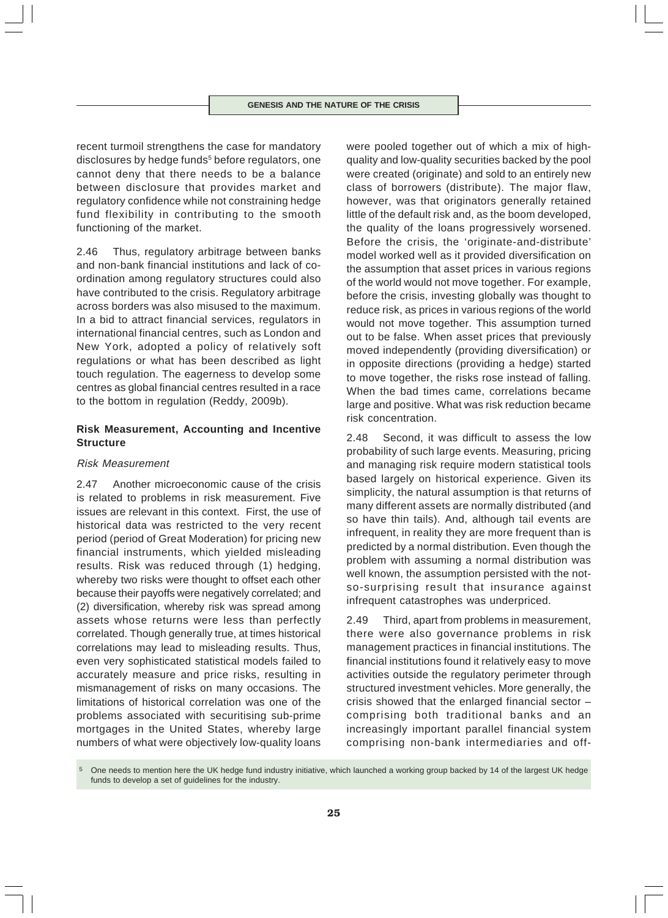recent turmoil strengthens the case for mandatory disclosures by hedge funds<sup>5</sup> before regulators, one cannot deny that there needs to be a balance between disclosure that provides market and regulatory confidence while not constraining hedge fund flexibility in contributing to the smooth functioning of the market.

2.46 Thus, regulatory arbitrage between banks and non-bank financial institutions and lack of coordination among regulatory structures could also have contributed to the crisis. Regulatory arbitrage across borders was also misused to the maximum. In a bid to attract financial services, regulators in international financial centres, such as London and New York, adopted a policy of relatively soft regulations or what has been described as light touch regulation. The eagerness to develop some centres as global financial centres resulted in a race to the bottom in regulation (Reddy, 2009b).

# **Risk Measurement, Accounting and Incentive Structure**

### Risk Measurement

2.47 Another microeconomic cause of the crisis is related to problems in risk measurement. Five issues are relevant in this context. First, the use of historical data was restricted to the very recent period (period of Great Moderation) for pricing new financial instruments, which yielded misleading results. Risk was reduced through (1) hedging, whereby two risks were thought to offset each other because their payoffs were negatively correlated; and (2) diversification, whereby risk was spread among assets whose returns were less than perfectly correlated. Though generally true, at times historical correlations may lead to misleading results. Thus, even very sophisticated statistical models failed to accurately measure and price risks, resulting in mismanagement of risks on many occasions. The limitations of historical correlation was one of the problems associated with securitising sub-prime mortgages in the United States, whereby large numbers of what were objectively low-quality loans

were pooled together out of which a mix of highquality and low-quality securities backed by the pool were created (originate) and sold to an entirely new class of borrowers (distribute). The major flaw, however, was that originators generally retained little of the default risk and, as the boom developed, the quality of the loans progressively worsened. Before the crisis, the 'originate-and-distribute' model worked well as it provided diversification on the assumption that asset prices in various regions of the world would not move together. For example, before the crisis, investing globally was thought to reduce risk, as prices in various regions of the world would not move together. This assumption turned out to be false. When asset prices that previously moved independently (providing diversification) or in opposite directions (providing a hedge) started to move together, the risks rose instead of falling. When the bad times came, correlations became large and positive. What was risk reduction became risk concentration.

2.48 Second, it was difficult to assess the low probability of such large events. Measuring, pricing and managing risk require modern statistical tools based largely on historical experience. Given its simplicity, the natural assumption is that returns of many different assets are normally distributed (and so have thin tails). And, although tail events are infrequent, in reality they are more frequent than is predicted by a normal distribution. Even though the problem with assuming a normal distribution was well known, the assumption persisted with the notso-surprising result that insurance against infrequent catastrophes was underpriced.

2.49 Third, apart from problems in measurement, there were also governance problems in risk management practices in financial institutions. The financial institutions found it relatively easy to move activities outside the regulatory perimeter through structured investment vehicles. More generally, the crisis showed that the enlarged financial sector – comprising both traditional banks and an increasingly important parallel financial system comprising non-bank intermediaries and off-

One needs to mention here the UK hedge fund industry initiative, which launched a working group backed by 14 of the largest UK hedge funds to develop a set of guidelines for the industry.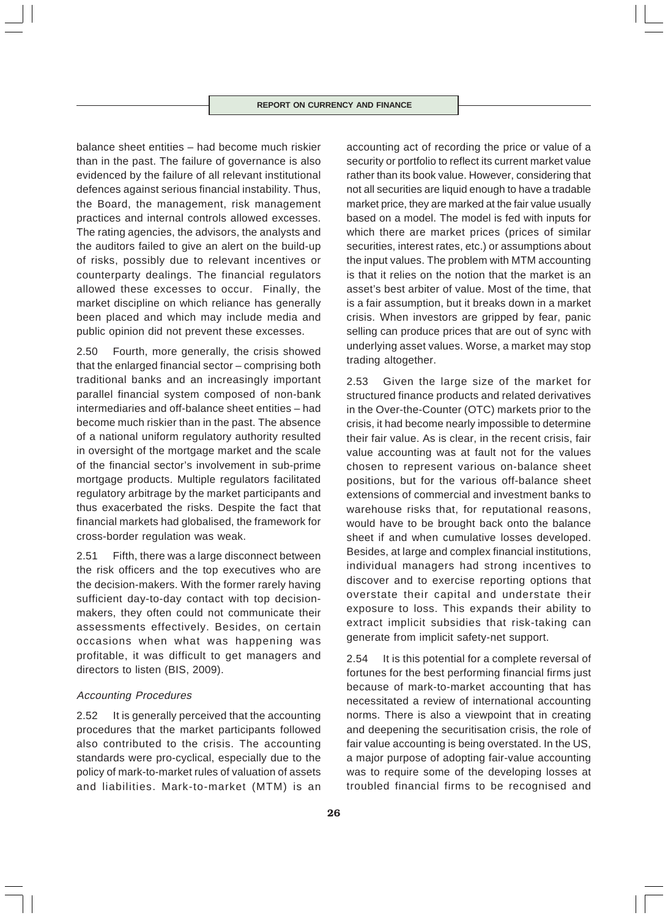balance sheet entities – had become much riskier than in the past. The failure of governance is also evidenced by the failure of all relevant institutional defences against serious financial instability. Thus, the Board, the management, risk management practices and internal controls allowed excesses. The rating agencies, the advisors, the analysts and the auditors failed to give an alert on the build-up of risks, possibly due to relevant incentives or counterparty dealings. The financial regulators allowed these excesses to occur. Finally, the market discipline on which reliance has generally been placed and which may include media and public opinion did not prevent these excesses.

2.50 Fourth, more generally, the crisis showed that the enlarged financial sector – comprising both traditional banks and an increasingly important parallel financial system composed of non-bank intermediaries and off-balance sheet entities – had become much riskier than in the past. The absence of a national uniform regulatory authority resulted in oversight of the mortgage market and the scale of the financial sector's involvement in sub-prime mortgage products. Multiple regulators facilitated regulatory arbitrage by the market participants and thus exacerbated the risks. Despite the fact that financial markets had globalised, the framework for cross-border regulation was weak.

2.51 Fifth, there was a large disconnect between the risk officers and the top executives who are the decision-makers. With the former rarely having sufficient day-to-day contact with top decisionmakers, they often could not communicate their assessments effectively. Besides, on certain occasions when what was happening was profitable, it was difficult to get managers and directors to listen (BIS, 2009).

### Accounting Procedures

2.52 It is generally perceived that the accounting procedures that the market participants followed also contributed to the crisis. The accounting standards were pro-cyclical, especially due to the policy of mark-to-market rules of valuation of assets and liabilities. Mark-to-market (MTM) is an

accounting act of recording the price or value of a security or portfolio to reflect its current market value rather than its book value. However, considering that not all securities are liquid enough to have a tradable market price, they are marked at the fair value usually based on a model. The model is fed with inputs for which there are market prices (prices of similar securities, interest rates, etc.) or assumptions about the input values. The problem with MTM accounting is that it relies on the notion that the market is an asset's best arbiter of value. Most of the time, that is a fair assumption, but it breaks down in a market crisis. When investors are gripped by fear, panic selling can produce prices that are out of sync with underlying asset values. Worse, a market may stop trading altogether.

2.53 Given the large size of the market for structured finance products and related derivatives in the Over-the-Counter (OTC) markets prior to the crisis, it had become nearly impossible to determine their fair value. As is clear, in the recent crisis, fair value accounting was at fault not for the values chosen to represent various on-balance sheet positions, but for the various off-balance sheet extensions of commercial and investment banks to warehouse risks that, for reputational reasons, would have to be brought back onto the balance sheet if and when cumulative losses developed. Besides, at large and complex financial institutions, individual managers had strong incentives to discover and to exercise reporting options that overstate their capital and understate their exposure to loss. This expands their ability to extract implicit subsidies that risk-taking can generate from implicit safety-net support.

2.54 It is this potential for a complete reversal of fortunes for the best performing financial firms just because of mark-to-market accounting that has necessitated a review of international accounting norms. There is also a viewpoint that in creating and deepening the securitisation crisis, the role of fair value accounting is being overstated. In the US, a major purpose of adopting fair-value accounting was to require some of the developing losses at troubled financial firms to be recognised and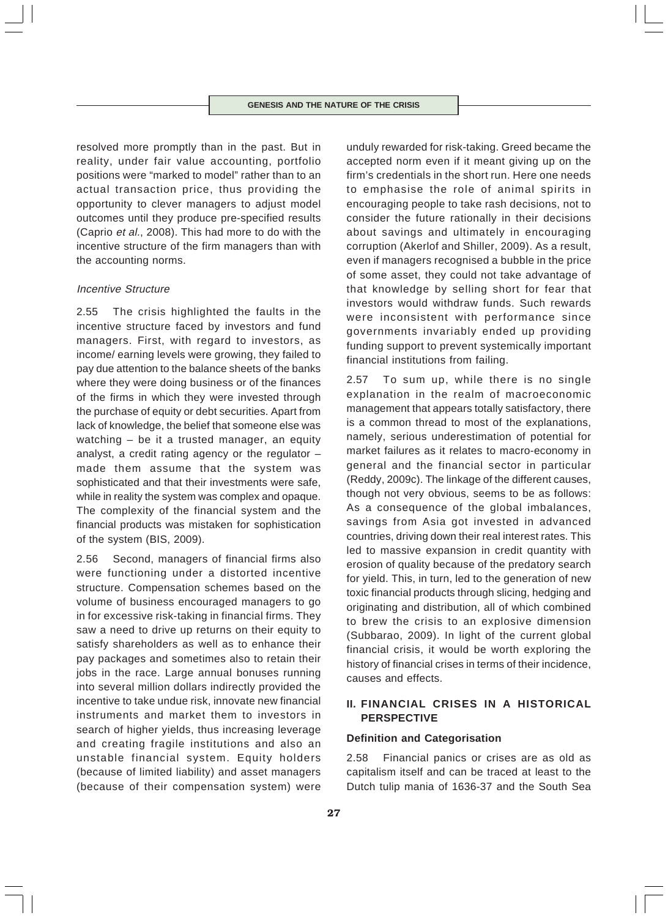resolved more promptly than in the past. But in reality, under fair value accounting, portfolio positions were "marked to model" rather than to an actual transaction price, thus providing the opportunity to clever managers to adjust model outcomes until they produce pre-specified results (Caprio et al., 2008). This had more to do with the incentive structure of the firm managers than with the accounting norms.

### Incentive Structure

2.55 The crisis highlighted the faults in the incentive structure faced by investors and fund managers. First, with regard to investors, as income/ earning levels were growing, they failed to pay due attention to the balance sheets of the banks where they were doing business or of the finances of the firms in which they were invested through the purchase of equity or debt securities. Apart from lack of knowledge, the belief that someone else was watching – be it a trusted manager, an equity analyst, a credit rating agency or the regulator – made them assume that the system was sophisticated and that their investments were safe, while in reality the system was complex and opaque. The complexity of the financial system and the financial products was mistaken for sophistication of the system (BIS, 2009).

2.56 Second, managers of financial firms also were functioning under a distorted incentive structure. Compensation schemes based on the volume of business encouraged managers to go in for excessive risk-taking in financial firms. They saw a need to drive up returns on their equity to satisfy shareholders as well as to enhance their pay packages and sometimes also to retain their jobs in the race. Large annual bonuses running into several million dollars indirectly provided the incentive to take undue risk, innovate new financial instruments and market them to investors in search of higher yields, thus increasing leverage and creating fragile institutions and also an unstable financial system. Equity holders (because of limited liability) and asset managers (because of their compensation system) were

unduly rewarded for risk-taking. Greed became the accepted norm even if it meant giving up on the firm's credentials in the short run. Here one needs to emphasise the role of animal spirits in encouraging people to take rash decisions, not to consider the future rationally in their decisions about savings and ultimately in encouraging corruption (Akerlof and Shiller, 2009). As a result, even if managers recognised a bubble in the price of some asset, they could not take advantage of that knowledge by selling short for fear that investors would withdraw funds. Such rewards were inconsistent with performance since governments invariably ended up providing funding support to prevent systemically important financial institutions from failing.

2.57 To sum up, while there is no single explanation in the realm of macroeconomic management that appears totally satisfactory, there is a common thread to most of the explanations, namely, serious underestimation of potential for market failures as it relates to macro-economy in general and the financial sector in particular (Reddy, 2009c). The linkage of the different causes, though not very obvious, seems to be as follows: As a consequence of the global imbalances, savings from Asia got invested in advanced countries, driving down their real interest rates. This led to massive expansion in credit quantity with erosion of quality because of the predatory search for yield. This, in turn, led to the generation of new toxic financial products through slicing, hedging and originating and distribution, all of which combined to brew the crisis to an explosive dimension (Subbarao, 2009). In light of the current global financial crisis, it would be worth exploring the history of financial crises in terms of their incidence, causes and effects.

# **II. FINANCIAL CRISES IN A HISTORICAL PERSPECTIVE**

# **Definition and Categorisation**

2.58 Financial panics or crises are as old as capitalism itself and can be traced at least to the Dutch tulip mania of 1636-37 and the South Sea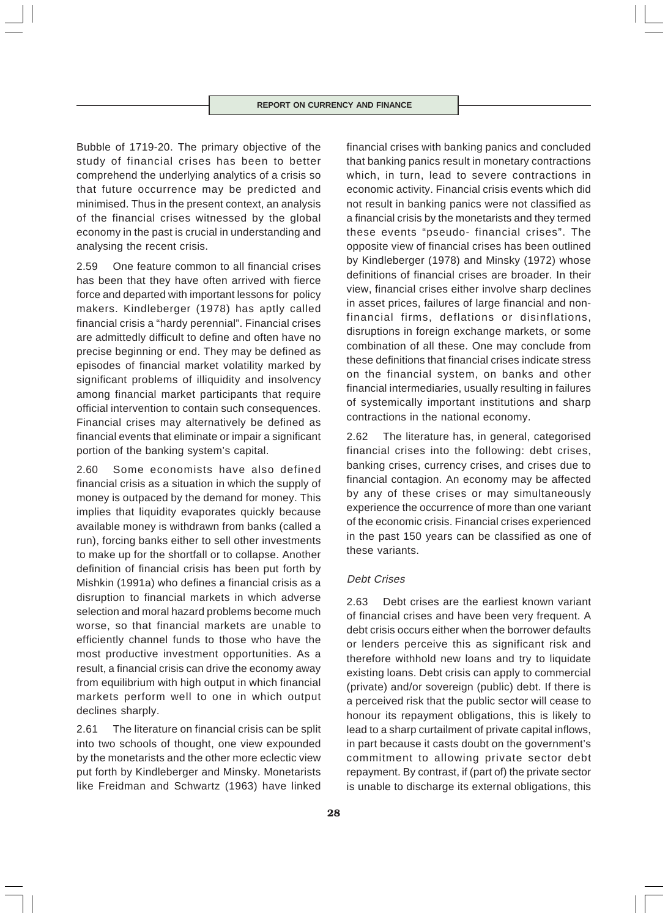Bubble of 1719-20. The primary objective of the study of financial crises has been to better comprehend the underlying analytics of a crisis so that future occurrence may be predicted and minimised. Thus in the present context, an analysis of the financial crises witnessed by the global economy in the past is crucial in understanding and analysing the recent crisis.

2.59 One feature common to all financial crises has been that they have often arrived with fierce force and departed with important lessons for policy makers. Kindleberger (1978) has aptly called financial crisis a "hardy perennial". Financial crises are admittedly difficult to define and often have no precise beginning or end. They may be defined as episodes of financial market volatility marked by significant problems of illiquidity and insolvency among financial market participants that require official intervention to contain such consequences. Financial crises may alternatively be defined as financial events that eliminate or impair a significant portion of the banking system's capital.

2.60 Some economists have also defined financial crisis as a situation in which the supply of money is outpaced by the demand for money. This implies that liquidity evaporates quickly because available money is withdrawn from banks (called a run), forcing banks either to sell other investments to make up for the shortfall or to collapse. Another definition of financial crisis has been put forth by Mishkin (1991a) who defines a financial crisis as a disruption to financial markets in which adverse selection and moral hazard problems become much worse, so that financial markets are unable to efficiently channel funds to those who have the most productive investment opportunities. As a result, a financial crisis can drive the economy away from equilibrium with high output in which financial markets perform well to one in which output declines sharply.

2.61 The literature on financial crisis can be split into two schools of thought, one view expounded by the monetarists and the other more eclectic view put forth by Kindleberger and Minsky. Monetarists like Freidman and Schwartz (1963) have linked financial crises with banking panics and concluded that banking panics result in monetary contractions which, in turn, lead to severe contractions in economic activity. Financial crisis events which did not result in banking panics were not classified as a financial crisis by the monetarists and they termed these events "pseudo- financial crises". The opposite view of financial crises has been outlined by Kindleberger (1978) and Minsky (1972) whose definitions of financial crises are broader. In their view, financial crises either involve sharp declines in asset prices, failures of large financial and nonfinancial firms, deflations or disinflations, disruptions in foreign exchange markets, or some combination of all these. One may conclude from these definitions that financial crises indicate stress on the financial system, on banks and other financial intermediaries, usually resulting in failures of systemically important institutions and sharp contractions in the national economy.

2.62 The literature has, in general, categorised financial crises into the following: debt crises, banking crises, currency crises, and crises due to financial contagion. An economy may be affected by any of these crises or may simultaneously experience the occurrence of more than one variant of the economic crisis. Financial crises experienced in the past 150 years can be classified as one of these variants.

# Debt Crises

2.63 Debt crises are the earliest known variant of financial crises and have been very frequent. A debt crisis occurs either when the borrower defaults or lenders perceive this as significant risk and therefore withhold new loans and try to liquidate existing loans. Debt crisis can apply to commercial (private) and/or sovereign (public) debt. If there is a perceived risk that the public sector will cease to honour its repayment obligations, this is likely to lead to a sharp curtailment of private capital inflows, in part because it casts doubt on the government's commitment to allowing private sector debt repayment. By contrast, if (part of) the private sector is unable to discharge its external obligations, this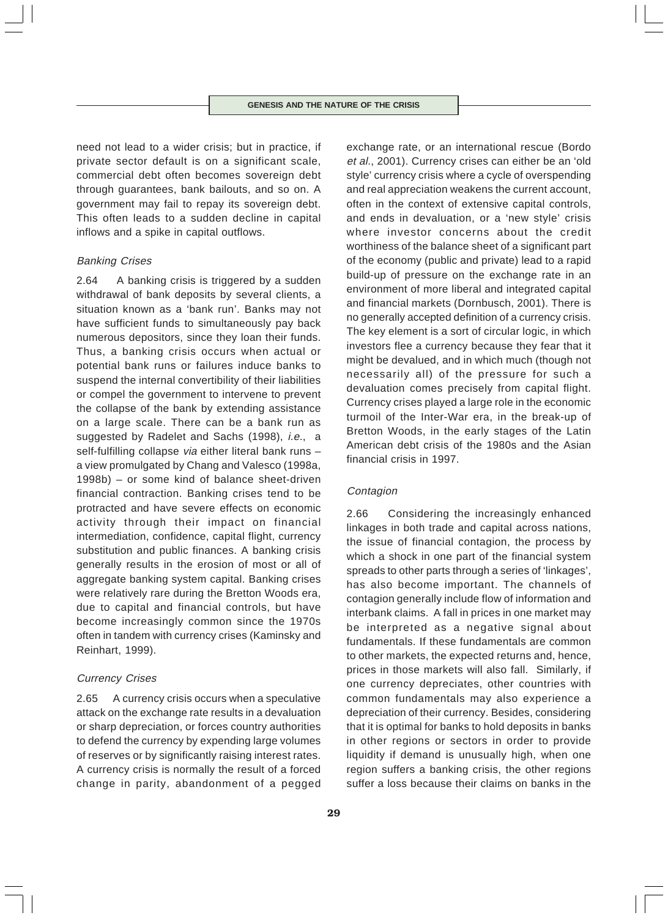need not lead to a wider crisis; but in practice, if private sector default is on a significant scale, commercial debt often becomes sovereign debt through guarantees, bank bailouts, and so on. A government may fail to repay its sovereign debt. This often leads to a sudden decline in capital inflows and a spike in capital outflows.

### Banking Crises

2.64 A banking crisis is triggered by a sudden withdrawal of bank deposits by several clients, a situation known as a 'bank run'. Banks may not have sufficient funds to simultaneously pay back numerous depositors, since they loan their funds. Thus, a banking crisis occurs when actual or potential bank runs or failures induce banks to suspend the internal convertibility of their liabilities or compel the government to intervene to prevent the collapse of the bank by extending assistance on a large scale. There can be a bank run as suggested by Radelet and Sachs (1998), *i.e.*, a self-fulfilling collapse via either literal bank runs a view promulgated by Chang and Valesco (1998a, 1998b) – or some kind of balance sheet-driven financial contraction. Banking crises tend to be protracted and have severe effects on economic activity through their impact on financial intermediation, confidence, capital flight, currency substitution and public finances. A banking crisis generally results in the erosion of most or all of aggregate banking system capital. Banking crises were relatively rare during the Bretton Woods era, due to capital and financial controls, but have become increasingly common since the 1970s often in tandem with currency crises (Kaminsky and Reinhart, 1999).

### Currency Crises

2.65 A currency crisis occurs when a speculative attack on the exchange rate results in a devaluation or sharp depreciation, or forces country authorities to defend the currency by expending large volumes of reserves or by significantly raising interest rates. A currency crisis is normally the result of a forced change in parity, abandonment of a pegged

exchange rate, or an international rescue (Bordo et al., 2001). Currency crises can either be an 'old style' currency crisis where a cycle of overspending and real appreciation weakens the current account, often in the context of extensive capital controls, and ends in devaluation, or a 'new style' crisis where investor concerns about the credit worthiness of the balance sheet of a significant part of the economy (public and private) lead to a rapid build-up of pressure on the exchange rate in an environment of more liberal and integrated capital and financial markets (Dornbusch, 2001). There is no generally accepted definition of a currency crisis. The key element is a sort of circular logic, in which investors flee a currency because they fear that it might be devalued, and in which much (though not necessarily all) of the pressure for such a devaluation comes precisely from capital flight. Currency crises played a large role in the economic turmoil of the Inter-War era, in the break-up of Bretton Woods, in the early stages of the Latin American debt crisis of the 1980s and the Asian financial crisis in 1997.

### Contagion

2.66 Considering the increasingly enhanced linkages in both trade and capital across nations, the issue of financial contagion, the process by which a shock in one part of the financial system spreads to other parts through a series of 'linkages', has also become important. The channels of contagion generally include flow of information and interbank claims. A fall in prices in one market may be interpreted as a negative signal about fundamentals. If these fundamentals are common to other markets, the expected returns and, hence, prices in those markets will also fall. Similarly, if one currency depreciates, other countries with common fundamentals may also experience a depreciation of their currency. Besides, considering that it is optimal for banks to hold deposits in banks in other regions or sectors in order to provide liquidity if demand is unusually high, when one region suffers a banking crisis, the other regions suffer a loss because their claims on banks in the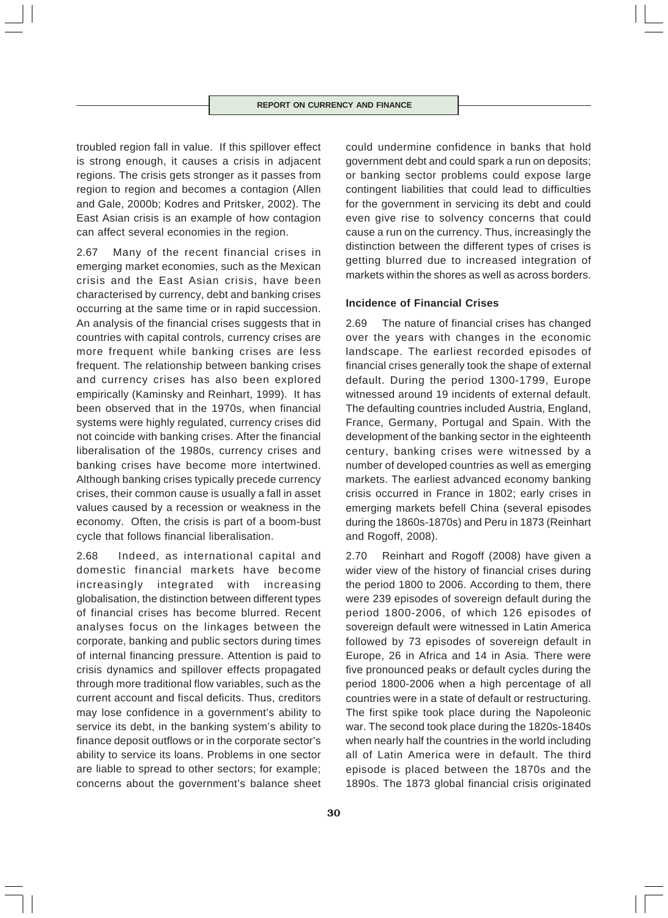troubled region fall in value. If this spillover effect is strong enough, it causes a crisis in adjacent regions. The crisis gets stronger as it passes from region to region and becomes a contagion (Allen and Gale, 2000b; Kodres and Pritsker, 2002). The East Asian crisis is an example of how contagion can affect several economies in the region.

2.67 Many of the recent financial crises in emerging market economies, such as the Mexican crisis and the East Asian crisis, have been characterised by currency, debt and banking crises occurring at the same time or in rapid succession. An analysis of the financial crises suggests that in countries with capital controls, currency crises are more frequent while banking crises are less frequent. The relationship between banking crises and currency crises has also been explored empirically (Kaminsky and Reinhart, 1999). It has been observed that in the 1970s, when financial systems were highly regulated, currency crises did not coincide with banking crises. After the financial liberalisation of the 1980s, currency crises and banking crises have become more intertwined. Although banking crises typically precede currency crises, their common cause is usually a fall in asset values caused by a recession or weakness in the economy. Often, the crisis is part of a boom-bust cycle that follows financial liberalisation.

2.68 Indeed, as international capital and domestic financial markets have become increasingly integrated with increasing globalisation, the distinction between different types of financial crises has become blurred. Recent analyses focus on the linkages between the corporate, banking and public sectors during times of internal financing pressure. Attention is paid to crisis dynamics and spillover effects propagated through more traditional flow variables, such as the current account and fiscal deficits. Thus, creditors may lose confidence in a government's ability to service its debt, in the banking system's ability to finance deposit outflows or in the corporate sector's ability to service its loans. Problems in one sector are liable to spread to other sectors; for example; concerns about the government's balance sheet could undermine confidence in banks that hold government debt and could spark a run on deposits; or banking sector problems could expose large contingent liabilities that could lead to difficulties for the government in servicing its debt and could even give rise to solvency concerns that could cause a run on the currency. Thus, increasingly the distinction between the different types of crises is getting blurred due to increased integration of markets within the shores as well as across borders.

# **Incidence of Financial Crises**

2.69 The nature of financial crises has changed over the years with changes in the economic landscape. The earliest recorded episodes of financial crises generally took the shape of external default. During the period 1300-1799, Europe witnessed around 19 incidents of external default. The defaulting countries included Austria, England, France, Germany, Portugal and Spain. With the development of the banking sector in the eighteenth century, banking crises were witnessed by a number of developed countries as well as emerging markets. The earliest advanced economy banking crisis occurred in France in 1802; early crises in emerging markets befell China (several episodes during the 1860s-1870s) and Peru in 1873 (Reinhart and Rogoff, 2008).

2.70 Reinhart and Rogoff (2008) have given a wider view of the history of financial crises during the period 1800 to 2006. According to them, there were 239 episodes of sovereign default during the period 1800-2006, of which 126 episodes of sovereign default were witnessed in Latin America followed by 73 episodes of sovereign default in Europe, 26 in Africa and 14 in Asia. There were five pronounced peaks or default cycles during the period 1800-2006 when a high percentage of all countries were in a state of default or restructuring. The first spike took place during the Napoleonic war. The second took place during the 1820s-1840s when nearly half the countries in the world including all of Latin America were in default. The third episode is placed between the 1870s and the 1890s. The 1873 global financial crisis originated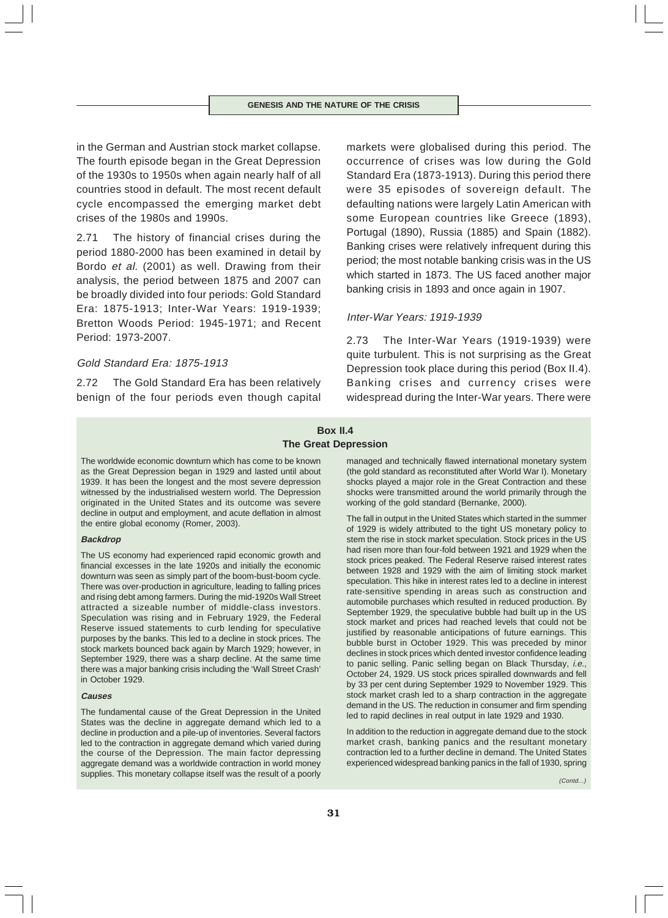in the German and Austrian stock market collapse. The fourth episode began in the Great Depression of the 1930s to 1950s when again nearly half of all countries stood in default. The most recent default cycle encompassed the emerging market debt crises of the 1980s and 1990s.

2.71 The history of financial crises during the period 1880-2000 has been examined in detail by Bordo et al. (2001) as well. Drawing from their analysis, the period between 1875 and 2007 can be broadly divided into four periods: Gold Standard Era: 1875-1913; Inter-War Years: 1919-1939; Bretton Woods Period: 1945-1971; and Recent Period: 1973-2007.

# Gold Standard Era: 1875-1913

2.72 The Gold Standard Era has been relatively benign of the four periods even though capital

markets were globalised during this period. The occurrence of crises was low during the Gold Standard Era (1873-1913). During this period there were 35 episodes of sovereign default. The defaulting nations were largely Latin American with some European countries like Greece (1893), Portugal (1890), Russia (1885) and Spain (1882). Banking crises were relatively infrequent during this period; the most notable banking crisis was in the US which started in 1873. The US faced another major banking crisis in 1893 and once again in 1907.

# Inter-War Years: 1919-1939

2.73 The Inter-War Years (1919-1939) were quite turbulent. This is not surprising as the Great Depression took place during this period (Box II.4). Banking crises and currency crises were widespread during the Inter-War years. There were

# **Box II.4 The Great Depression**

The worldwide economic downturn which has come to be known as the Great Depression began in 1929 and lasted until about 1939. It has been the longest and the most severe depression witnessed by the industrialised western world. The Depression originated in the United States and its outcome was severe decline in output and employment, and acute deflation in almost the entire global economy (Romer, 2003).

### **Backdrop**

The US economy had experienced rapid economic growth and financial excesses in the late 1920s and initially the economic downturn was seen as simply part of the boom-bust-boom cycle. There was over-production in agriculture, leading to falling prices and rising debt among farmers. During the mid-1920s Wall Street attracted a sizeable number of middle-class investors. Speculation was rising and in February 1929, the Federal Reserve issued statements to curb lending for speculative purposes by the banks. This led to a decline in stock prices. The stock markets bounced back again by March 1929; however, in September 1929, there was a sharp decline. At the same time there was a major banking crisis including the 'Wall Street Crash' in October 1929.

#### **Causes**

The fundamental cause of the Great Depression in the United States was the decline in aggregate demand which led to a decline in production and a pile-up of inventories. Several factors led to the contraction in aggregate demand which varied during the course of the Depression. The main factor depressing aggregate demand was a worldwide contraction in world money supplies. This monetary collapse itself was the result of a poorly managed and technically flawed international monetary system (the gold standard as reconstituted after World War I). Monetary shocks played a major role in the Great Contraction and these shocks were transmitted around the world primarily through the working of the gold standard (Bernanke, 2000).

The fall in output in the United States which started in the summer of 1929 is widely attributed to the tight US monetary policy to stem the rise in stock market speculation. Stock prices in the US had risen more than four-fold between 1921 and 1929 when the stock prices peaked. The Federal Reserve raised interest rates between 1928 and 1929 with the aim of limiting stock market speculation. This hike in interest rates led to a decline in interest rate-sensitive spending in areas such as construction and automobile purchases which resulted in reduced production. By September 1929, the speculative bubble had built up in the US stock market and prices had reached levels that could not be justified by reasonable anticipations of future earnings. This bubble burst in October 1929. This was preceded by minor declines in stock prices which dented investor confidence leading to panic selling. Panic selling began on Black Thursday, i.e., October 24, 1929. US stock prices spiralled downwards and fell by 33 per cent during September 1929 to November 1929. This stock market crash led to a sharp contraction in the aggregate demand in the US. The reduction in consumer and firm spending led to rapid declines in real output in late 1929 and 1930.

In addition to the reduction in aggregate demand due to the stock market crash, banking panics and the resultant monetary contraction led to a further decline in demand. The United States experienced widespread banking panics in the fall of 1930, spring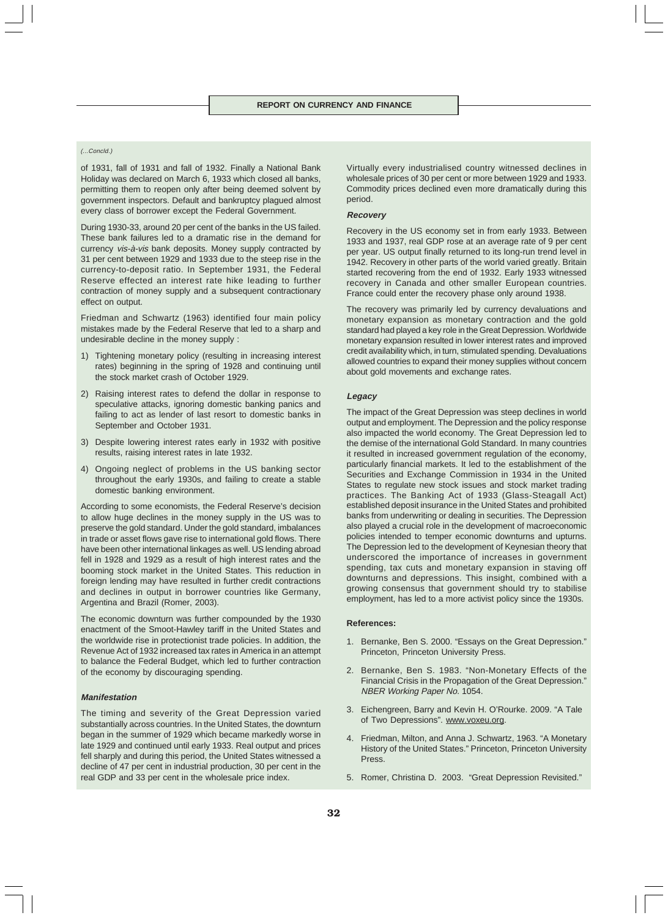#### (...Concld.)

of 1931, fall of 1931 and fall of 1932. Finally a National Bank Holiday was declared on March 6, 1933 which closed all banks, permitting them to reopen only after being deemed solvent by government inspectors. Default and bankruptcy plagued almost every class of borrower except the Federal Government.

During 1930-33, around 20 per cent of the banks in the US failed. These bank failures led to a dramatic rise in the demand for currency vis-à-vis bank deposits. Money supply contracted by 31 per cent between 1929 and 1933 due to the steep rise in the currency-to-deposit ratio. In September 1931, the Federal Reserve effected an interest rate hike leading to further contraction of money supply and a subsequent contractionary effect on output.

Friedman and Schwartz (1963) identified four main policy mistakes made by the Federal Reserve that led to a sharp and undesirable decline in the money supply :

- 1) Tightening monetary policy (resulting in increasing interest rates) beginning in the spring of 1928 and continuing until the stock market crash of October 1929.
- 2) Raising interest rates to defend the dollar in response to speculative attacks, ignoring domestic banking panics and failing to act as lender of last resort to domestic banks in September and October 1931.
- 3) Despite lowering interest rates early in 1932 with positive results, raising interest rates in late 1932.
- 4) Ongoing neglect of problems in the US banking sector throughout the early 1930s, and failing to create a stable domestic banking environment.

According to some economists, the Federal Reserve's decision to allow huge declines in the money supply in the US was to preserve the gold standard. Under the gold standard, imbalances in trade or asset flows gave rise to international gold flows. There have been other international linkages as well. US lending abroad fell in 1928 and 1929 as a result of high interest rates and the booming stock market in the United States. This reduction in foreign lending may have resulted in further credit contractions and declines in output in borrower countries like Germany, Argentina and Brazil (Romer, 2003).

The economic downturn was further compounded by the 1930 enactment of the Smoot-Hawley tariff in the United States and the worldwide rise in protectionist trade policies. In addition, the Revenue Act of 1932 increased tax rates in America in an attempt to balance the Federal Budget, which led to further contraction of the economy by discouraging spending.

#### **Manifestation**

The timing and severity of the Great Depression varied substantially across countries. In the United States, the downturn began in the summer of 1929 which became markedly worse in late 1929 and continued until early 1933. Real output and prices fell sharply and during this period, the United States witnessed a decline of 47 per cent in industrial production, 30 per cent in the real GDP and 33 per cent in the wholesale price index.

Virtually every industrialised country witnessed declines in wholesale prices of 30 per cent or more between 1929 and 1933. Commodity prices declined even more dramatically during this period.

#### **Recovery**

Recovery in the US economy set in from early 1933. Between 1933 and 1937, real GDP rose at an average rate of 9 per cent per year. US output finally returned to its long-run trend level in 1942. Recovery in other parts of the world varied greatly. Britain started recovering from the end of 1932. Early 1933 witnessed recovery in Canada and other smaller European countries. France could enter the recovery phase only around 1938.

The recovery was primarily led by currency devaluations and monetary expansion as monetary contraction and the gold standard had played a key role in the Great Depression. Worldwide monetary expansion resulted in lower interest rates and improved credit availability which, in turn, stimulated spending. Devaluations allowed countries to expand their money supplies without concern about gold movements and exchange rates.

#### **Legacy**

The impact of the Great Depression was steep declines in world output and employment. The Depression and the policy response also impacted the world economy. The Great Depression led to the demise of the international Gold Standard. In many countries it resulted in increased government regulation of the economy, particularly financial markets. It led to the establishment of the Securities and Exchange Commission in 1934 in the United States to regulate new stock issues and stock market trading practices. The Banking Act of 1933 (Glass-Steagall Act) established deposit insurance in the United States and prohibited banks from underwriting or dealing in securities. The Depression also played a crucial role in the development of macroeconomic policies intended to temper economic downturns and upturns. The Depression led to the development of Keynesian theory that underscored the importance of increases in government spending, tax cuts and monetary expansion in staving off downturns and depressions. This insight, combined with a growing consensus that government should try to stabilise employment, has led to a more activist policy since the 1930s.

#### **References:**

- 1. Bernanke, Ben S. 2000. "Essays on the Great Depression." Princeton, Princeton University Press.
- 2. Bernanke, Ben S. 1983. "Non-Monetary Effects of the Financial Crisis in the Propagation of the Great Depression." NBER Working Paper No. 1054.
- 3. Eichengreen, Barry and Kevin H. O'Rourke. 2009. "A Tale of Two Depressions". www.voxeu.org.
- 4. Friedman, Milton, and Anna J. Schwartz, 1963. "A Monetary History of the United States." Princeton, Princeton University Press.
- 5. Romer, Christina D. 2003. "Great Depression Revisited."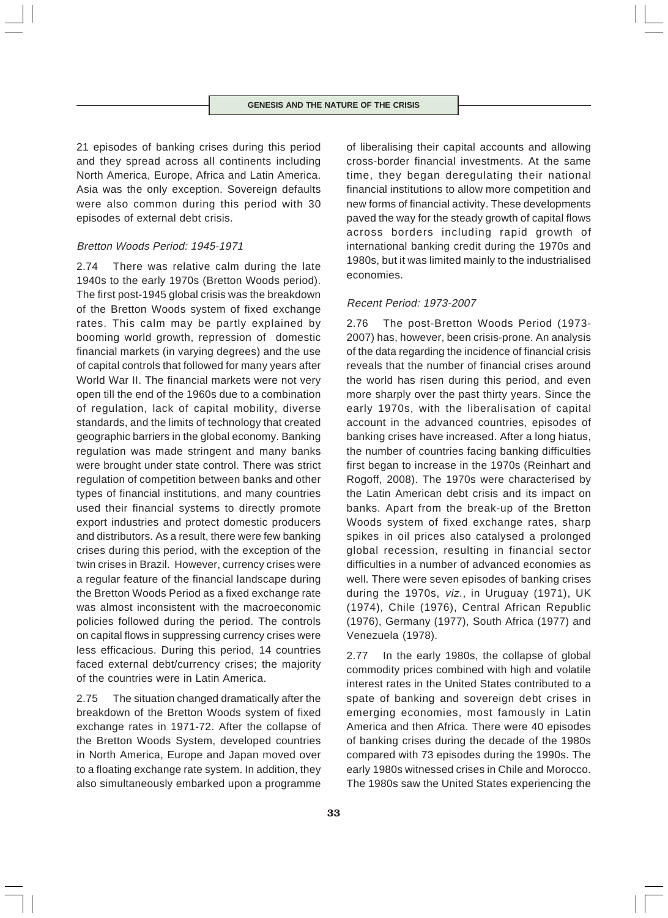21 episodes of banking crises during this period and they spread across all continents including North America, Europe, Africa and Latin America. Asia was the only exception. Sovereign defaults were also common during this period with 30 episodes of external debt crisis.

# Bretton Woods Period: 1945-1971

2.74 There was relative calm during the late 1940s to the early 1970s (Bretton Woods period). The first post-1945 global crisis was the breakdown of the Bretton Woods system of fixed exchange rates. This calm may be partly explained by booming world growth, repression of domestic financial markets (in varying degrees) and the use of capital controls that followed for many years after World War II. The financial markets were not very open till the end of the 1960s due to a combination of regulation, lack of capital mobility, diverse standards, and the limits of technology that created geographic barriers in the global economy. Banking regulation was made stringent and many banks were brought under state control. There was strict regulation of competition between banks and other types of financial institutions, and many countries used their financial systems to directly promote export industries and protect domestic producers and distributors. As a result, there were few banking crises during this period, with the exception of the twin crises in Brazil. However, currency crises were a regular feature of the financial landscape during the Bretton Woods Period as a fixed exchange rate was almost inconsistent with the macroeconomic policies followed during the period. The controls on capital flows in suppressing currency crises were less efficacious. During this period, 14 countries faced external debt/currency crises; the majority of the countries were in Latin America.

2.75 The situation changed dramatically after the breakdown of the Bretton Woods system of fixed exchange rates in 1971-72. After the collapse of the Bretton Woods System, developed countries in North America, Europe and Japan moved over to a floating exchange rate system. In addition, they also simultaneously embarked upon a programme of liberalising their capital accounts and allowing cross-border financial investments. At the same time, they began deregulating their national financial institutions to allow more competition and new forms of financial activity. These developments paved the way for the steady growth of capital flows across borders including rapid growth of international banking credit during the 1970s and 1980s, but it was limited mainly to the industrialised economies.

# Recent Period: 1973-2007

2.76 The post-Bretton Woods Period (1973- 2007) has, however, been crisis-prone. An analysis of the data regarding the incidence of financial crisis reveals that the number of financial crises around the world has risen during this period, and even more sharply over the past thirty years. Since the early 1970s, with the liberalisation of capital account in the advanced countries, episodes of banking crises have increased. After a long hiatus, the number of countries facing banking difficulties first began to increase in the 1970s (Reinhart and Rogoff, 2008). The 1970s were characterised by the Latin American debt crisis and its impact on banks. Apart from the break-up of the Bretton Woods system of fixed exchange rates, sharp spikes in oil prices also catalysed a prolonged global recession, resulting in financial sector difficulties in a number of advanced economies as well. There were seven episodes of banking crises during the 1970s, viz., in Uruguay (1971), UK (1974), Chile (1976), Central African Republic (1976), Germany (1977), South Africa (1977) and Venezuela (1978).

2.77 In the early 1980s, the collapse of global commodity prices combined with high and volatile interest rates in the United States contributed to a spate of banking and sovereign debt crises in emerging economies, most famously in Latin America and then Africa. There were 40 episodes of banking crises during the decade of the 1980s compared with 73 episodes during the 1990s. The early 1980s witnessed crises in Chile and Morocco. The 1980s saw the United States experiencing the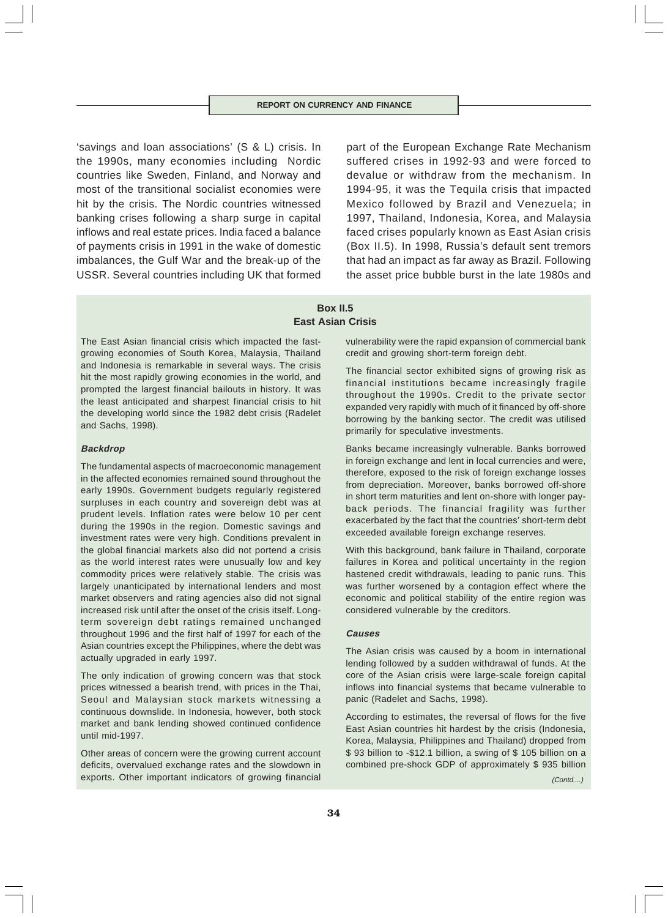'savings and loan associations' (S & L) crisis. In the 1990s, many economies including Nordic countries like Sweden, Finland, and Norway and most of the transitional socialist economies were hit by the crisis. The Nordic countries witnessed banking crises following a sharp surge in capital inflows and real estate prices. India faced a balance of payments crisis in 1991 in the wake of domestic imbalances, the Gulf War and the break-up of the USSR. Several countries including UK that formed

part of the European Exchange Rate Mechanism suffered crises in 1992-93 and were forced to devalue or withdraw from the mechanism. In 1994-95, it was the Tequila crisis that impacted Mexico followed by Brazil and Venezuela; in 1997, Thailand, Indonesia, Korea, and Malaysia faced crises popularly known as East Asian crisis (Box II.5). In 1998, Russia's default sent tremors that had an impact as far away as Brazil. Following the asset price bubble burst in the late 1980s and

# **Box II.5 East Asian Crisis**

The East Asian financial crisis which impacted the fastgrowing economies of South Korea, Malaysia, Thailand and Indonesia is remarkable in several ways. The crisis hit the most rapidly growing economies in the world, and prompted the largest financial bailouts in history. It was the least anticipated and sharpest financial crisis to hit the developing world since the 1982 debt crisis (Radelet and Sachs, 1998).

### **Backdrop**

The fundamental aspects of macroeconomic management in the affected economies remained sound throughout the early 1990s. Government budgets regularly registered surpluses in each country and sovereign debt was at prudent levels. Inflation rates were below 10 per cent during the 1990s in the region. Domestic savings and investment rates were very high. Conditions prevalent in the global financial markets also did not portend a crisis as the world interest rates were unusually low and key commodity prices were relatively stable. The crisis was largely unanticipated by international lenders and most market observers and rating agencies also did not signal increased risk until after the onset of the crisis itself. Longterm sovereign debt ratings remained unchanged throughout 1996 and the first half of 1997 for each of the Asian countries except the Philippines, where the debt was actually upgraded in early 1997.

The only indication of growing concern was that stock prices witnessed a bearish trend, with prices in the Thai, Seoul and Malaysian stock markets witnessing a continuous downslide. In Indonesia, however, both stock market and bank lending showed continued confidence until mid-1997.

Other areas of concern were the growing current account deficits, overvalued exchange rates and the slowdown in exports. Other important indicators of growing financial

vulnerability were the rapid expansion of commercial bank credit and growing short-term foreign debt.

The financial sector exhibited signs of growing risk as financial institutions became increasingly fragile throughout the 1990s. Credit to the private sector expanded very rapidly with much of it financed by off-shore borrowing by the banking sector. The credit was utilised primarily for speculative investments.

Banks became increasingly vulnerable. Banks borrowed in foreign exchange and lent in local currencies and were, therefore, exposed to the risk of foreign exchange losses from depreciation. Moreover, banks borrowed off-shore in short term maturities and lent on-shore with longer payback periods. The financial fragility was further exacerbated by the fact that the countries' short-term debt exceeded available foreign exchange reserves.

With this background, bank failure in Thailand, corporate failures in Korea and political uncertainty in the region hastened credit withdrawals, leading to panic runs. This was further worsened by a contagion effect where the economic and political stability of the entire region was considered vulnerable by the creditors.

### **Causes**

The Asian crisis was caused by a boom in international lending followed by a sudden withdrawal of funds. At the core of the Asian crisis were large-scale foreign capital inflows into financial systems that became vulnerable to panic (Radelet and Sachs, 1998).

According to estimates, the reversal of flows for the five East Asian countries hit hardest by the crisis (Indonesia, Korea, Malaysia, Philippines and Thailand) dropped from \$ 93 billion to -\$12.1 billion, a swing of \$ 105 billion on a combined pre-shock GDP of approximately \$ 935 billion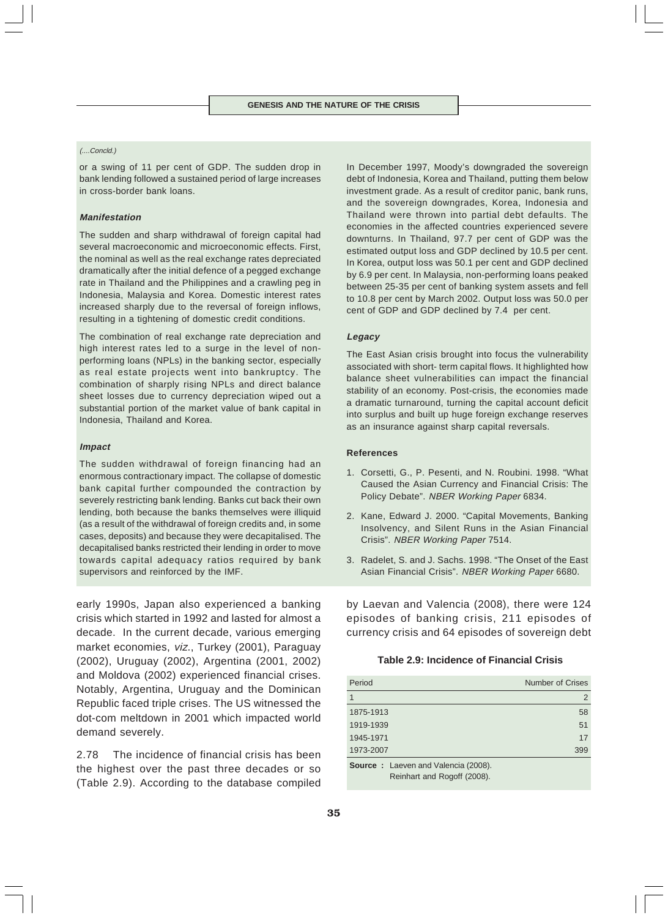#### (....Concld.)

or a swing of 11 per cent of GDP. The sudden drop in bank lending followed a sustained period of large increases in cross-border bank loans.

#### **Manifestation**

The sudden and sharp withdrawal of foreign capital had several macroeconomic and microeconomic effects. First, the nominal as well as the real exchange rates depreciated dramatically after the initial defence of a pegged exchange rate in Thailand and the Philippines and a crawling peg in Indonesia, Malaysia and Korea. Domestic interest rates increased sharply due to the reversal of foreign inflows, resulting in a tightening of domestic credit conditions.

The combination of real exchange rate depreciation and high interest rates led to a surge in the level of nonperforming loans (NPLs) in the banking sector, especially as real estate projects went into bankruptcy. The combination of sharply rising NPLs and direct balance sheet losses due to currency depreciation wiped out a substantial portion of the market value of bank capital in Indonesia, Thailand and Korea.

#### **Impact**

The sudden withdrawal of foreign financing had an enormous contractionary impact. The collapse of domestic bank capital further compounded the contraction by severely restricting bank lending. Banks cut back their own lending, both because the banks themselves were illiquid (as a result of the withdrawal of foreign credits and, in some cases, deposits) and because they were decapitalised. The decapitalised banks restricted their lending in order to move towards capital adequacy ratios required by bank supervisors and reinforced by the IMF.

early 1990s, Japan also experienced a banking crisis which started in 1992 and lasted for almost a decade. In the current decade, various emerging market economies, viz., Turkey (2001), Paraguay (2002), Uruguay (2002), Argentina (2001, 2002) and Moldova (2002) experienced financial crises. Notably, Argentina, Uruguay and the Dominican Republic faced triple crises. The US witnessed the dot-com meltdown in 2001 which impacted world demand severely.

2.78 The incidence of financial crisis has been the highest over the past three decades or so (Table 2.9). According to the database compiled

In December 1997, Moody's downgraded the sovereign debt of Indonesia, Korea and Thailand, putting them below investment grade. As a result of creditor panic, bank runs, and the sovereign downgrades, Korea, Indonesia and Thailand were thrown into partial debt defaults. The economies in the affected countries experienced severe downturns. In Thailand, 97.7 per cent of GDP was the estimated output loss and GDP declined by 10.5 per cent. In Korea, output loss was 50.1 per cent and GDP declined by 6.9 per cent. In Malaysia, non-performing loans peaked between 25-35 per cent of banking system assets and fell to 10.8 per cent by March 2002. Output loss was 50.0 per cent of GDP and GDP declined by 7.4 per cent.

# **Legacy**

The East Asian crisis brought into focus the vulnerability associated with short- term capital flows. It highlighted how balance sheet vulnerabilities can impact the financial stability of an economy. Post-crisis, the economies made a dramatic turnaround, turning the capital account deficit into surplus and built up huge foreign exchange reserves as an insurance against sharp capital reversals.

### **References**

- 1. Corsetti, G., P. Pesenti, and N. Roubini. 1998. "What Caused the Asian Currency and Financial Crisis: The Policy Debate". NBER Working Paper 6834.
- 2. Kane, Edward J. 2000. "Capital Movements, Banking Insolvency, and Silent Runs in the Asian Financial Crisis". NBER Working Paper 7514.
- 3. Radelet, S. and J. Sachs. 1998. "The Onset of the East Asian Financial Crisis". NBER Working Paper 6680.

by Laevan and Valencia (2008), there were 124 episodes of banking crisis, 211 episodes of currency crisis and 64 episodes of sovereign debt

# **Table 2.9: Incidence of Financial Crisis**

| Period                                     | <b>Number of Crises</b> |
|--------------------------------------------|-------------------------|
|                                            | 2                       |
| 1875-1913                                  | 58                      |
| 1919-1939                                  | 51                      |
| 1945-1971                                  | 17                      |
| 1973-2007                                  | 399                     |
| <b>Source:</b> Laeven and Valencia (2008). |                         |
| Reinhart and Rogoff (2008).                |                         |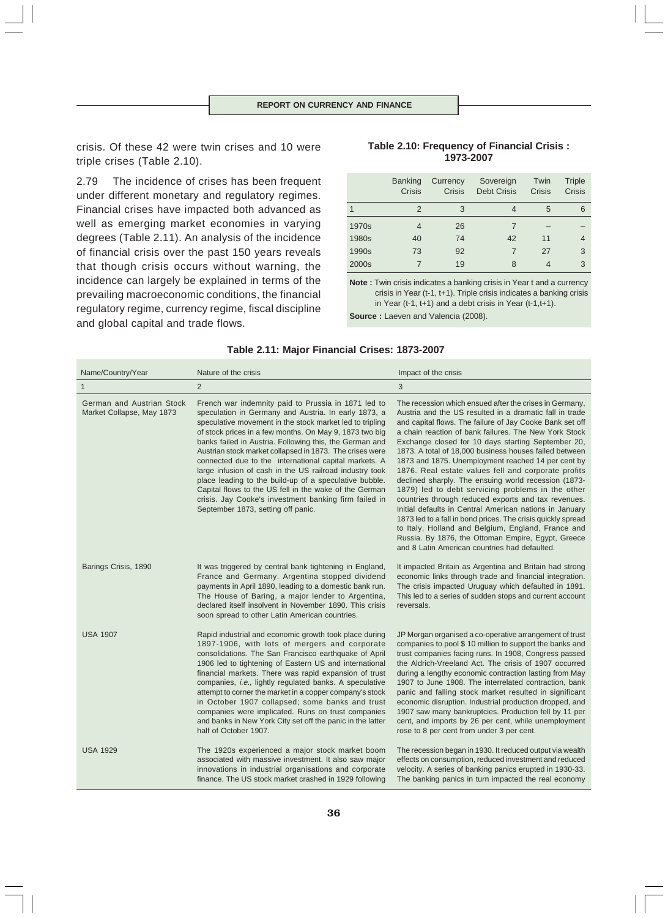crisis. Of these 42 were twin crises and 10 were triple crises (Table 2.10).

2.79 The incidence of crises has been frequent under different monetary and regulatory regimes. Financial crises have impacted both advanced as well as emerging market economies in varying degrees (Table 2.11). An analysis of the incidence of financial crisis over the past 150 years reveals that though crisis occurs without warning, the incidence can largely be explained in terms of the prevailing macroeconomic conditions, the financial regulatory regime, currency regime, fiscal discipline and global capital and trade flows.

# **Table 2.10: Frequency of Financial Crisis : 1973-2007**

|       | <b>Banking</b><br>Crisis | Currency<br><b>Crisis</b> | Sovereign<br><b>Debt Crisis</b> | Twin<br>Crisis | Triple<br>Crisis |
|-------|--------------------------|---------------------------|---------------------------------|----------------|------------------|
| 1     | $\mathcal{P}$            | 3                         | 4                               | 5              | 6                |
| 1970s | 4                        | 26                        |                                 |                |                  |
| 1980s | 40                       | 74                        | 42                              | 11             | 4                |
| 1990s | 73                       | 92                        | 7                               | 27             | 3                |
| 2000s |                          | 19                        | 8                               |                | 3                |

**Note :** Twin crisis indicates a banking crisis in Year t and a currency crisis in Year (t-1, t+1). Triple crisis indicates a banking crisis in Year (t-1, t+1) and a debt crisis in Year (t-1,t+1).

**Source :** Laeven and Valencia (2008).

| Name/Country/Year                                      | Nature of the crisis                                                                                                                                                                                                                                                                                                                                                                                                                                                                                                                                                                                                                                                                             | Impact of the crisis                                                                                                                                                                                                                                                                                                                                                                                                                                                                                                                                                                                                                                                                                                                                                                                                                                                                                                             |
|--------------------------------------------------------|--------------------------------------------------------------------------------------------------------------------------------------------------------------------------------------------------------------------------------------------------------------------------------------------------------------------------------------------------------------------------------------------------------------------------------------------------------------------------------------------------------------------------------------------------------------------------------------------------------------------------------------------------------------------------------------------------|----------------------------------------------------------------------------------------------------------------------------------------------------------------------------------------------------------------------------------------------------------------------------------------------------------------------------------------------------------------------------------------------------------------------------------------------------------------------------------------------------------------------------------------------------------------------------------------------------------------------------------------------------------------------------------------------------------------------------------------------------------------------------------------------------------------------------------------------------------------------------------------------------------------------------------|
| $\mathbf{1}$                                           | $\overline{2}$                                                                                                                                                                                                                                                                                                                                                                                                                                                                                                                                                                                                                                                                                   | 3                                                                                                                                                                                                                                                                                                                                                                                                                                                                                                                                                                                                                                                                                                                                                                                                                                                                                                                                |
| German and Austrian Stock<br>Market Collapse, May 1873 | French war indemnity paid to Prussia in 1871 led to<br>speculation in Germany and Austria. In early 1873, a<br>speculative movement in the stock market led to tripling<br>of stock prices in a few months. On May 9, 1873 two big<br>banks failed in Austria. Following this, the German and<br>Austrian stock market collapsed in 1873. The crises were<br>connected due to the international capital markets. A<br>large infusion of cash in the US railroad industry took<br>place leading to the build-up of a speculative bubble.<br>Capital flows to the US fell in the wake of the German<br>crisis. Jay Cooke's investment banking firm failed in<br>September 1873, setting off panic. | The recession which ensued after the crises in Germany,<br>Austria and the US resulted in a dramatic fall in trade<br>and capital flows. The failure of Jay Cooke Bank set off<br>a chain reaction of bank failures. The New York Stock<br>Exchange closed for 10 days starting September 20,<br>1873. A total of 18,000 business houses failed between<br>1873 and 1875. Unemployment reached 14 per cent by<br>1876. Real estate values fell and corporate profits<br>declined sharply. The ensuing world recession (1873-<br>1879) led to debt servicing problems in the other<br>countries through reduced exports and tax revenues.<br>Initial defaults in Central American nations in January<br>1873 led to a fall in bond prices. The crisis quickly spread<br>to Italy, Holland and Belgium, England, France and<br>Russia. By 1876, the Ottoman Empire, Egypt, Greece<br>and 8 Latin American countries had defaulted. |
| Barings Crisis, 1890                                   | It was triggered by central bank tightening in England,<br>France and Germany. Argentina stopped dividend<br>payments in April 1890, leading to a domestic bank run.<br>The House of Baring, a major lender to Argentina,<br>declared itself insolvent in November 1890. This crisis<br>soon spread to other Latin American countries.                                                                                                                                                                                                                                                                                                                                                           | It impacted Britain as Argentina and Britain had strong<br>economic links through trade and financial integration.<br>The crisis impacted Uruguay which defaulted in 1891.<br>This led to a series of sudden stops and current account<br>reversals.                                                                                                                                                                                                                                                                                                                                                                                                                                                                                                                                                                                                                                                                             |
| <b>USA 1907</b>                                        | Rapid industrial and economic growth took place during<br>1897-1906, with lots of mergers and corporate<br>consolidations. The San Francisco earthquake of April<br>1906 led to tightening of Eastern US and international<br>financial markets. There was rapid expansion of trust<br>companies, i.e., lightly regulated banks. A speculative<br>attempt to corner the market in a copper company's stock<br>in October 1907 collapsed; some banks and trust<br>companies were implicated. Runs on trust companies<br>and banks in New York City set off the panic in the latter<br>half of October 1907.                                                                                       | JP Morgan organised a co-operative arrangement of trust<br>companies to pool \$10 million to support the banks and<br>trust companies facing runs. In 1908, Congress passed<br>the Aldrich-Vreeland Act. The crisis of 1907 occurred<br>during a lengthy economic contraction lasting from May<br>1907 to June 1908. The interrelated contraction, bank<br>panic and falling stock market resulted in significant<br>economic disruption. Industrial production dropped, and<br>1907 saw many bankruptcies. Production fell by 11 per<br>cent, and imports by 26 per cent, while unemployment<br>rose to 8 per cent from under 3 per cent.                                                                                                                                                                                                                                                                                       |
| <b>USA 1929</b>                                        | The 1920s experienced a major stock market boom<br>associated with massive investment. It also saw major<br>innovations in industrial organisations and corporate<br>finance. The US stock market crashed in 1929 following                                                                                                                                                                                                                                                                                                                                                                                                                                                                      | The recession began in 1930. It reduced output via wealth<br>effects on consumption, reduced investment and reduced<br>velocity. A series of banking panics erupted in 1930-33.<br>The banking panics in turn impacted the real economy                                                                                                                                                                                                                                                                                                                                                                                                                                                                                                                                                                                                                                                                                          |

# **Table 2.11: Major Financial Crises: 1873-2007**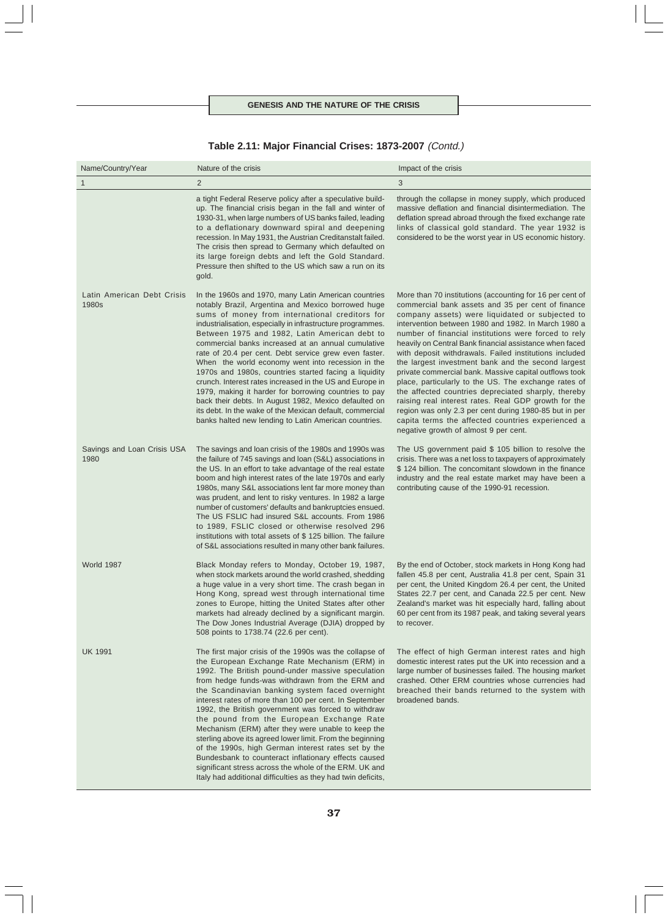| Table 2.11: Major Financial Crises: 1873-2007 (Contd.) |  |  |  |
|--------------------------------------------------------|--|--|--|
|--------------------------------------------------------|--|--|--|

| Name/Country/Year                   | Nature of the crisis                                                                                                                                                                                                                                                                                                                                                                                                                                                                                                                                                                                                                                                                                                                                                                                         | Impact of the crisis                                                                                                                                                                                                                                                                                                                                                                                                                                                                                                                                                                                                                                                                                                                                                                                                                                |
|-------------------------------------|--------------------------------------------------------------------------------------------------------------------------------------------------------------------------------------------------------------------------------------------------------------------------------------------------------------------------------------------------------------------------------------------------------------------------------------------------------------------------------------------------------------------------------------------------------------------------------------------------------------------------------------------------------------------------------------------------------------------------------------------------------------------------------------------------------------|-----------------------------------------------------------------------------------------------------------------------------------------------------------------------------------------------------------------------------------------------------------------------------------------------------------------------------------------------------------------------------------------------------------------------------------------------------------------------------------------------------------------------------------------------------------------------------------------------------------------------------------------------------------------------------------------------------------------------------------------------------------------------------------------------------------------------------------------------------|
| $\mathbf{1}$                        | $\overline{2}$                                                                                                                                                                                                                                                                                                                                                                                                                                                                                                                                                                                                                                                                                                                                                                                               | 3                                                                                                                                                                                                                                                                                                                                                                                                                                                                                                                                                                                                                                                                                                                                                                                                                                                   |
|                                     | a tight Federal Reserve policy after a speculative build-<br>up. The financial crisis began in the fall and winter of<br>1930-31, when large numbers of US banks failed, leading<br>to a deflationary downward spiral and deepening<br>recession. In May 1931, the Austrian Creditanstalt failed.<br>The crisis then spread to Germany which defaulted on<br>its large foreign debts and left the Gold Standard.<br>Pressure then shifted to the US which saw a run on its<br>gold.                                                                                                                                                                                                                                                                                                                          | through the collapse in money supply, which produced<br>massive deflation and financial disintermediation. The<br>deflation spread abroad through the fixed exchange rate<br>links of classical gold standard. The year 1932 is<br>considered to be the worst year in US economic history.                                                                                                                                                                                                                                                                                                                                                                                                                                                                                                                                                          |
| Latin American Debt Crisis<br>1980s | In the 1960s and 1970, many Latin American countries<br>notably Brazil, Argentina and Mexico borrowed huge<br>sums of money from international creditors for<br>industrialisation, especially in infrastructure programmes.<br>Between 1975 and 1982, Latin American debt to<br>commercial banks increased at an annual cumulative<br>rate of 20.4 per cent. Debt service grew even faster.<br>When the world economy went into recession in the<br>1970s and 1980s, countries started facing a liquidity<br>crunch. Interest rates increased in the US and Europe in<br>1979, making it harder for borrowing countries to pay<br>back their debts. In August 1982, Mexico defaulted on<br>its debt. In the wake of the Mexican default, commercial<br>banks halted new lending to Latin American countries. | More than 70 institutions (accounting for 16 per cent of<br>commercial bank assets and 35 per cent of finance<br>company assets) were liquidated or subjected to<br>intervention between 1980 and 1982. In March 1980 a<br>number of financial institutions were forced to rely<br>heavily on Central Bank financial assistance when faced<br>with deposit withdrawals. Failed institutions included<br>the largest investment bank and the second largest<br>private commercial bank. Massive capital outflows took<br>place, particularly to the US. The exchange rates of<br>the affected countries depreciated sharply, thereby<br>raising real interest rates. Real GDP growth for the<br>region was only 2.3 per cent during 1980-85 but in per<br>capita terms the affected countries experienced a<br>negative growth of almost 9 per cent. |
| Savings and Loan Crisis USA<br>1980 | The savings and loan crisis of the 1980s and 1990s was<br>the failure of 745 savings and loan (S&L) associations in<br>the US. In an effort to take advantage of the real estate<br>boom and high interest rates of the late 1970s and early<br>1980s, many S&L associations lent far more money than<br>was prudent, and lent to risky ventures. In 1982 a large<br>number of customers' defaults and bankruptcies ensued.<br>The US FSLIC had insured S&L accounts. From 1986<br>to 1989, FSLIC closed or otherwise resolved 296<br>institutions with total assets of \$125 billion. The failure<br>of S&L associations resulted in many other bank failures.                                                                                                                                              | The US government paid \$ 105 billion to resolve the<br>crisis. There was a net loss to taxpayers of approximately<br>\$124 billion. The concomitant slowdown in the finance<br>industry and the real estate market may have been a<br>contributing cause of the 1990-91 recession.                                                                                                                                                                                                                                                                                                                                                                                                                                                                                                                                                                 |
| World 1987                          | Black Monday refers to Monday, October 19, 1987,<br>when stock markets around the world crashed, shedding<br>a huge value in a very short time. The crash began in<br>Hong Kong, spread west through international time<br>zones to Europe, hitting the United States after other<br>markets had already declined by a significant margin.<br>The Dow Jones Industrial Average (DJIA) dropped by<br>508 points to 1738.74 (22.6 per cent).                                                                                                                                                                                                                                                                                                                                                                   | By the end of October, stock markets in Hong Kong had<br>fallen 45.8 per cent, Australia 41.8 per cent, Spain 31<br>per cent, the United Kingdom 26.4 per cent, the United<br>States 22.7 per cent, and Canada 22.5 per cent. New<br>Zealand's market was hit especially hard, falling about<br>60 per cent from its 1987 peak, and taking several years<br>to recover.                                                                                                                                                                                                                                                                                                                                                                                                                                                                             |
| <b>UK 1991</b>                      | The first major crisis of the 1990s was the collapse of<br>the European Exchange Rate Mechanism (ERM) in<br>1992. The British pound-under massive speculation<br>from hedge funds-was withdrawn from the ERM and<br>the Scandinavian banking system faced overnight<br>interest rates of more than 100 per cent. In September<br>1992, the British government was forced to withdraw<br>the pound from the European Exchange Rate<br>Mechanism (ERM) after they were unable to keep the<br>sterling above its agreed lower limit. From the beginning<br>of the 1990s, high German interest rates set by the<br>Bundesbank to counteract inflationary effects caused<br>significant stress across the whole of the ERM. UK and<br>Italy had additional difficulties as they had twin deficits,                | The effect of high German interest rates and high<br>domestic interest rates put the UK into recession and a<br>large number of businesses failed. The housing market<br>crashed. Other ERM countries whose currencies had<br>breached their bands returned to the system with<br>broadened bands.                                                                                                                                                                                                                                                                                                                                                                                                                                                                                                                                                  |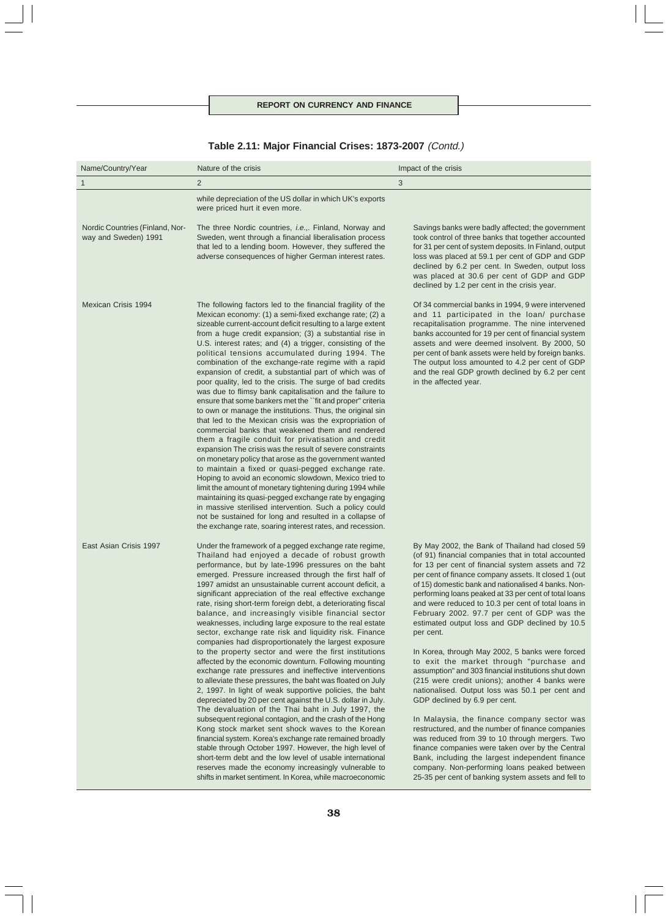| Name/Country/Year                                       | Nature of the crisis                                                                                                                                                                                                                                                                                                                                                                                                                                                                                                                                                                                                                                                                                                                                                                                                                                                                                                                                                                                                                                                                                                                                                                                                                                                                                                                                                                                                                                                                                 | Impact of the crisis                                                                                                                                                                                                                                                                                                                                                                                                                                                                                                                                                                                                                                                                                                                                                                                                                                                                                                                                                                                                                                                                                                                                                      |
|---------------------------------------------------------|------------------------------------------------------------------------------------------------------------------------------------------------------------------------------------------------------------------------------------------------------------------------------------------------------------------------------------------------------------------------------------------------------------------------------------------------------------------------------------------------------------------------------------------------------------------------------------------------------------------------------------------------------------------------------------------------------------------------------------------------------------------------------------------------------------------------------------------------------------------------------------------------------------------------------------------------------------------------------------------------------------------------------------------------------------------------------------------------------------------------------------------------------------------------------------------------------------------------------------------------------------------------------------------------------------------------------------------------------------------------------------------------------------------------------------------------------------------------------------------------------|---------------------------------------------------------------------------------------------------------------------------------------------------------------------------------------------------------------------------------------------------------------------------------------------------------------------------------------------------------------------------------------------------------------------------------------------------------------------------------------------------------------------------------------------------------------------------------------------------------------------------------------------------------------------------------------------------------------------------------------------------------------------------------------------------------------------------------------------------------------------------------------------------------------------------------------------------------------------------------------------------------------------------------------------------------------------------------------------------------------------------------------------------------------------------|
| 1                                                       | 2                                                                                                                                                                                                                                                                                                                                                                                                                                                                                                                                                                                                                                                                                                                                                                                                                                                                                                                                                                                                                                                                                                                                                                                                                                                                                                                                                                                                                                                                                                    | 3                                                                                                                                                                                                                                                                                                                                                                                                                                                                                                                                                                                                                                                                                                                                                                                                                                                                                                                                                                                                                                                                                                                                                                         |
|                                                         | while depreciation of the US dollar in which UK's exports<br>were priced hurt it even more.                                                                                                                                                                                                                                                                                                                                                                                                                                                                                                                                                                                                                                                                                                                                                                                                                                                                                                                                                                                                                                                                                                                                                                                                                                                                                                                                                                                                          |                                                                                                                                                                                                                                                                                                                                                                                                                                                                                                                                                                                                                                                                                                                                                                                                                                                                                                                                                                                                                                                                                                                                                                           |
| Nordic Countries (Finland, Nor-<br>way and Sweden) 1991 | The three Nordic countries, <i>i.e.</i> ,. Finland, Norway and<br>Sweden, went through a financial liberalisation process<br>that led to a lending boom. However, they suffered the<br>adverse consequences of higher German interest rates.                                                                                                                                                                                                                                                                                                                                                                                                                                                                                                                                                                                                                                                                                                                                                                                                                                                                                                                                                                                                                                                                                                                                                                                                                                                         | Savings banks were badly affected; the government<br>took control of three banks that together accounted<br>for 31 per cent of system deposits. In Finland, output<br>loss was placed at 59.1 per cent of GDP and GDP<br>declined by 6.2 per cent. In Sweden, output loss<br>was placed at 30.6 per cent of GDP and GDP<br>declined by 1.2 per cent in the crisis year.                                                                                                                                                                                                                                                                                                                                                                                                                                                                                                                                                                                                                                                                                                                                                                                                   |
| Mexican Crisis 1994                                     | The following factors led to the financial fragility of the<br>Mexican economy: (1) a semi-fixed exchange rate; (2) a<br>sizeable current-account deficit resulting to a large extent<br>from a huge credit expansion; (3) a substantial rise in<br>U.S. interest rates; and (4) a trigger, consisting of the<br>political tensions accumulated during 1994. The<br>combination of the exchange-rate regime with a rapid<br>expansion of credit, a substantial part of which was of<br>poor quality, led to the crisis. The surge of bad credits<br>was due to flimsy bank capitalisation and the failure to<br>ensure that some bankers met the "fit and proper" criteria<br>to own or manage the institutions. Thus, the original sin<br>that led to the Mexican crisis was the expropriation of<br>commercial banks that weakened them and rendered<br>them a fragile conduit for privatisation and credit<br>expansion The crisis was the result of severe constraints<br>on monetary policy that arose as the government wanted<br>to maintain a fixed or quasi-pegged exchange rate.<br>Hoping to avoid an economic slowdown, Mexico tried to<br>limit the amount of monetary tightening during 1994 while<br>maintaining its quasi-pegged exchange rate by engaging<br>in massive sterilised intervention. Such a policy could<br>not be sustained for long and resulted in a collapse of<br>the exchange rate, soaring interest rates, and recession.                                        | Of 34 commercial banks in 1994, 9 were intervened<br>and 11 participated in the loan/ purchase<br>recapitalisation programme. The nine intervened<br>banks accounted for 19 per cent of financial system<br>assets and were deemed insolvent. By 2000, 50<br>per cent of bank assets were held by foreign banks.<br>The output loss amounted to 4.2 per cent of GDP<br>and the real GDP growth declined by 6.2 per cent<br>in the affected year.                                                                                                                                                                                                                                                                                                                                                                                                                                                                                                                                                                                                                                                                                                                          |
| East Asian Crisis 1997                                  | Under the framework of a pegged exchange rate regime,<br>Thailand had enjoyed a decade of robust growth<br>performance, but by late-1996 pressures on the baht<br>emerged. Pressure increased through the first half of<br>1997 amidst an unsustainable current account deficit, a<br>significant appreciation of the real effective exchange<br>rate, rising short-term foreign debt, a deteriorating fiscal<br>balance, and increasingly visible financial sector<br>weaknesses, including large exposure to the real estate<br>sector, exchange rate risk and liquidity risk. Finance<br>companies had disproportionately the largest exposure<br>to the property sector and were the first institutions<br>affected by the economic downturn. Following mounting<br>exchange rate pressures and ineffective interventions<br>to alleviate these pressures, the baht was floated on July<br>2, 1997. In light of weak supportive policies, the baht<br>depreciated by 20 per cent against the U.S. dollar in July.<br>The devaluation of the Thai baht in July 1997, the<br>subsequent regional contagion, and the crash of the Hong<br>Kong stock market sent shock waves to the Korean<br>financial system. Korea's exchange rate remained broadly<br>stable through October 1997. However, the high level of<br>short-term debt and the low level of usable international<br>reserves made the economy increasingly vulnerable to<br>shifts in market sentiment. In Korea, while macroeconomic | By May 2002, the Bank of Thailand had closed 59<br>(of 91) financial companies that in total accounted<br>for 13 per cent of financial system assets and 72<br>per cent of finance company assets. It closed 1 (out<br>of 15) domestic bank and nationalised 4 banks. Non-<br>performing loans peaked at 33 per cent of total loans<br>and were reduced to 10.3 per cent of total loans in<br>February 2002. 97.7 per cent of GDP was the<br>estimated output loss and GDP declined by 10.5<br>per cent.<br>In Korea, through May 2002, 5 banks were forced<br>to exit the market through "purchase and<br>assumption" and 303 financial institutions shut down<br>(215 were credit unions); another 4 banks were<br>nationalised. Output loss was 50.1 per cent and<br>GDP declined by 6.9 per cent.<br>In Malaysia, the finance company sector was<br>restructured, and the number of finance companies<br>was reduced from 39 to 10 through mergers. Two<br>finance companies were taken over by the Central<br>Bank, including the largest independent finance<br>company. Non-performing loans peaked between<br>25-35 per cent of banking system assets and fell to |

# **Table 2.11: Major Financial Crises: 1873-2007** (Contd.)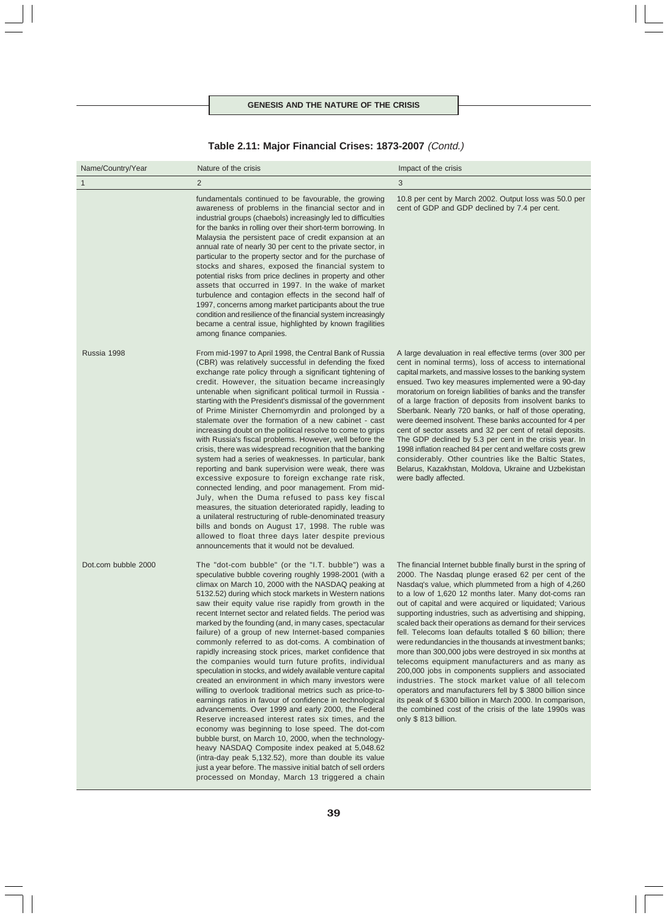|  |  | Table 2.11: Major Financial Crises: 1873-2007 (Contd.) |  |
|--|--|--------------------------------------------------------|--|
|--|--|--------------------------------------------------------|--|

| Name/Country/Year   | Nature of the crisis                                                                                                                                                                                                                                                                                                                                                                                                                                                                                                                                                                                                                                                                                                                                                                                                                                                                                                                                                                                                                                                                                                                                                                                                                                                                                                                                  | Impact of the crisis                                                                                                                                                                                                                                                                                                                                                                                                                                                                                                                                                                                                                                                                                                                                                                                                                                                                                                                                                            |
|---------------------|-------------------------------------------------------------------------------------------------------------------------------------------------------------------------------------------------------------------------------------------------------------------------------------------------------------------------------------------------------------------------------------------------------------------------------------------------------------------------------------------------------------------------------------------------------------------------------------------------------------------------------------------------------------------------------------------------------------------------------------------------------------------------------------------------------------------------------------------------------------------------------------------------------------------------------------------------------------------------------------------------------------------------------------------------------------------------------------------------------------------------------------------------------------------------------------------------------------------------------------------------------------------------------------------------------------------------------------------------------|---------------------------------------------------------------------------------------------------------------------------------------------------------------------------------------------------------------------------------------------------------------------------------------------------------------------------------------------------------------------------------------------------------------------------------------------------------------------------------------------------------------------------------------------------------------------------------------------------------------------------------------------------------------------------------------------------------------------------------------------------------------------------------------------------------------------------------------------------------------------------------------------------------------------------------------------------------------------------------|
| $\mathbf{1}$        | 2                                                                                                                                                                                                                                                                                                                                                                                                                                                                                                                                                                                                                                                                                                                                                                                                                                                                                                                                                                                                                                                                                                                                                                                                                                                                                                                                                     | 3                                                                                                                                                                                                                                                                                                                                                                                                                                                                                                                                                                                                                                                                                                                                                                                                                                                                                                                                                                               |
|                     | fundamentals continued to be favourable, the growing<br>awareness of problems in the financial sector and in<br>industrial groups (chaebols) increasingly led to difficulties<br>for the banks in rolling over their short-term borrowing. In<br>Malaysia the persistent pace of credit expansion at an<br>annual rate of nearly 30 per cent to the private sector, in<br>particular to the property sector and for the purchase of<br>stocks and shares, exposed the financial system to<br>potential risks from price declines in property and other<br>assets that occurred in 1997. In the wake of market<br>turbulence and contagion effects in the second half of<br>1997, concerns among market participants about the true<br>condition and resilience of the financial system increasingly<br>became a central issue, highlighted by known fragilities<br>among finance companies.                                                                                                                                                                                                                                                                                                                                                                                                                                                           | 10.8 per cent by March 2002. Output loss was 50.0 per<br>cent of GDP and GDP declined by 7.4 per cent.                                                                                                                                                                                                                                                                                                                                                                                                                                                                                                                                                                                                                                                                                                                                                                                                                                                                          |
| Russia 1998         | From mid-1997 to April 1998, the Central Bank of Russia<br>(CBR) was relatively successful in defending the fixed<br>exchange rate policy through a significant tightening of<br>credit. However, the situation became increasingly<br>untenable when significant political turmoil in Russia -<br>starting with the President's dismissal of the government<br>of Prime Minister Chernomyrdin and prolonged by a<br>stalemate over the formation of a new cabinet - cast<br>increasing doubt on the political resolve to come to grips<br>with Russia's fiscal problems. However, well before the<br>crisis, there was widespread recognition that the banking<br>system had a series of weaknesses. In particular, bank<br>reporting and bank supervision were weak, there was<br>excessive exposure to foreign exchange rate risk,<br>connected lending, and poor management. From mid-<br>July, when the Duma refused to pass key fiscal<br>measures, the situation deteriorated rapidly, leading to<br>a unilateral restructuring of ruble-denominated treasury<br>bills and bonds on August 17, 1998. The ruble was<br>allowed to float three days later despite previous<br>announcements that it would not be devalued.                                                                                                                       | A large devaluation in real effective terms (over 300 per<br>cent in nominal terms), loss of access to international<br>capital markets, and massive losses to the banking system<br>ensued. Two key measures implemented were a 90-day<br>moratorium on foreign liabilities of banks and the transfer<br>of a large fraction of deposits from insolvent banks to<br>Sberbank. Nearly 720 banks, or half of those operating,<br>were deemed insolvent. These banks accounted for 4 per<br>cent of sector assets and 32 per cent of retail deposits.<br>The GDP declined by 5.3 per cent in the crisis year. In<br>1998 inflation reached 84 per cent and welfare costs grew<br>considerably. Other countries like the Baltic States,<br>Belarus, Kazakhstan, Moldova, Ukraine and Uzbekistan<br>were badly affected.                                                                                                                                                            |
| Dot.com bubble 2000 | The "dot-com bubble" (or the "I.T. bubble") was a<br>speculative bubble covering roughly 1998-2001 (with a<br>climax on March 10, 2000 with the NASDAQ peaking at<br>5132.52) during which stock markets in Western nations<br>saw their equity value rise rapidly from growth in the<br>recent Internet sector and related fields. The period was<br>marked by the founding (and, in many cases, spectacular<br>failure) of a group of new Internet-based companies<br>commonly referred to as dot-coms. A combination of<br>rapidly increasing stock prices, market confidence that<br>the companies would turn future profits, individual<br>speculation in stocks, and widely available venture capital<br>created an environment in which many investors were<br>willing to overlook traditional metrics such as price-to-<br>earnings ratios in favour of confidence in technological<br>advancements. Over 1999 and early 2000, the Federal<br>Reserve increased interest rates six times, and the<br>economy was beginning to lose speed. The dot-com<br>bubble burst, on March 10, 2000, when the technology-<br>heavy NASDAQ Composite index peaked at 5,048.62<br>(intra-day peak 5,132.52), more than double its value<br>just a year before. The massive initial batch of sell orders<br>processed on Monday, March 13 triggered a chain | The financial Internet bubble finally burst in the spring of<br>2000. The Nasdaq plunge erased 62 per cent of the<br>Nasdag's value, which plummeted from a high of 4,260<br>to a low of 1,620 12 months later. Many dot-coms ran<br>out of capital and were acquired or liquidated; Various<br>supporting industries, such as advertising and shipping,<br>scaled back their operations as demand for their services<br>fell. Telecoms loan defaults totalled \$ 60 billion; there<br>were redundancies in the thousands at investment banks;<br>more than 300,000 jobs were destroyed in six months at<br>telecoms equipment manufacturers and as many as<br>200,000 jobs in components suppliers and associated<br>industries. The stock market value of all telecom<br>operators and manufacturers fell by \$3800 billion since<br>its peak of \$6300 billion in March 2000. In comparison,<br>the combined cost of the crisis of the late 1990s was<br>only \$813 billion. |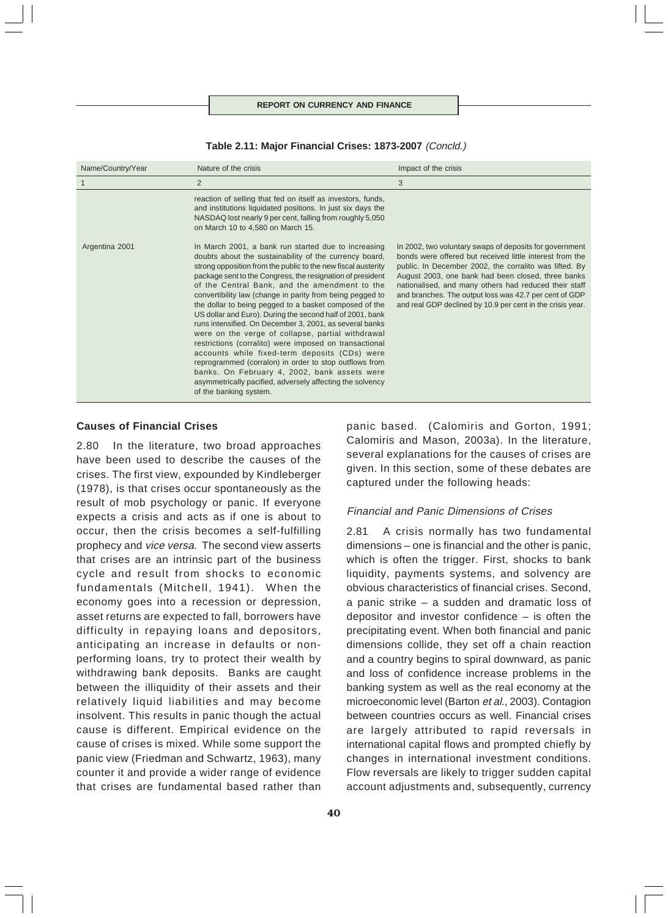| Name/Country/Year | Nature of the crisis                                                                                                                                                                                                                                                                                                                                                                                                                                                                                                                                                                                                                                                                                                                                                                                                                                                                                          | Impact of the crisis                                                                                                                                                                                                                                                                                                                                                                                                 |
|-------------------|---------------------------------------------------------------------------------------------------------------------------------------------------------------------------------------------------------------------------------------------------------------------------------------------------------------------------------------------------------------------------------------------------------------------------------------------------------------------------------------------------------------------------------------------------------------------------------------------------------------------------------------------------------------------------------------------------------------------------------------------------------------------------------------------------------------------------------------------------------------------------------------------------------------|----------------------------------------------------------------------------------------------------------------------------------------------------------------------------------------------------------------------------------------------------------------------------------------------------------------------------------------------------------------------------------------------------------------------|
|                   | 2                                                                                                                                                                                                                                                                                                                                                                                                                                                                                                                                                                                                                                                                                                                                                                                                                                                                                                             | 3                                                                                                                                                                                                                                                                                                                                                                                                                    |
|                   | reaction of selling that fed on itself as investors, funds,<br>and institutions liquidated positions. In just six days the<br>NASDAQ lost nearly 9 per cent, falling from roughly 5,050<br>on March 10 to 4,580 on March 15.                                                                                                                                                                                                                                                                                                                                                                                                                                                                                                                                                                                                                                                                                  |                                                                                                                                                                                                                                                                                                                                                                                                                      |
| Argentina 2001    | In March 2001, a bank run started due to increasing<br>doubts about the sustainability of the currency board,<br>strong opposition from the public to the new fiscal austerity<br>package sent to the Congress, the resignation of president<br>of the Central Bank, and the amendment to the<br>convertibility law (change in parity from being pegged to<br>the dollar to being pegged to a basket composed of the<br>US dollar and Euro). During the second half of 2001, bank<br>runs intensified. On December 3, 2001, as several banks<br>were on the verge of collapse, partial withdrawal<br>restrictions (corralito) were imposed on transactional<br>accounts while fixed-term deposits (CDs) were<br>reprogrammed (corralon) in order to stop outflows from<br>banks. On February 4, 2002, bank assets were<br>asymmetrically pacified, adversely affecting the solvency<br>of the banking system. | In 2002, two voluntary swaps of deposits for government<br>bonds were offered but received little interest from the<br>public. In December 2002, the corralito was lifted. By<br>August 2003, one bank had been closed, three banks<br>nationalised, and many others had reduced their staff<br>and branches. The output loss was 42.7 per cent of GDP<br>and real GDP declined by 10.9 per cent in the crisis year. |

**Table 2.11: Major Financial Crises: 1873-2007** (Concld.)

# **Causes of Financial Crises**

2.80 In the literature, two broad approaches have been used to describe the causes of the crises. The first view, expounded by Kindleberger (1978), is that crises occur spontaneously as the result of mob psychology or panic. If everyone expects a crisis and acts as if one is about to occur, then the crisis becomes a self-fulfilling prophecy and vice versa. The second view asserts that crises are an intrinsic part of the business cycle and result from shocks to economic fundamentals (Mitchell, 1941). When the economy goes into a recession or depression, asset returns are expected to fall, borrowers have difficulty in repaying loans and depositors, anticipating an increase in defaults or nonperforming loans, try to protect their wealth by withdrawing bank deposits. Banks are caught between the illiquidity of their assets and their relatively liquid liabilities and may become insolvent. This results in panic though the actual cause is different. Empirical evidence on the cause of crises is mixed. While some support the panic view (Friedman and Schwartz, 1963), many counter it and provide a wider range of evidence that crises are fundamental based rather than

panic based. (Calomiris and Gorton, 1991; Calomiris and Mason, 2003a). In the literature, several explanations for the causes of crises are given. In this section, some of these debates are captured under the following heads:

# Financial and Panic Dimensions of Crises

2.81 A crisis normally has two fundamental dimensions – one is financial and the other is panic, which is often the trigger. First, shocks to bank liquidity, payments systems, and solvency are obvious characteristics of financial crises. Second, a panic strike – a sudden and dramatic loss of depositor and investor confidence – is often the precipitating event. When both financial and panic dimensions collide, they set off a chain reaction and a country begins to spiral downward, as panic and loss of confidence increase problems in the banking system as well as the real economy at the microeconomic level (Barton et al., 2003). Contagion between countries occurs as well. Financial crises are largely attributed to rapid reversals in international capital flows and prompted chiefly by changes in international investment conditions. Flow reversals are likely to trigger sudden capital account adjustments and, subsequently, currency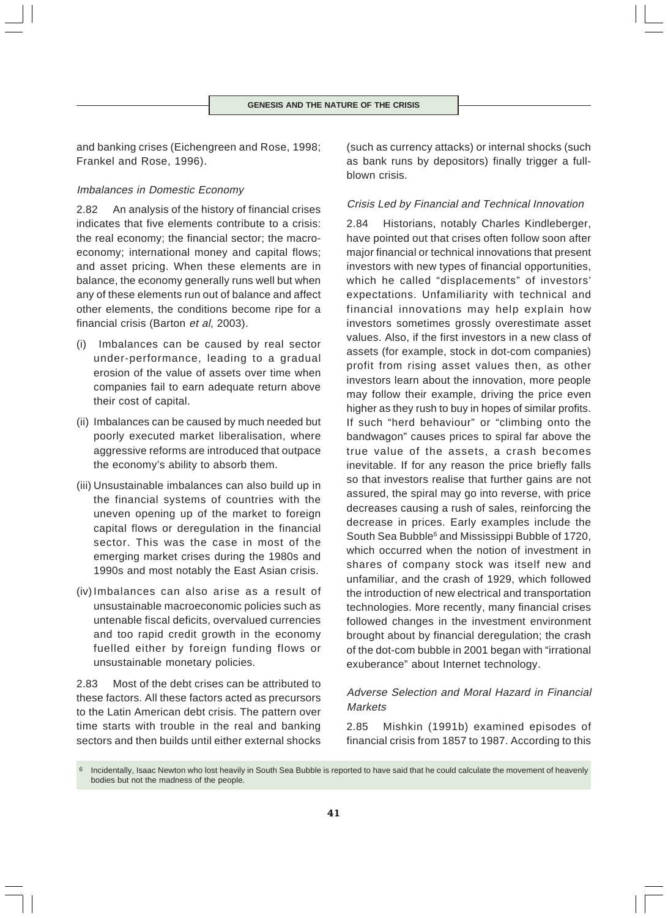and banking crises (Eichengreen and Rose, 1998; Frankel and Rose, 1996).

# Imbalances in Domestic Economy

2.82 An analysis of the history of financial crises indicates that five elements contribute to a crisis: the real economy; the financial sector; the macroeconomy; international money and capital flows; and asset pricing. When these elements are in balance, the economy generally runs well but when any of these elements run out of balance and affect other elements, the conditions become ripe for a financial crisis (Barton et al, 2003).

- (i) Imbalances can be caused by real sector under-performance, leading to a gradual erosion of the value of assets over time when companies fail to earn adequate return above their cost of capital.
- (ii) Imbalances can be caused by much needed but poorly executed market liberalisation, where aggressive reforms are introduced that outpace the economy's ability to absorb them.
- (iii) Unsustainable imbalances can also build up in the financial systems of countries with the uneven opening up of the market to foreign capital flows or deregulation in the financial sector. This was the case in most of the emerging market crises during the 1980s and 1990s and most notably the East Asian crisis.
- (iv) Imbalances can also arise as a result of unsustainable macroeconomic policies such as untenable fiscal deficits, overvalued currencies and too rapid credit growth in the economy fuelled either by foreign funding flows or unsustainable monetary policies.

2.83 Most of the debt crises can be attributed to these factors. All these factors acted as precursors to the Latin American debt crisis. The pattern over time starts with trouble in the real and banking sectors and then builds until either external shocks

(such as currency attacks) or internal shocks (such as bank runs by depositors) finally trigger a fullblown crisis.

### Crisis Led by Financial and Technical Innovation

2.84 Historians, notably Charles Kindleberger, have pointed out that crises often follow soon after major financial or technical innovations that present investors with new types of financial opportunities, which he called "displacements" of investors' expectations. Unfamiliarity with technical and financial innovations may help explain how investors sometimes grossly overestimate asset values. Also, if the first investors in a new class of assets (for example, stock in dot-com companies) profit from rising asset values then, as other investors learn about the innovation, more people may follow their example, driving the price even higher as they rush to buy in hopes of similar profits. If such "herd behaviour" or "climbing onto the bandwagon" causes prices to spiral far above the true value of the assets, a crash becomes inevitable. If for any reason the price briefly falls so that investors realise that further gains are not assured, the spiral may go into reverse, with price decreases causing a rush of sales, reinforcing the decrease in prices. Early examples include the South Sea Bubble<sup>6</sup> and Mississippi Bubble of 1720, which occurred when the notion of investment in shares of company stock was itself new and unfamiliar, and the crash of 1929, which followed the introduction of new electrical and transportation technologies. More recently, many financial crises followed changes in the investment environment brought about by financial deregulation; the crash of the dot-com bubble in 2001 began with "irrational exuberance" about Internet technology.

# Adverse Selection and Moral Hazard in Financial Markets

2.85 Mishkin (1991b) examined episodes of financial crisis from 1857 to 1987. According to this

Incidentally, Isaac Newton who lost heavily in South Sea Bubble is reported to have said that he could calculate the movement of heavenly bodies but not the madness of the people.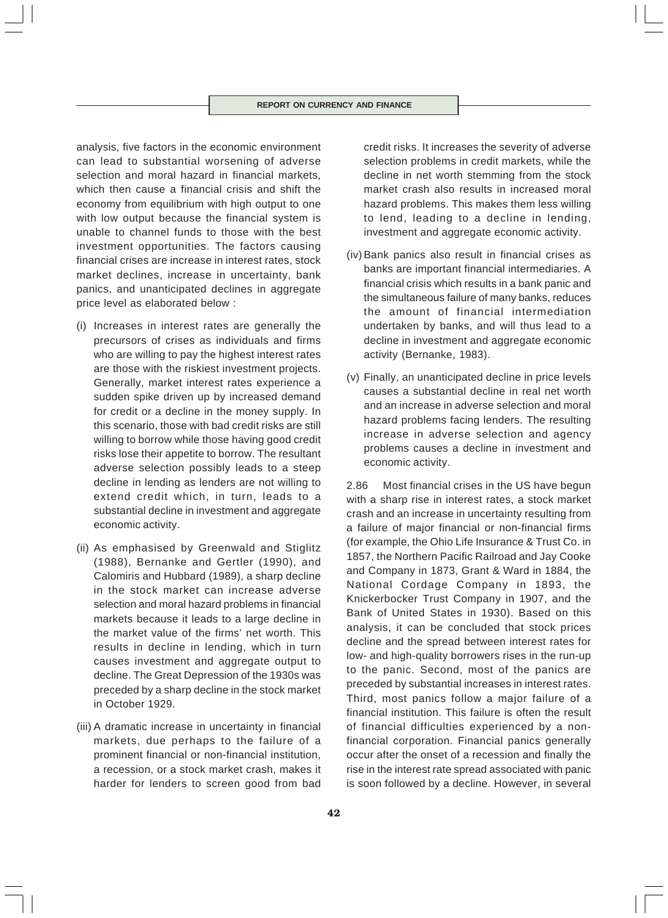analysis, five factors in the economic environment can lead to substantial worsening of adverse selection and moral hazard in financial markets, which then cause a financial crisis and shift the economy from equilibrium with high output to one with low output because the financial system is unable to channel funds to those with the best investment opportunities. The factors causing financial crises are increase in interest rates, stock market declines, increase in uncertainty, bank panics, and unanticipated declines in aggregate price level as elaborated below :

- (i) Increases in interest rates are generally the precursors of crises as individuals and firms who are willing to pay the highest interest rates are those with the riskiest investment projects. Generally, market interest rates experience a sudden spike driven up by increased demand for credit or a decline in the money supply. In this scenario, those with bad credit risks are still willing to borrow while those having good credit risks lose their appetite to borrow. The resultant adverse selection possibly leads to a steep decline in lending as lenders are not willing to extend credit which, in turn, leads to a substantial decline in investment and aggregate economic activity.
- (ii) As emphasised by Greenwald and Stiglitz (1988), Bernanke and Gertler (1990), and Calomiris and Hubbard (1989), a sharp decline in the stock market can increase adverse selection and moral hazard problems in financial markets because it leads to a large decline in the market value of the firms' net worth. This results in decline in lending, which in turn causes investment and aggregate output to decline. The Great Depression of the 1930s was preceded by a sharp decline in the stock market in October 1929.
- (iii) A dramatic increase in uncertainty in financial markets, due perhaps to the failure of a prominent financial or non-financial institution, a recession, or a stock market crash, makes it harder for lenders to screen good from bad

credit risks. It increases the severity of adverse selection problems in credit markets, while the decline in net worth stemming from the stock market crash also results in increased moral hazard problems. This makes them less willing to lend, leading to a decline in lending, investment and aggregate economic activity.

- (iv) Bank panics also result in financial crises as banks are important financial intermediaries. A financial crisis which results in a bank panic and the simultaneous failure of many banks, reduces the amount of financial intermediation undertaken by banks, and will thus lead to a decline in investment and aggregate economic activity (Bernanke, 1983).
- (v) Finally, an unanticipated decline in price levels causes a substantial decline in real net worth and an increase in adverse selection and moral hazard problems facing lenders. The resulting increase in adverse selection and agency problems causes a decline in investment and economic activity.

2.86 Most financial crises in the US have begun with a sharp rise in interest rates, a stock market crash and an increase in uncertainty resulting from a failure of major financial or non-financial firms (for example, the Ohio Life Insurance & Trust Co. in 1857, the Northern Pacific Railroad and Jay Cooke and Company in 1873, Grant & Ward in 1884, the National Cordage Company in 1893, the Knickerbocker Trust Company in 1907, and the Bank of United States in 1930). Based on this analysis, it can be concluded that stock prices decline and the spread between interest rates for low- and high-quality borrowers rises in the run-up to the panic. Second, most of the panics are preceded by substantial increases in interest rates. Third, most panics follow a major failure of a financial institution. This failure is often the result of financial difficulties experienced by a nonfinancial corporation. Financial panics generally occur after the onset of a recession and finally the rise in the interest rate spread associated with panic is soon followed by a decline. However, in several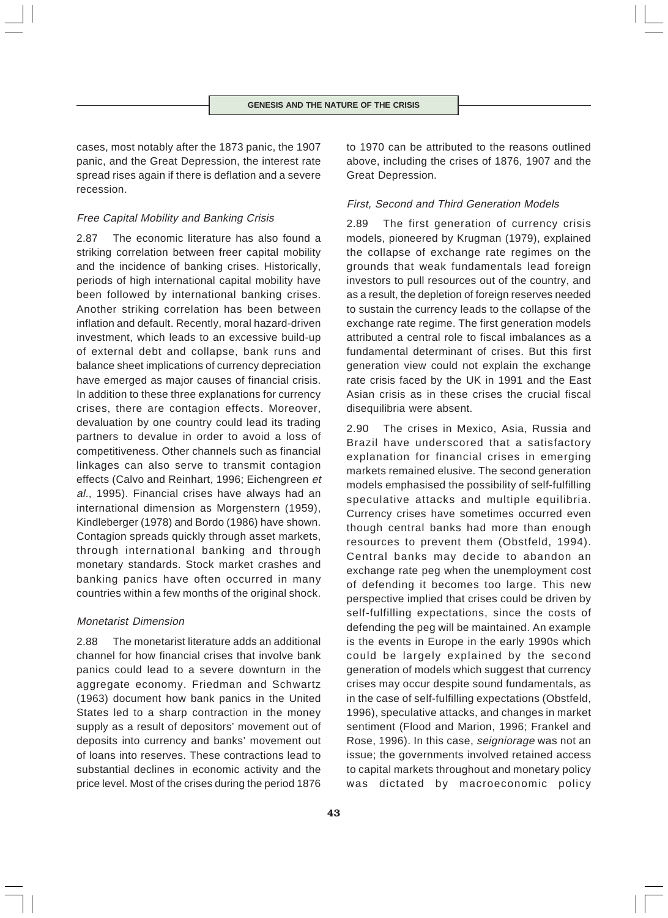cases, most notably after the 1873 panic, the 1907 panic, and the Great Depression, the interest rate spread rises again if there is deflation and a severe recession.

# Free Capital Mobility and Banking Crisis

2.87 The economic literature has also found a striking correlation between freer capital mobility and the incidence of banking crises. Historically, periods of high international capital mobility have been followed by international banking crises. Another striking correlation has been between inflation and default. Recently, moral hazard-driven investment, which leads to an excessive build-up of external debt and collapse, bank runs and balance sheet implications of currency depreciation have emerged as major causes of financial crisis. In addition to these three explanations for currency crises, there are contagion effects. Moreover, devaluation by one country could lead its trading partners to devalue in order to avoid a loss of competitiveness. Other channels such as financial linkages can also serve to transmit contagion effects (Calvo and Reinhart, 1996; Eichengreen et al., 1995). Financial crises have always had an international dimension as Morgenstern (1959), Kindleberger (1978) and Bordo (1986) have shown. Contagion spreads quickly through asset markets, through international banking and through monetary standards. Stock market crashes and banking panics have often occurred in many countries within a few months of the original shock.

### Monetarist Dimension

2.88 The monetarist literature adds an additional channel for how financial crises that involve bank panics could lead to a severe downturn in the aggregate economy. Friedman and Schwartz (1963) document how bank panics in the United States led to a sharp contraction in the money supply as a result of depositors' movement out of deposits into currency and banks' movement out of loans into reserves. These contractions lead to substantial declines in economic activity and the price level. Most of the crises during the period 1876 to 1970 can be attributed to the reasons outlined above, including the crises of 1876, 1907 and the Great Depression.

### First, Second and Third Generation Models

2.89 The first generation of currency crisis models, pioneered by Krugman (1979), explained the collapse of exchange rate regimes on the grounds that weak fundamentals lead foreign investors to pull resources out of the country, and as a result, the depletion of foreign reserves needed to sustain the currency leads to the collapse of the exchange rate regime. The first generation models attributed a central role to fiscal imbalances as a fundamental determinant of crises. But this first generation view could not explain the exchange rate crisis faced by the UK in 1991 and the East Asian crisis as in these crises the crucial fiscal disequilibria were absent.

2.90 The crises in Mexico, Asia, Russia and Brazil have underscored that a satisfactory explanation for financial crises in emerging markets remained elusive. The second generation models emphasised the possibility of self-fulfilling speculative attacks and multiple equilibria. Currency crises have sometimes occurred even though central banks had more than enough resources to prevent them (Obstfeld, 1994). Central banks may decide to abandon an exchange rate peg when the unemployment cost of defending it becomes too large. This new perspective implied that crises could be driven by self-fulfilling expectations, since the costs of defending the peg will be maintained. An example is the events in Europe in the early 1990s which could be largely explained by the second generation of models which suggest that currency crises may occur despite sound fundamentals, as in the case of self-fulfilling expectations (Obstfeld, 1996), speculative attacks, and changes in market sentiment (Flood and Marion, 1996; Frankel and Rose, 1996). In this case, seigniorage was not an issue; the governments involved retained access to capital markets throughout and monetary policy was dictated by macroeconomic policy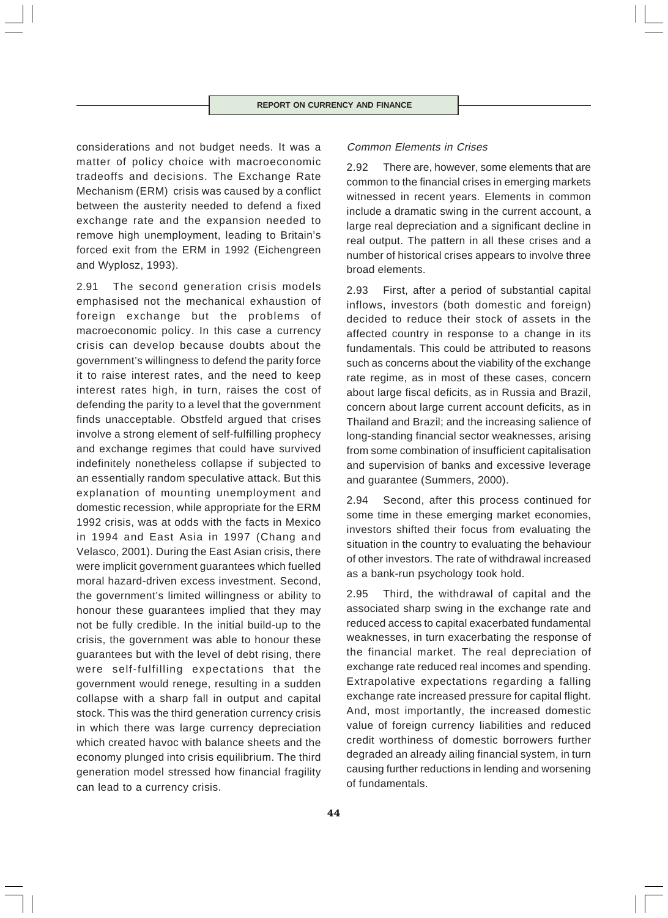considerations and not budget needs. It was a matter of policy choice with macroeconomic tradeoffs and decisions. The Exchange Rate Mechanism (ERM) crisis was caused by a conflict between the austerity needed to defend a fixed exchange rate and the expansion needed to remove high unemployment, leading to Britain's forced exit from the ERM in 1992 (Eichengreen and Wyplosz, 1993).

2.91 The second generation crisis models emphasised not the mechanical exhaustion of foreign exchange but the problems of macroeconomic policy. In this case a currency crisis can develop because doubts about the government's willingness to defend the parity force it to raise interest rates, and the need to keep interest rates high, in turn, raises the cost of defending the parity to a level that the government finds unacceptable. Obstfeld argued that crises involve a strong element of self-fulfilling prophecy and exchange regimes that could have survived indefinitely nonetheless collapse if subjected to an essentially random speculative attack. But this explanation of mounting unemployment and domestic recession, while appropriate for the ERM 1992 crisis, was at odds with the facts in Mexico in 1994 and East Asia in 1997 (Chang and Velasco, 2001). During the East Asian crisis, there were implicit government guarantees which fuelled moral hazard-driven excess investment. Second, the government's limited willingness or ability to honour these guarantees implied that they may not be fully credible. In the initial build-up to the crisis, the government was able to honour these guarantees but with the level of debt rising, there were self-fulfilling expectations that the government would renege, resulting in a sudden collapse with a sharp fall in output and capital stock. This was the third generation currency crisis in which there was large currency depreciation which created havoc with balance sheets and the economy plunged into crisis equilibrium. The third generation model stressed how financial fragility can lead to a currency crisis.

# Common Elements in Crises

2.92 There are, however, some elements that are common to the financial crises in emerging markets witnessed in recent years. Elements in common include a dramatic swing in the current account, a large real depreciation and a significant decline in real output. The pattern in all these crises and a number of historical crises appears to involve three broad elements.

2.93 First, after a period of substantial capital inflows, investors (both domestic and foreign) decided to reduce their stock of assets in the affected country in response to a change in its fundamentals. This could be attributed to reasons such as concerns about the viability of the exchange rate regime, as in most of these cases, concern about large fiscal deficits, as in Russia and Brazil, concern about large current account deficits, as in Thailand and Brazil; and the increasing salience of long-standing financial sector weaknesses, arising from some combination of insufficient capitalisation and supervision of banks and excessive leverage and guarantee (Summers, 2000).

2.94 Second, after this process continued for some time in these emerging market economies, investors shifted their focus from evaluating the situation in the country to evaluating the behaviour of other investors. The rate of withdrawal increased as a bank-run psychology took hold.

2.95 Third, the withdrawal of capital and the associated sharp swing in the exchange rate and reduced access to capital exacerbated fundamental weaknesses, in turn exacerbating the response of the financial market. The real depreciation of exchange rate reduced real incomes and spending. Extrapolative expectations regarding a falling exchange rate increased pressure for capital flight. And, most importantly, the increased domestic value of foreign currency liabilities and reduced credit worthiness of domestic borrowers further degraded an already ailing financial system, in turn causing further reductions in lending and worsening of fundamentals.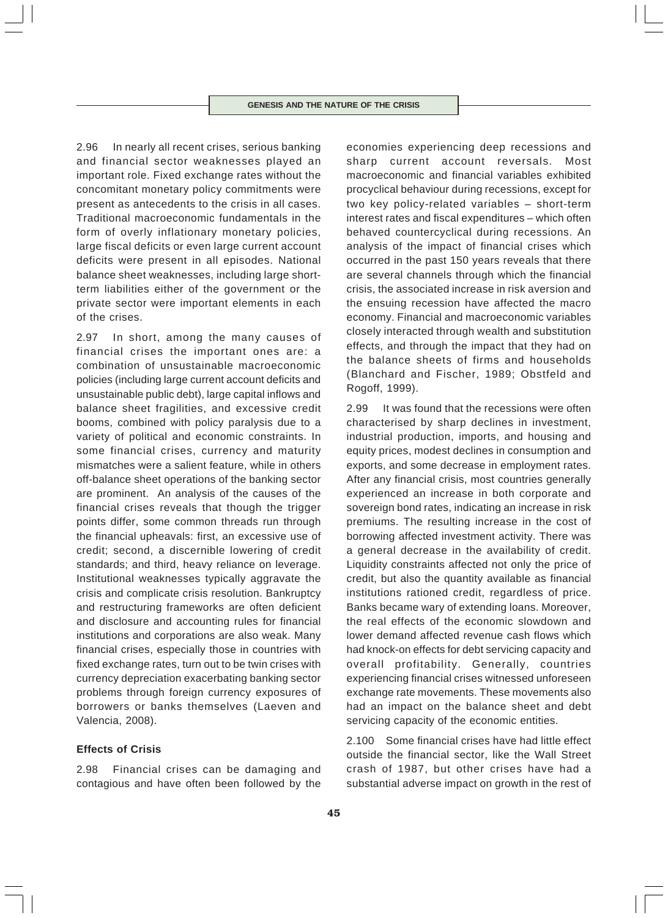2.96 In nearly all recent crises, serious banking and financial sector weaknesses played an important role. Fixed exchange rates without the concomitant monetary policy commitments were present as antecedents to the crisis in all cases. Traditional macroeconomic fundamentals in the form of overly inflationary monetary policies, large fiscal deficits or even large current account deficits were present in all episodes. National balance sheet weaknesses, including large shortterm liabilities either of the government or the private sector were important elements in each of the crises.

2.97 In short, among the many causes of financial crises the important ones are: a combination of unsustainable macroeconomic policies (including large current account deficits and unsustainable public debt), large capital inflows and balance sheet fragilities, and excessive credit booms, combined with policy paralysis due to a variety of political and economic constraints. In some financial crises, currency and maturity mismatches were a salient feature, while in others off-balance sheet operations of the banking sector are prominent. An analysis of the causes of the financial crises reveals that though the trigger points differ, some common threads run through the financial upheavals: first, an excessive use of credit; second, a discernible lowering of credit standards; and third, heavy reliance on leverage. Institutional weaknesses typically aggravate the crisis and complicate crisis resolution. Bankruptcy and restructuring frameworks are often deficient and disclosure and accounting rules for financial institutions and corporations are also weak. Many financial crises, especially those in countries with fixed exchange rates, turn out to be twin crises with currency depreciation exacerbating banking sector problems through foreign currency exposures of borrowers or banks themselves (Laeven and Valencia, 2008).

# **Effects of Crisis**

2.98 Financial crises can be damaging and contagious and have often been followed by the

economies experiencing deep recessions and sharp current account reversals. Most macroeconomic and financial variables exhibited procyclical behaviour during recessions, except for two key policy-related variables – short-term interest rates and fiscal expenditures – which often behaved countercyclical during recessions. An analysis of the impact of financial crises which occurred in the past 150 years reveals that there are several channels through which the financial crisis, the associated increase in risk aversion and the ensuing recession have affected the macro economy. Financial and macroeconomic variables closely interacted through wealth and substitution effects, and through the impact that they had on the balance sheets of firms and households (Blanchard and Fischer, 1989; Obstfeld and Rogoff, 1999).

2.99 It was found that the recessions were often characterised by sharp declines in investment, industrial production, imports, and housing and equity prices, modest declines in consumption and exports, and some decrease in employment rates. After any financial crisis, most countries generally experienced an increase in both corporate and sovereign bond rates, indicating an increase in risk premiums. The resulting increase in the cost of borrowing affected investment activity. There was a general decrease in the availability of credit. Liquidity constraints affected not only the price of credit, but also the quantity available as financial institutions rationed credit, regardless of price. Banks became wary of extending loans. Moreover, the real effects of the economic slowdown and lower demand affected revenue cash flows which had knock-on effects for debt servicing capacity and overall profitability. Generally, countries experiencing financial crises witnessed unforeseen exchange rate movements. These movements also had an impact on the balance sheet and debt servicing capacity of the economic entities.

2.100 Some financial crises have had little effect outside the financial sector, like the Wall Street crash of 1987, but other crises have had a substantial adverse impact on growth in the rest of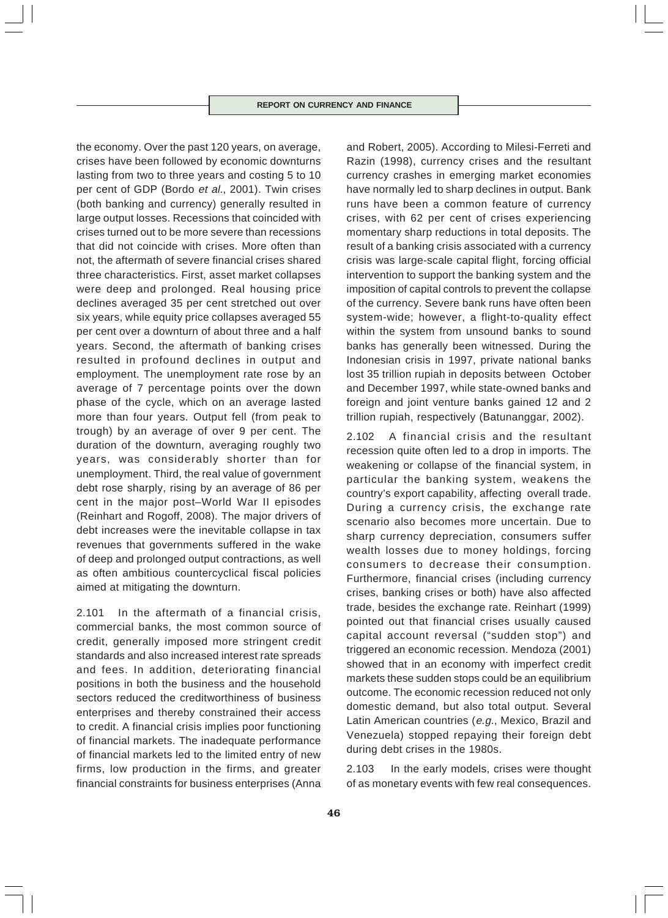the economy. Over the past 120 years, on average, crises have been followed by economic downturns lasting from two to three years and costing 5 to 10 per cent of GDP (Bordo et al., 2001). Twin crises (both banking and currency) generally resulted in large output losses. Recessions that coincided with crises turned out to be more severe than recessions that did not coincide with crises. More often than not, the aftermath of severe financial crises shared three characteristics. First, asset market collapses were deep and prolonged. Real housing price declines averaged 35 per cent stretched out over six years, while equity price collapses averaged 55 per cent over a downturn of about three and a half years. Second, the aftermath of banking crises resulted in profound declines in output and employment. The unemployment rate rose by an average of 7 percentage points over the down phase of the cycle, which on an average lasted more than four years. Output fell (from peak to trough) by an average of over 9 per cent. The duration of the downturn, averaging roughly two years, was considerably shorter than for unemployment. Third, the real value of government debt rose sharply, rising by an average of 86 per cent in the major post–World War II episodes (Reinhart and Rogoff, 2008). The major drivers of debt increases were the inevitable collapse in tax revenues that governments suffered in the wake of deep and prolonged output contractions, as well as often ambitious countercyclical fiscal policies aimed at mitigating the downturn.

2.101 In the aftermath of a financial crisis, commercial banks, the most common source of credit, generally imposed more stringent credit standards and also increased interest rate spreads and fees. In addition, deteriorating financial positions in both the business and the household sectors reduced the creditworthiness of business enterprises and thereby constrained their access to credit. A financial crisis implies poor functioning of financial markets. The inadequate performance of financial markets led to the limited entry of new firms, low production in the firms, and greater financial constraints for business enterprises (Anna

and Robert, 2005). According to Milesi-Ferreti and Razin (1998), currency crises and the resultant currency crashes in emerging market economies have normally led to sharp declines in output. Bank runs have been a common feature of currency crises, with 62 per cent of crises experiencing momentary sharp reductions in total deposits. The result of a banking crisis associated with a currency crisis was large-scale capital flight, forcing official intervention to support the banking system and the imposition of capital controls to prevent the collapse of the currency. Severe bank runs have often been system-wide; however, a flight-to-quality effect within the system from unsound banks to sound banks has generally been witnessed. During the Indonesian crisis in 1997, private national banks lost 35 trillion rupiah in deposits between October and December 1997, while state-owned banks and foreign and joint venture banks gained 12 and 2 trillion rupiah, respectively (Batunanggar, 2002).

2.102 A financial crisis and the resultant recession quite often led to a drop in imports. The weakening or collapse of the financial system, in particular the banking system, weakens the country's export capability, affecting overall trade. During a currency crisis, the exchange rate scenario also becomes more uncertain. Due to sharp currency depreciation, consumers suffer wealth losses due to money holdings, forcing consumers to decrease their consumption. Furthermore, financial crises (including currency crises, banking crises or both) have also affected trade, besides the exchange rate. Reinhart (1999) pointed out that financial crises usually caused capital account reversal ("sudden stop") and triggered an economic recession. Mendoza (2001) showed that in an economy with imperfect credit markets these sudden stops could be an equilibrium outcome. The economic recession reduced not only domestic demand, but also total output. Several Latin American countries (e.g., Mexico, Brazil and Venezuela) stopped repaying their foreign debt during debt crises in the 1980s.

2.103 In the early models, crises were thought of as monetary events with few real consequences.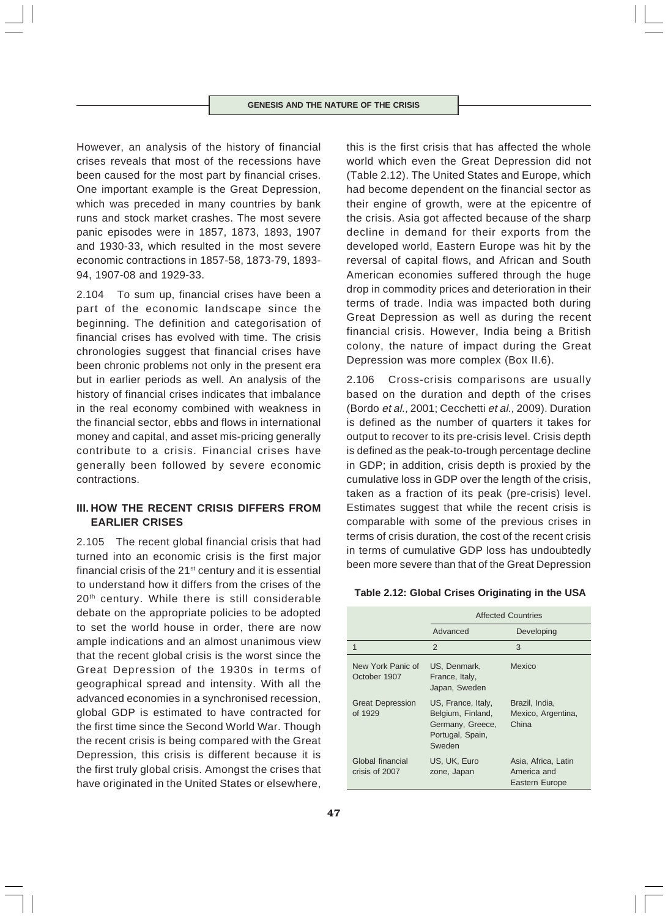However, an analysis of the history of financial crises reveals that most of the recessions have been caused for the most part by financial crises. One important example is the Great Depression, which was preceded in many countries by bank runs and stock market crashes. The most severe panic episodes were in 1857, 1873, 1893, 1907 and 1930-33, which resulted in the most severe economic contractions in 1857-58, 1873-79, 1893- 94, 1907-08 and 1929-33.

2.104 To sum up, financial crises have been a part of the economic landscape since the beginning. The definition and categorisation of financial crises has evolved with time. The crisis chronologies suggest that financial crises have been chronic problems not only in the present era but in earlier periods as well. An analysis of the history of financial crises indicates that imbalance in the real economy combined with weakness in the financial sector, ebbs and flows in international money and capital, and asset mis-pricing generally contribute to a crisis. Financial crises have generally been followed by severe economic contractions.

# **III. HOW THE RECENT CRISIS DIFFERS FROM EARLIER CRISES**

2.105 The recent global financial crisis that had turned into an economic crisis is the first major financial crisis of the  $21<sup>st</sup>$  century and it is essential to understand how it differs from the crises of the 20<sup>th</sup> century. While there is still considerable debate on the appropriate policies to be adopted to set the world house in order, there are now ample indications and an almost unanimous view that the recent global crisis is the worst since the Great Depression of the 1930s in terms of geographical spread and intensity. With all the advanced economies in a synchronised recession, global GDP is estimated to have contracted for the first time since the Second World War. Though the recent crisis is being compared with the Great Depression, this crisis is different because it is the first truly global crisis. Amongst the crises that have originated in the United States or elsewhere,

this is the first crisis that has affected the whole world which even the Great Depression did not (Table 2.12). The United States and Europe, which had become dependent on the financial sector as their engine of growth, were at the epicentre of the crisis. Asia got affected because of the sharp decline in demand for their exports from the developed world, Eastern Europe was hit by the reversal of capital flows, and African and South American economies suffered through the huge drop in commodity prices and deterioration in their terms of trade. India was impacted both during Great Depression as well as during the recent financial crisis. However, India being a British colony, the nature of impact during the Great Depression was more complex (Box II.6).

2.106 Cross-crisis comparisons are usually based on the duration and depth of the crises (Bordo et al., 2001; Cecchetti et al., 2009). Duration is defined as the number of quarters it takes for output to recover to its pre-crisis level. Crisis depth is defined as the peak-to-trough percentage decline in GDP; in addition, crisis depth is proxied by the cumulative loss in GDP over the length of the crisis, taken as a fraction of its peak (pre-crisis) level. Estimates suggest that while the recent crisis is comparable with some of the previous crises in terms of crisis duration, the cost of the recent crisis in terms of cumulative GDP loss has undoubtedly been more severe than that of the Great Depression

| Table 2.12: Global Crises Originating in the USA |  |  |  |  |
|--------------------------------------------------|--|--|--|--|
|--------------------------------------------------|--|--|--|--|

|                                    | <b>Affected Countries</b>                                                                 |                                                      |  |  |  |
|------------------------------------|-------------------------------------------------------------------------------------------|------------------------------------------------------|--|--|--|
|                                    | Advanced                                                                                  | Developing                                           |  |  |  |
| 1                                  | 2                                                                                         | 3                                                    |  |  |  |
| New York Panic of<br>October 1907  | US, Denmark,<br>France, Italy,<br>Japan, Sweden                                           | Mexico                                               |  |  |  |
| <b>Great Depression</b><br>of 1929 | US, France, Italy,<br>Belgium, Finland,<br>Germany, Greece,<br>Portugal, Spain,<br>Sweden | Brazil, India,<br>Mexico, Argentina,<br>China        |  |  |  |
| Global financial<br>crisis of 2007 | US, UK, Euro<br>zone, Japan                                                               | Asia, Africa, Latin<br>America and<br>Eastern Europe |  |  |  |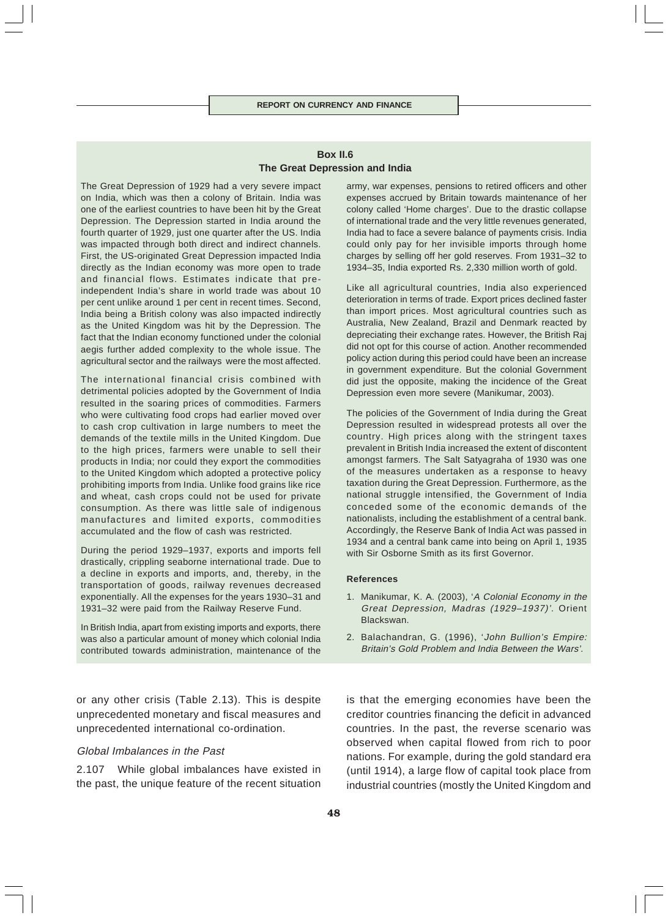# **Box II.6 The Great Depression and India**

The Great Depression of 1929 had a very severe impact on India, which was then a colony of Britain. India was one of the earliest countries to have been hit by the Great Depression. The Depression started in India around the fourth quarter of 1929, just one quarter after the US. India was impacted through both direct and indirect channels. First, the US-originated Great Depression impacted India directly as the Indian economy was more open to trade and financial flows. Estimates indicate that preindependent India's share in world trade was about 10 per cent unlike around 1 per cent in recent times. Second, India being a British colony was also impacted indirectly as the United Kingdom was hit by the Depression. The fact that the Indian economy functioned under the colonial aegis further added complexity to the whole issue. The agricultural sector and the railways were the most affected.

The international financial crisis combined with detrimental policies adopted by the Government of India resulted in the soaring prices of commodities. Farmers who were cultivating food crops had earlier moved over to cash crop cultivation in large numbers to meet the demands of the textile mills in the United Kingdom. Due to the high prices, farmers were unable to sell their products in India; nor could they export the commodities to the United Kingdom which adopted a protective policy prohibiting imports from India. Unlike food grains like rice and wheat, cash crops could not be used for private consumption. As there was little sale of indigenous manufactures and limited exports, commodities accumulated and the flow of cash was restricted.

During the period 1929–1937, exports and imports fell drastically, crippling seaborne international trade. Due to a decline in exports and imports, and, thereby, in the transportation of goods, railway revenues decreased exponentially. All the expenses for the years 1930–31 and 1931–32 were paid from the Railway Reserve Fund.

In British India, apart from existing imports and exports, there was also a particular amount of money which colonial India contributed towards administration, maintenance of the

or any other crisis (Table 2.13). This is despite unprecedented monetary and fiscal measures and unprecedented international co-ordination.

# Global Imbalances in the Past

2.107 While global imbalances have existed in the past, the unique feature of the recent situation army, war expenses, pensions to retired officers and other expenses accrued by Britain towards maintenance of her colony called 'Home charges'. Due to the drastic collapse of international trade and the very little revenues generated, India had to face a severe balance of payments crisis. India could only pay for her invisible imports through home charges by selling off her gold reserves. From 1931–32 to 1934–35, India exported Rs. 2,330 million worth of gold.

Like all agricultural countries, India also experienced deterioration in terms of trade. Export prices declined faster than import prices. Most agricultural countries such as Australia, New Zealand, Brazil and Denmark reacted by depreciating their exchange rates. However, the British Raj did not opt for this course of action. Another recommended policy action during this period could have been an increase in government expenditure. But the colonial Government did just the opposite, making the incidence of the Great Depression even more severe (Manikumar, 2003).

The policies of the Government of India during the Great Depression resulted in widespread protests all over the country. High prices along with the stringent taxes prevalent in British India increased the extent of discontent amongst farmers. The Salt Satyagraha of 1930 was one of the measures undertaken as a response to heavy taxation during the Great Depression. Furthermore, as the national struggle intensified, the Government of India conceded some of the economic demands of the nationalists, including the establishment of a central bank. Accordingly, the Reserve Bank of India Act was passed in 1934 and a central bank came into being on April 1, 1935 with Sir Osborne Smith as its first Governor.

#### **References**

- 1. Manikumar, K. A. (2003), 'A Colonial Economy in the Great Depression, Madras (1929–1937)'. Orient Blackswan.
- 2. Balachandran, G. (1996), 'John Bullion's Empire: Britain's Gold Problem and India Between the Wars'.

is that the emerging economies have been the creditor countries financing the deficit in advanced countries. In the past, the reverse scenario was observed when capital flowed from rich to poor nations. For example, during the gold standard era (until 1914), a large flow of capital took place from industrial countries (mostly the United Kingdom and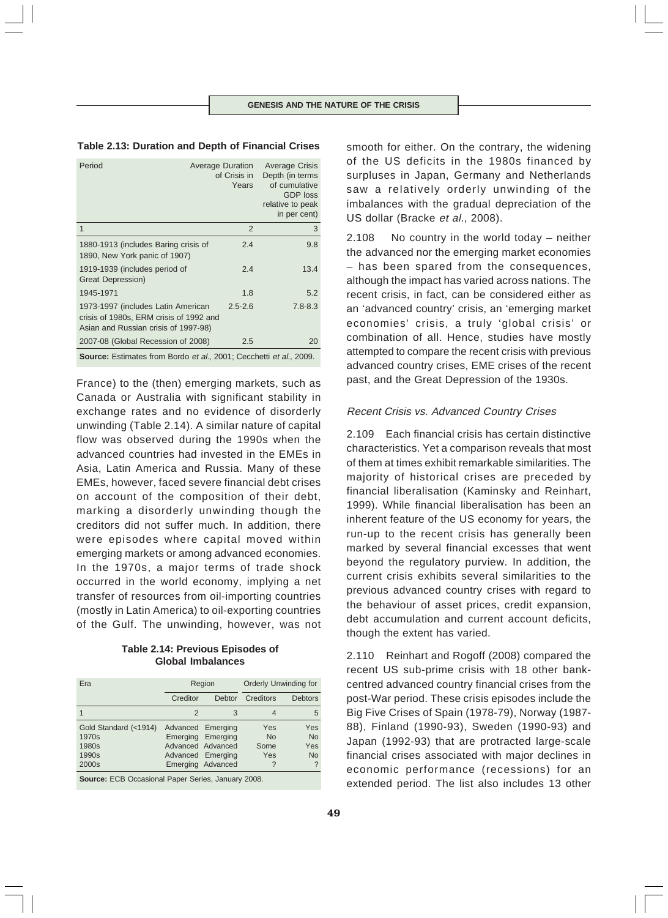### **Table 2.13: Duration and Depth of Financial Crises**

| Period                                                                                                                | <b>Average Duration</b><br>of Crisis in<br>Years | <b>Average Crisis</b><br>Depth (in terms)<br>of cumulative<br><b>GDP</b> loss<br>relative to peak<br>in per cent) |
|-----------------------------------------------------------------------------------------------------------------------|--------------------------------------------------|-------------------------------------------------------------------------------------------------------------------|
| 1                                                                                                                     | 2                                                | 3                                                                                                                 |
| 1880-1913 (includes Baring crisis of<br>1890, New York panic of 1907)                                                 | 2.4                                              | 9.8                                                                                                               |
| 1919-1939 (includes period of<br>Great Depression)                                                                    | 2.4                                              | 13.4                                                                                                              |
| 1945-1971                                                                                                             | 1.8                                              | 5.2                                                                                                               |
| 1973-1997 (includes Latin American<br>crisis of 1980s, ERM crisis of 1992 and<br>Asian and Russian crisis of 1997-98) | $2.5 - 2.6$                                      | $7.8 - 8.3$                                                                                                       |
| 2007-08 (Global Recession of 2008)                                                                                    | 2.5                                              | 20                                                                                                                |
|                                                                                                                       |                                                  |                                                                                                                   |

**Source:** Estimates from Bordo et al., 2001; Cecchetti et al., 2009.

France) to the (then) emerging markets, such as Canada or Australia with significant stability in exchange rates and no evidence of disorderly unwinding (Table 2.14). A similar nature of capital flow was observed during the 1990s when the advanced countries had invested in the EMEs in Asia, Latin America and Russia. Many of these EMEs, however, faced severe financial debt crises on account of the composition of their debt, marking a disorderly unwinding though the creditors did not suffer much. In addition, there were episodes where capital moved within emerging markets or among advanced economies. In the 1970s, a major terms of trade shock occurred in the world economy, implying a net transfer of resources from oil-importing countries (mostly in Latin America) to oil-exporting countries of the Gulf. The unwinding, however, was not

# **Table 2.14: Previous Episodes of Global Imbalances**

| Era                                                                          |               | Region                                                                           |                                      | <b>Orderly Unwinding for</b>                                              |  |  |
|------------------------------------------------------------------------------|---------------|----------------------------------------------------------------------------------|--------------------------------------|---------------------------------------------------------------------------|--|--|
|                                                                              | Creditor      | Debtor                                                                           | Creditors                            | <b>Debtors</b>                                                            |  |  |
|                                                                              | $\mathcal{P}$ | 3                                                                                | 4                                    | 5                                                                         |  |  |
| Gold Standard (<1914)<br>1970s<br>1980s<br>1990s<br>2000s                    |               | Advanced Emerging<br>Emerging Emerging<br>Advanced Advanced<br>Advanced Emerging | Yes<br><b>No</b><br>Some<br>Yes<br>? | <b>Yes</b><br><b>No</b><br>Yes<br><b>No</b><br>$\boldsymbol{\mathcal{P}}$ |  |  |
| Emerging Advanced<br><b>Source:</b> ECB Occasional Paper Series January 2008 |               |                                                                                  |                                      |                                                                           |  |  |

**Source:** ECB Occasional Paper Series, January 2008.

smooth for either. On the contrary, the widening of the US deficits in the 1980s financed by surpluses in Japan, Germany and Netherlands saw a relatively orderly unwinding of the imbalances with the gradual depreciation of the US dollar (Bracke et al., 2008).

2.108 No country in the world today – neither the advanced nor the emerging market economies – has been spared from the consequences, although the impact has varied across nations. The recent crisis, in fact, can be considered either as an 'advanced country' crisis, an 'emerging market economies' crisis, a truly 'global crisis' or combination of all. Hence, studies have mostly attempted to compare the recent crisis with previous advanced country crises, EME crises of the recent past, and the Great Depression of the 1930s.

## Recent Crisis vs. Advanced Country Crises

2.109 Each financial crisis has certain distinctive characteristics. Yet a comparison reveals that most of them at times exhibit remarkable similarities. The majority of historical crises are preceded by financial liberalisation (Kaminsky and Reinhart, 1999). While financial liberalisation has been an inherent feature of the US economy for years, the run-up to the recent crisis has generally been marked by several financial excesses that went beyond the regulatory purview. In addition, the current crisis exhibits several similarities to the previous advanced country crises with regard to the behaviour of asset prices, credit expansion, debt accumulation and current account deficits, though the extent has varied.

2.110 Reinhart and Rogoff (2008) compared the recent US sub-prime crisis with 18 other bankcentred advanced country financial crises from the post-War period. These crisis episodes include the Big Five Crises of Spain (1978-79), Norway (1987- 88), Finland (1990-93), Sweden (1990-93) and Japan (1992-93) that are protracted large-scale financial crises associated with major declines in economic performance (recessions) for an extended period. The list also includes 13 other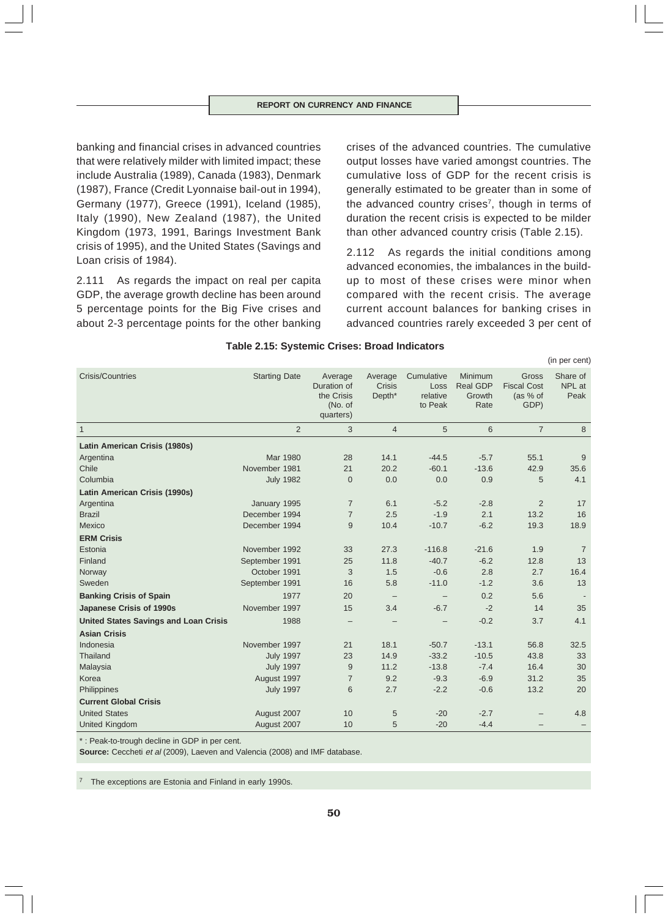banking and financial crises in advanced countries that were relatively milder with limited impact; these include Australia (1989), Canada (1983), Denmark (1987), France (Credit Lyonnaise bail-out in 1994), Germany (1977), Greece (1991), Iceland (1985), Italy (1990), New Zealand (1987), the United Kingdom (1973, 1991, Barings Investment Bank crisis of 1995), and the United States (Savings and Loan crisis of 1984).

2.111 As regards the impact on real per capita GDP, the average growth decline has been around 5 percentage points for the Big Five crises and about 2-3 percentage points for the other banking

crises of the advanced countries. The cumulative output losses have varied amongst countries. The cumulative loss of GDP for the recent crisis is generally estimated to be greater than in some of the advanced country crises<sup>7</sup>, though in terms of duration the recent crisis is expected to be milder than other advanced country crisis (Table 2.15).

2.112 As regards the initial conditions among advanced economies, the imbalances in the buildup to most of these crises were minor when compared with the recent crisis. The average current account balances for banking crises in advanced countries rarely exceeded 3 per cent of

(in per cent)

| <b>Crisis/Countries</b>                      | <b>Starting Date</b> | Average<br>Duration of<br>the Crisis<br>(No. of<br>quarters) | Average<br><b>Crisis</b><br>Depth <sup>*</sup> | Cumulative<br>Loss<br>relative<br>to Peak | Minimum<br><b>Real GDP</b><br>Growth<br>Rate | Gross<br><b>Fiscal Cost</b><br>(as % of<br>GDP) | Share of<br>NPL at<br>Peak |
|----------------------------------------------|----------------------|--------------------------------------------------------------|------------------------------------------------|-------------------------------------------|----------------------------------------------|-------------------------------------------------|----------------------------|
| $\mathbf{1}$                                 | $\overline{2}$       | 3                                                            | $\overline{4}$                                 | 5                                         | 6                                            | $\overline{7}$                                  | 8                          |
| Latin American Crisis (1980s)                |                      |                                                              |                                                |                                           |                                              |                                                 |                            |
| Argentina                                    | Mar 1980             | 28                                                           | 14.1                                           | $-44.5$                                   | $-5.7$                                       | 55.1                                            | 9                          |
| Chile                                        | November 1981        | 21                                                           | 20.2                                           | $-60.1$                                   | $-13.6$                                      | 42.9                                            | 35.6                       |
| Columbia                                     | <b>July 1982</b>     | $\overline{0}$                                               | 0.0                                            | 0.0                                       | 0.9                                          | 5                                               | 4.1                        |
| Latin American Crisis (1990s)                |                      |                                                              |                                                |                                           |                                              |                                                 |                            |
| Argentina                                    | January 1995         | $\overline{7}$                                               | 6.1                                            | $-5.2$                                    | $-2.8$                                       | $\overline{2}$                                  | 17                         |
| <b>Brazil</b>                                | December 1994        | $\overline{7}$                                               | 2.5                                            | $-1.9$                                    | 2.1                                          | 13.2                                            | 16                         |
| Mexico                                       | December 1994        | 9                                                            | 10.4                                           | $-10.7$                                   | $-6.2$                                       | 19.3                                            | 18.9                       |
| <b>ERM Crisis</b>                            |                      |                                                              |                                                |                                           |                                              |                                                 |                            |
| Estonia                                      | November 1992        | 33                                                           | 27.3                                           | $-116.8$                                  | $-21.6$                                      | 1.9                                             | $\overline{7}$             |
| Finland                                      | September 1991       | 25                                                           | 11.8                                           | $-40.7$                                   | $-6.2$                                       | 12.8                                            | 13                         |
| Norway                                       | October 1991         | 3                                                            | 1.5                                            | $-0.6$                                    | 2.8                                          | 2.7                                             | 16.4                       |
| Sweden                                       | September 1991       | 16                                                           | 5.8                                            | $-11.0$                                   | $-1.2$                                       | 3.6                                             | 13                         |
| <b>Banking Crisis of Spain</b>               | 1977                 | 20                                                           | $\overline{\phantom{m}}$                       |                                           | 0.2                                          | 5.6                                             |                            |
| Japanese Crisis of 1990s                     | November 1997        | 15                                                           | 3.4                                            | $-6.7$                                    | $-2$                                         | 14                                              | 35                         |
| <b>United States Savings and Loan Crisis</b> | 1988                 | $\overline{\phantom{0}}$                                     |                                                |                                           | $-0.2$                                       | 3.7                                             | 4.1                        |
| <b>Asian Crisis</b>                          |                      |                                                              |                                                |                                           |                                              |                                                 |                            |
| Indonesia                                    | November 1997        | 21                                                           | 18.1                                           | $-50.7$                                   | $-13.1$                                      | 56.8                                            | 32.5                       |
| Thailand                                     | <b>July 1997</b>     | 23                                                           | 14.9                                           | $-33.2$                                   | $-10.5$                                      | 43.8                                            | 33                         |
| Malaysia                                     | <b>July 1997</b>     | 9                                                            | 11.2                                           | $-13.8$                                   | $-7.4$                                       | 16.4                                            | 30                         |
| Korea                                        | August 1997          | $\overline{7}$                                               | 9.2                                            | $-9.3$                                    | $-6.9$                                       | 31.2                                            | 35                         |
| Philippines                                  | <b>July 1997</b>     | 6                                                            | 2.7                                            | $-2.2$                                    | $-0.6$                                       | 13.2                                            | 20                         |
| <b>Current Global Crisis</b>                 |                      |                                                              |                                                |                                           |                                              |                                                 |                            |
| <b>United States</b>                         | August 2007          | 10                                                           | 5                                              | $-20$                                     | $-2.7$                                       |                                                 | 4.8                        |
| <b>United Kingdom</b>                        | August 2007          | 10                                                           | 5                                              | $-20$                                     | $-4.4$                                       |                                                 |                            |

#### **Table 2.15: Systemic Crises: Broad Indicators**

\* : Peak-to-trough decline in GDP in per cent.

**Source:** Ceccheti et al (2009), Laeven and Valencia (2008) and IMF database.

The exceptions are Estonia and Finland in early 1990s.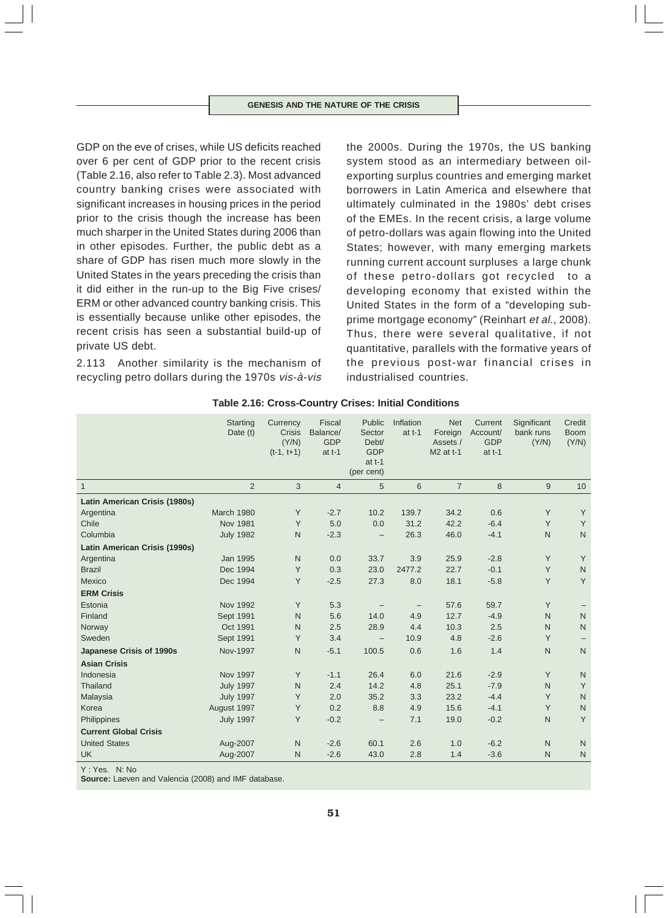GDP on the eve of crises, while US deficits reached over 6 per cent of GDP prior to the recent crisis (Table 2.16, also refer to Table 2.3). Most advanced country banking crises were associated with significant increases in housing prices in the period prior to the crisis though the increase has been much sharper in the United States during 2006 than in other episodes. Further, the public debt as a share of GDP has risen much more slowly in the United States in the years preceding the crisis than it did either in the run-up to the Big Five crises/ ERM or other advanced country banking crisis. This is essentially because unlike other episodes, the recent crisis has seen a substantial build-up of private US debt.

2.113 Another similarity is the mechanism of recycling petro dollars during the 1970s vis-à-vis the 2000s. During the 1970s, the US banking system stood as an intermediary between oilexporting surplus countries and emerging market borrowers in Latin America and elsewhere that ultimately culminated in the 1980s' debt crises of the EMEs. In the recent crisis, a large volume of petro-dollars was again flowing into the United States; however, with many emerging markets running current account surpluses a large chunk of these petro-dollars got recycled to a developing economy that existed within the United States in the form of a "developing subprime mortgage economy" (Reinhart et al., 2008). Thus, there were several qualitative, if not quantitative, parallels with the formative years of the previous post-war financial crises in industrialised countries.

|                               | <b>Starting</b><br>Date (t) | Currency<br><b>Crisis</b><br>(Y/N)<br>$(t-1, t+1)$ | Fiscal<br>Balance/<br><b>GDP</b><br>at $t-1$ | Public<br>Sector<br>Debt/<br><b>GDP</b><br>at $t-1$<br>(per cent) | Inflation<br>at $t-1$ | <b>Net</b><br>Foreign<br>Assets /<br>M2 at t-1 | Current<br>Account/<br><b>GDP</b><br>at $t-1$ | Significant<br>bank runs<br>(Y/N) | Credit<br><b>Boom</b><br>(Y/N) |
|-------------------------------|-----------------------------|----------------------------------------------------|----------------------------------------------|-------------------------------------------------------------------|-----------------------|------------------------------------------------|-----------------------------------------------|-----------------------------------|--------------------------------|
| $\mathbf{1}$                  | $\overline{2}$              | 3                                                  | $\overline{4}$                               | 5                                                                 | 6                     | $\overline{7}$                                 | 8                                             | 9                                 | 10                             |
| Latin American Crisis (1980s) |                             |                                                    |                                              |                                                                   |                       |                                                |                                               |                                   |                                |
| Argentina                     | March 1980                  | Υ                                                  | $-2.7$                                       | 10.2                                                              | 139.7                 | 34.2                                           | 0.6                                           | Υ                                 | Y                              |
| Chile                         | <b>Nov 1981</b>             | Y                                                  | 5.0                                          | 0.0                                                               | 31.2                  | 42.2                                           | $-6.4$                                        | Y                                 | Y                              |
| Columbia                      | <b>July 1982</b>            | $\mathsf{N}$                                       | $-2.3$                                       | $\overline{\phantom{m}}$                                          | 26.3                  | 46.0                                           | $-4.1$                                        | $\mathsf{N}$                      | ${\sf N}$                      |
| Latin American Crisis (1990s) |                             |                                                    |                                              |                                                                   |                       |                                                |                                               |                                   |                                |
| Argentina                     | <b>Jan 1995</b>             | $\mathsf{N}$                                       | 0.0                                          | 33.7                                                              | 3.9                   | 25.9                                           | $-2.8$                                        | Υ                                 | Y                              |
| <b>Brazil</b>                 | Dec 1994                    | Y                                                  | 0.3                                          | 23.0                                                              | 2477.2                | 22.7                                           | $-0.1$                                        | Υ                                 | $\mathsf{N}$                   |
| Mexico                        | Dec 1994                    | Y                                                  | $-2.5$                                       | 27.3                                                              | 8.0                   | 18.1                                           | $-5.8$                                        | Y                                 | Y                              |
| <b>ERM Crisis</b>             |                             |                                                    |                                              |                                                                   |                       |                                                |                                               |                                   |                                |
| Estonia                       | <b>Nov 1992</b>             | Y                                                  | 5.3                                          |                                                                   | $\qquad \qquad -$     | 57.6                                           | 59.7                                          | Y                                 |                                |
| Finland                       | Sept 1991                   | N                                                  | 5.6                                          | 14.0                                                              | 4.9                   | 12.7                                           | $-4.9$                                        | N                                 | $\mathsf{N}$                   |
| Norway                        | Oct 1991                    | $\mathsf{N}$                                       | 2.5                                          | 28.9                                                              | 4.4                   | 10.3                                           | 2.5                                           | $\mathsf{N}$                      | $\mathsf{N}$                   |
| Sweden                        | Sept 1991                   | Y                                                  | 3.4                                          |                                                                   | 10.9                  | 4.8                                            | $-2.6$                                        | Y                                 |                                |
| Japanese Crisis of 1990s      | Nov-1997                    | $\mathsf{N}$                                       | $-5.1$                                       | 100.5                                                             | 0.6                   | 1.6                                            | 1.4                                           | $\mathsf{N}$                      | $\mathsf{N}$                   |
| <b>Asian Crisis</b>           |                             |                                                    |                                              |                                                                   |                       |                                                |                                               |                                   |                                |
| Indonesia                     | <b>Nov 1997</b>             | Y                                                  | $-1.1$                                       | 26.4                                                              | 6.0                   | 21.6                                           | $-2.9$                                        | Y                                 | $\mathsf{N}$                   |
| Thailand                      | <b>July 1997</b>            | $\mathsf{N}$                                       | 2.4                                          | 14.2                                                              | 4.8                   | 25.1                                           | $-7.9$                                        | N                                 | Y                              |
| Malaysia                      | <b>July 1997</b>            | Y                                                  | 2.0                                          | 35.2                                                              | 3.3                   | 23.2                                           | $-4.4$                                        | Y                                 | $\mathsf{N}$                   |
| Korea                         | August 1997                 | Υ                                                  | 0.2                                          | 8.8                                                               | 4.9                   | 15.6                                           | $-4.1$                                        | Υ                                 | $\mathsf{N}$                   |
| Philippines                   | <b>July 1997</b>            | Y                                                  | $-0.2$                                       |                                                                   | 7.1                   | 19.0                                           | $-0.2$                                        | $\mathsf{N}$                      | Y                              |
| <b>Current Global Crisis</b>  |                             |                                                    |                                              |                                                                   |                       |                                                |                                               |                                   |                                |
| <b>United States</b>          | Aug-2007                    | $\mathsf{N}$                                       | $-2.6$                                       | 60.1                                                              | 2.6                   | 1.0                                            | $-6.2$                                        | $\mathsf{N}$                      | N                              |
| <b>UK</b>                     | Aug-2007                    | $\mathsf{N}$                                       | $-2.6$                                       | 43.0                                                              | 2.8                   | 1.4                                            | $-3.6$                                        | $\mathsf{N}$                      | $\mathsf{N}$                   |

| Table 2.16: Cross-Country Crises: Initial Conditions |  |
|------------------------------------------------------|--|
|------------------------------------------------------|--|

Y : Yes. N: No

**Source:** Laeven and Valencia (2008) and IMF database.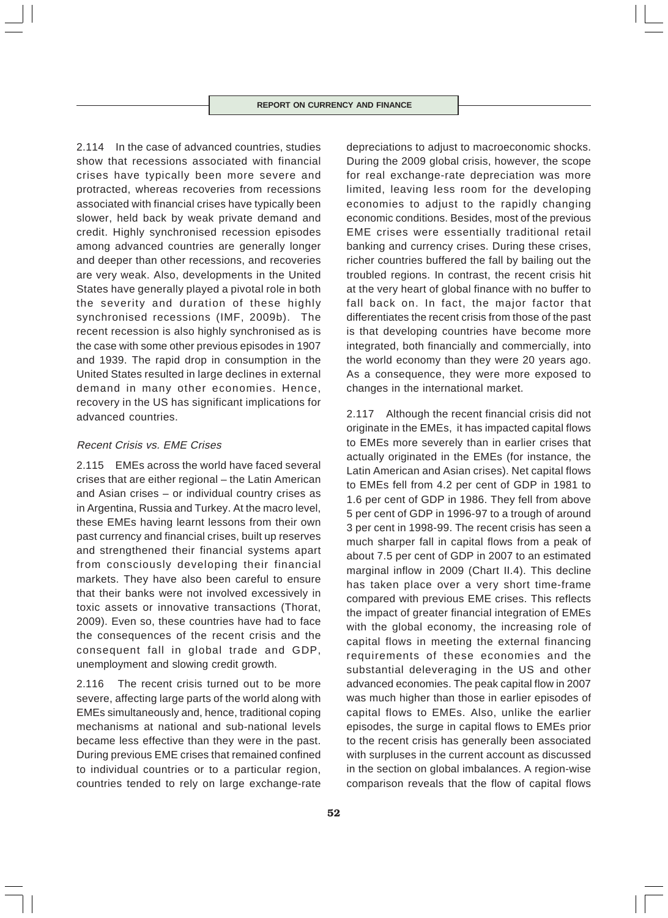2.114 In the case of advanced countries, studies show that recessions associated with financial crises have typically been more severe and protracted, whereas recoveries from recessions associated with financial crises have typically been slower, held back by weak private demand and credit. Highly synchronised recession episodes among advanced countries are generally longer and deeper than other recessions, and recoveries are very weak. Also, developments in the United States have generally played a pivotal role in both the severity and duration of these highly synchronised recessions (IMF, 2009b). The recent recession is also highly synchronised as is the case with some other previous episodes in 1907 and 1939. The rapid drop in consumption in the United States resulted in large declines in external demand in many other economies. Hence, recovery in the US has significant implications for advanced countries.

# Recent Crisis vs. EME Crises

2.115 EMEs across the world have faced several crises that are either regional – the Latin American and Asian crises – or individual country crises as in Argentina, Russia and Turkey. At the macro level, these EMEs having learnt lessons from their own past currency and financial crises, built up reserves and strengthened their financial systems apart from consciously developing their financial markets. They have also been careful to ensure that their banks were not involved excessively in toxic assets or innovative transactions (Thorat, 2009). Even so, these countries have had to face the consequences of the recent crisis and the consequent fall in global trade and GDP, unemployment and slowing credit growth.

2.116 The recent crisis turned out to be more severe, affecting large parts of the world along with EMEs simultaneously and, hence, traditional coping mechanisms at national and sub-national levels became less effective than they were in the past. During previous EME crises that remained confined to individual countries or to a particular region, countries tended to rely on large exchange-rate

depreciations to adjust to macroeconomic shocks. During the 2009 global crisis, however, the scope for real exchange-rate depreciation was more limited, leaving less room for the developing economies to adjust to the rapidly changing economic conditions. Besides, most of the previous EME crises were essentially traditional retail banking and currency crises. During these crises, richer countries buffered the fall by bailing out the troubled regions. In contrast, the recent crisis hit at the very heart of global finance with no buffer to fall back on. In fact, the major factor that differentiates the recent crisis from those of the past is that developing countries have become more integrated, both financially and commercially, into the world economy than they were 20 years ago. As a consequence, they were more exposed to changes in the international market.

2.117 Although the recent financial crisis did not originate in the EMEs, it has impacted capital flows to EMEs more severely than in earlier crises that actually originated in the EMEs (for instance, the Latin American and Asian crises). Net capital flows to EMEs fell from 4.2 per cent of GDP in 1981 to 1.6 per cent of GDP in 1986. They fell from above 5 per cent of GDP in 1996-97 to a trough of around 3 per cent in 1998-99. The recent crisis has seen a much sharper fall in capital flows from a peak of about 7.5 per cent of GDP in 2007 to an estimated marginal inflow in 2009 (Chart II.4). This decline has taken place over a very short time-frame compared with previous EME crises. This reflects the impact of greater financial integration of EMEs with the global economy, the increasing role of capital flows in meeting the external financing requirements of these economies and the substantial deleveraging in the US and other advanced economies. The peak capital flow in 2007 was much higher than those in earlier episodes of capital flows to EMEs. Also, unlike the earlier episodes, the surge in capital flows to EMEs prior to the recent crisis has generally been associated with surpluses in the current account as discussed in the section on global imbalances. A region-wise comparison reveals that the flow of capital flows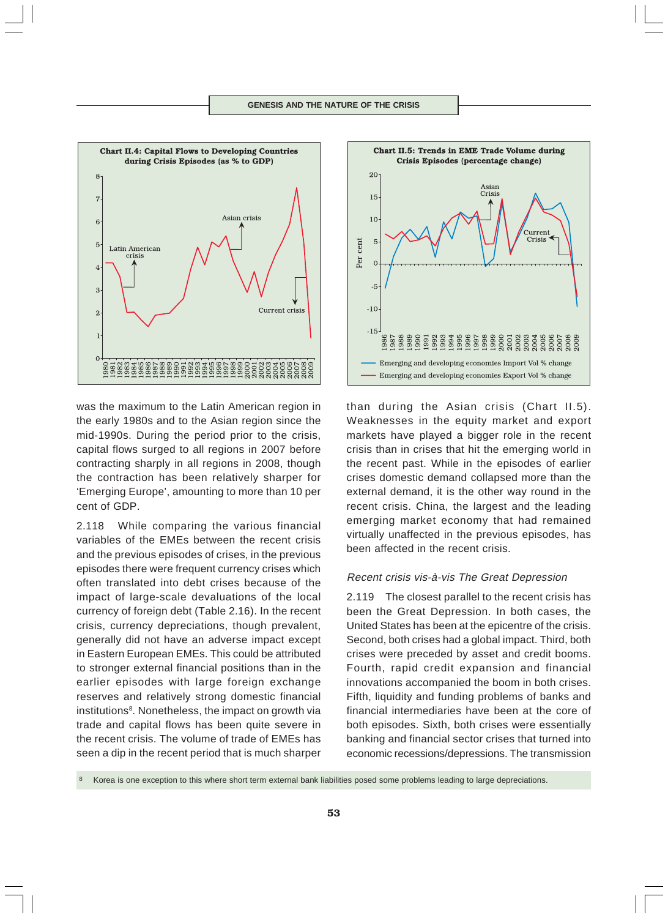

was the maximum to the Latin American region in the early 1980s and to the Asian region since the mid-1990s. During the period prior to the crisis, capital flows surged to all regions in 2007 before contracting sharply in all regions in 2008, though the contraction has been relatively sharper for 'Emerging Europe', amounting to more than 10 per cent of GDP.

2.118 While comparing the various financial variables of the EMEs between the recent crisis and the previous episodes of crises, in the previous episodes there were frequent currency crises which often translated into debt crises because of the impact of large-scale devaluations of the local currency of foreign debt (Table 2.16). In the recent crisis, currency depreciations, though prevalent, generally did not have an adverse impact except in Eastern European EMEs. This could be attributed to stronger external financial positions than in the earlier episodes with large foreign exchange reserves and relatively strong domestic financial institutions<sup>8</sup>. Nonetheless, the impact on growth via trade and capital flows has been quite severe in the recent crisis. The volume of trade of EMEs has seen a dip in the recent period that is much sharper



than during the Asian crisis (Chart II.5). Weaknesses in the equity market and export markets have played a bigger role in the recent crisis than in crises that hit the emerging world in the recent past. While in the episodes of earlier crises domestic demand collapsed more than the external demand, it is the other way round in the recent crisis. China, the largest and the leading emerging market economy that had remained virtually unaffected in the previous episodes, has been affected in the recent crisis.

# Recent crisis vis-à-vis The Great Depression

2.119 The closest parallel to the recent crisis has been the Great Depression. In both cases, the United States has been at the epicentre of the crisis. Second, both crises had a global impact. Third, both crises were preceded by asset and credit booms. Fourth, rapid credit expansion and financial innovations accompanied the boom in both crises. Fifth, liquidity and funding problems of banks and financial intermediaries have been at the core of both episodes. Sixth, both crises were essentially banking and financial sector crises that turned into economic recessions/depressions. The transmission

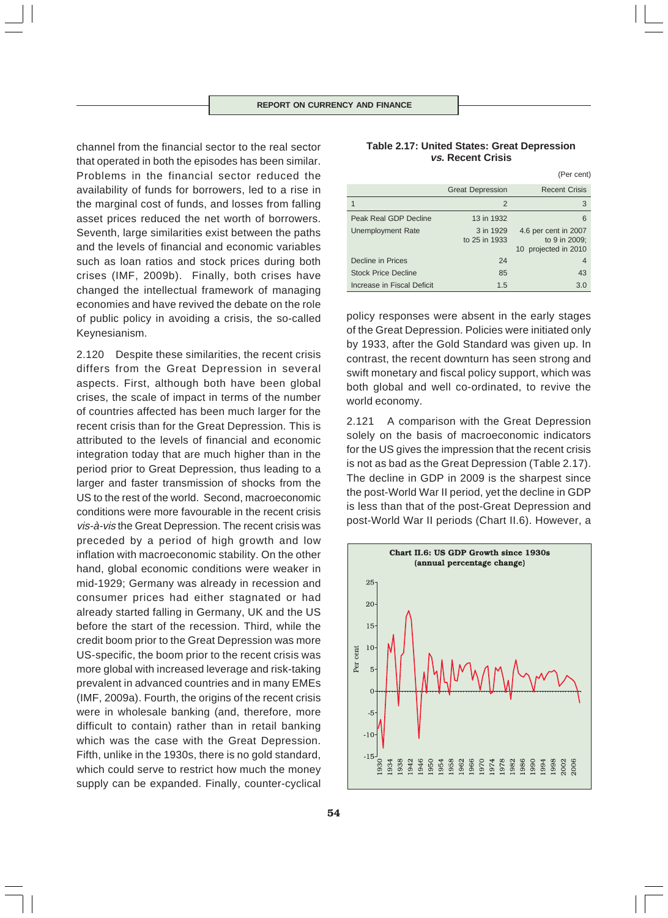channel from the financial sector to the real sector that operated in both the episodes has been similar. Problems in the financial sector reduced the availability of funds for borrowers, led to a rise in the marginal cost of funds, and losses from falling asset prices reduced the net worth of borrowers. Seventh, large similarities exist between the paths and the levels of financial and economic variables such as loan ratios and stock prices during both crises (IMF, 2009b). Finally, both crises have changed the intellectual framework of managing economies and have revived the debate on the role of public policy in avoiding a crisis, the so-called Keynesianism.

2.120 Despite these similarities, the recent crisis differs from the Great Depression in several aspects. First, although both have been global crises, the scale of impact in terms of the number of countries affected has been much larger for the recent crisis than for the Great Depression. This is attributed to the levels of financial and economic integration today that are much higher than in the period prior to Great Depression, thus leading to a larger and faster transmission of shocks from the US to the rest of the world. Second, macroeconomic conditions were more favourable in the recent crisis vis-à-vis the Great Depression. The recent crisis was preceded by a period of high growth and low inflation with macroeconomic stability. On the other hand, global economic conditions were weaker in mid-1929; Germany was already in recession and consumer prices had either stagnated or had already started falling in Germany, UK and the US before the start of the recession. Third, while the credit boom prior to the Great Depression was more US-specific, the boom prior to the recent crisis was more global with increased leverage and risk-taking prevalent in advanced countries and in many EMEs (IMF, 2009a). Fourth, the origins of the recent crisis were in wholesale banking (and, therefore, more difficult to contain) rather than in retail banking which was the case with the Great Depression. Fifth, unlike in the 1930s, there is no gold standard, which could serve to restrict how much the money supply can be expanded. Finally, counter-cyclical

# **Table 2.17: United States: Great Depression vs. Recent Crisis**

|                            |                            | (Per cent)                                                    |
|----------------------------|----------------------------|---------------------------------------------------------------|
|                            | <b>Great Depression</b>    | <b>Recent Crisis</b>                                          |
|                            | 2                          | 3                                                             |
| Peak Real GDP Decline      | 13 in 1932                 | 6                                                             |
| <b>Unemployment Rate</b>   | 3 in 1929<br>to 25 in 1933 | 4.6 per cent in 2007<br>to 9 in 2009;<br>10 projected in 2010 |
| Decline in Prices          | 24                         | 4                                                             |
| <b>Stock Price Decline</b> | 85                         | 43                                                            |
| Increase in Fiscal Deficit | 1.5                        | 3.0                                                           |

policy responses were absent in the early stages of the Great Depression. Policies were initiated only by 1933, after the Gold Standard was given up. In contrast, the recent downturn has seen strong and swift monetary and fiscal policy support, which was both global and well co-ordinated, to revive the world economy.

2.121 A comparison with the Great Depression solely on the basis of macroeconomic indicators for the US gives the impression that the recent crisis is not as bad as the Great Depression (Table 2.17). The decline in GDP in 2009 is the sharpest since the post-World War II period, yet the decline in GDP is less than that of the post-Great Depression and post-World War II periods (Chart II.6). However, a

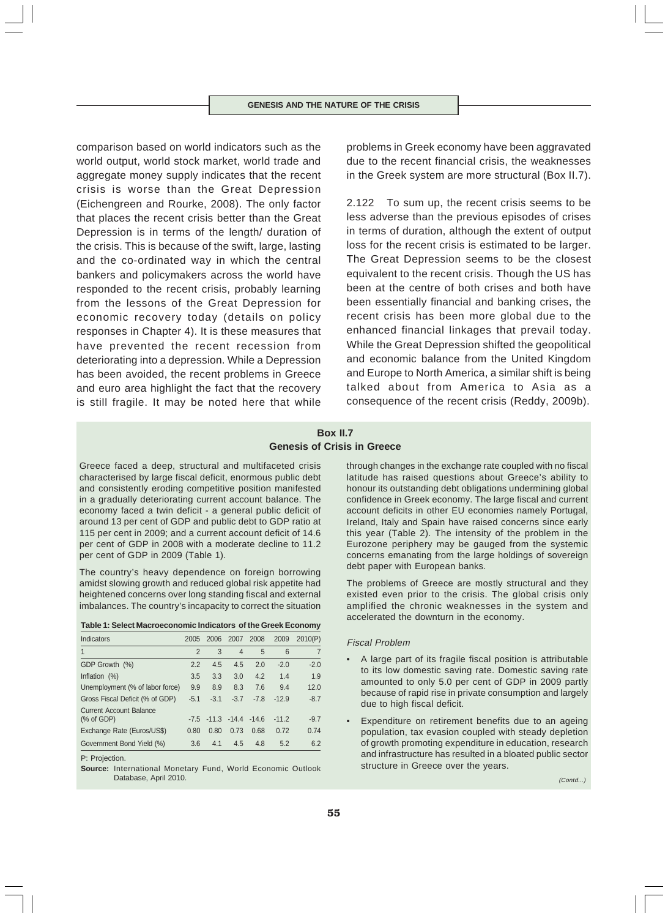comparison based on world indicators such as the world output, world stock market, world trade and aggregate money supply indicates that the recent crisis is worse than the Great Depression (Eichengreen and Rourke, 2008). The only factor that places the recent crisis better than the Great Depression is in terms of the length/ duration of the crisis. This is because of the swift, large, lasting and the co-ordinated way in which the central bankers and policymakers across the world have responded to the recent crisis, probably learning from the lessons of the Great Depression for economic recovery today (details on policy responses in Chapter 4). It is these measures that have prevented the recent recession from deteriorating into a depression. While a Depression has been avoided, the recent problems in Greece and euro area highlight the fact that the recovery is still fragile. It may be noted here that while

problems in Greek economy have been aggravated due to the recent financial crisis, the weaknesses in the Greek system are more structural (Box II.7).

2.122 To sum up, the recent crisis seems to be less adverse than the previous episodes of crises in terms of duration, although the extent of output loss for the recent crisis is estimated to be larger. The Great Depression seems to be the closest equivalent to the recent crisis. Though the US has been at the centre of both crises and both have been essentially financial and banking crises, the recent crisis has been more global due to the enhanced financial linkages that prevail today. While the Great Depression shifted the geopolitical and economic balance from the United Kingdom and Europe to North America, a similar shift is being talked about from America to Asia as a consequence of the recent crisis (Reddy, 2009b).

# **Box II.7 Genesis of Crisis in Greece**

Greece faced a deep, structural and multifaceted crisis characterised by large fiscal deficit, enormous public debt and consistently eroding competitive position manifested in a gradually deteriorating current account balance. The economy faced a twin deficit - a general public deficit of around 13 per cent of GDP and public debt to GDP ratio at 115 per cent in 2009; and a current account deficit of 14.6 per cent of GDP in 2008 with a moderate decline to 11.2 per cent of GDP in 2009 (Table 1).

The country's heavy dependence on foreign borrowing amidst slowing growth and reduced global risk appetite had heightened concerns over long standing fiscal and external imbalances. The country's incapacity to correct the situation

| Table 1: Select Macroeconomic Indicators of the Greek Economy |  |
|---------------------------------------------------------------|--|
|---------------------------------------------------------------|--|

| Indicators                      | 2005           | 2006                           | 2007           | 2008   | 2009    | 2010(P) |
|---------------------------------|----------------|--------------------------------|----------------|--------|---------|---------|
| $\mathbf{1}$                    | $\overline{2}$ | 3                              | $\overline{4}$ | 5      | 6       |         |
| GDP Growth (%)                  | 2.2            | 4.5                            | 4.5            | 2.0    | $-2.0$  | $-2.0$  |
| Inflation $(\%)$                | 3.5            | 3.3                            | 3.0            | 4.2    | 1.4     | 1.9     |
| Unemployment (% of labor force) | 9.9            | 8.9                            | 8.3            | 7.6    | 9.4     | 12.0    |
| Gross Fiscal Deficit (% of GDP) | $-5.1$         | $-3.1$                         | $-3.7$         | $-7.8$ | $-12.9$ | $-8.7$  |
| <b>Current Account Balance</b>  |                |                                |                |        |         |         |
| $%$ of GDP)                     |                | $-7.5$ $-11.3$ $-14.4$ $-14.6$ |                |        | $-11.2$ | $-9.7$  |
| Exchange Rate (Euros/US\$)      | 0.80           | 0.80                           | 0.73           | 0.68   | 0.72    | 0.74    |
| Government Bond Yield (%)       | 3.6            | 4.1                            | 4.5            | 4.8    | 5.2     | 6.2     |

P: Projection.

**Source:** International Monetary Fund, World Economic Outlook Database, April 2010.

through changes in the exchange rate coupled with no fiscal latitude has raised questions about Greece's ability to honour its outstanding debt obligations undermining global confidence in Greek economy. The large fiscal and current account deficits in other EU economies namely Portugal, Ireland, Italy and Spain have raised concerns since early this year (Table 2). The intensity of the problem in the Eurozone periphery may be gauged from the systemic concerns emanating from the large holdings of sovereign debt paper with European banks.

The problems of Greece are mostly structural and they existed even prior to the crisis. The global crisis only amplified the chronic weaknesses in the system and accelerated the downturn in the economy.

#### Fiscal Problem

- A large part of its fragile fiscal position is attributable to its low domestic saving rate. Domestic saving rate amounted to only 5.0 per cent of GDP in 2009 partly because of rapid rise in private consumption and largely due to high fiscal deficit.
- Expenditure on retirement benefits due to an ageing population, tax evasion coupled with steady depletion of growth promoting expenditure in education, research and infrastructure has resulted in a bloated public sector structure in Greece over the years.

(Contd...)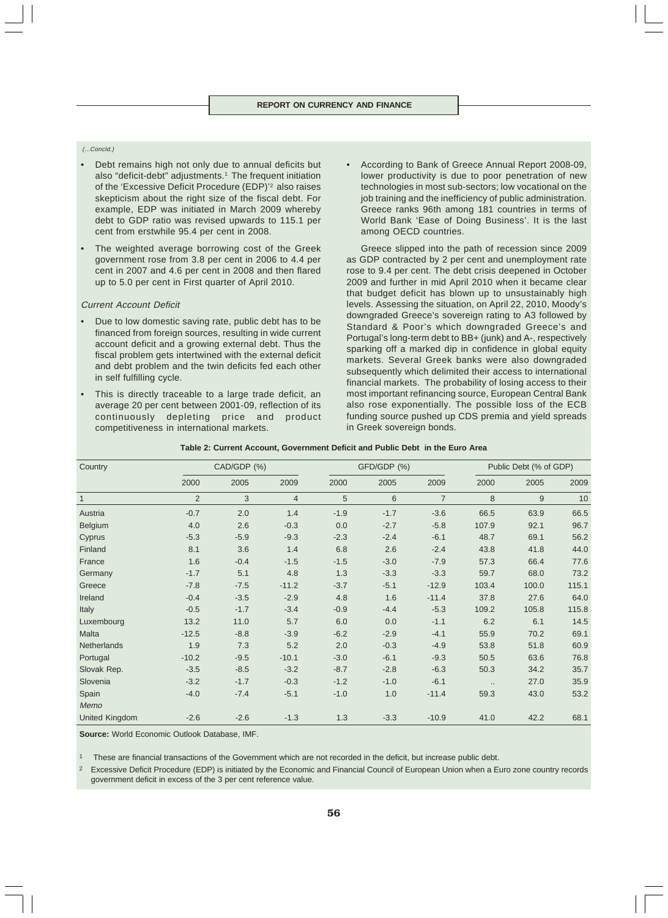#### (...Concld.)

- Debt remains high not only due to annual deficits but also "deficit-debt" adjustments.<sup>1</sup> The frequent initiation of the 'Excessive Deficit Procedure (EDP)'2 also raises skepticism about the right size of the fiscal debt. For example, EDP was initiated in March 2009 whereby debt to GDP ratio was revised upwards to 115.1 per cent from erstwhile 95.4 per cent in 2008.
- The weighted average borrowing cost of the Greek government rose from 3.8 per cent in 2006 to 4.4 per cent in 2007 and 4.6 per cent in 2008 and then flared up to 5.0 per cent in First quarter of April 2010.

#### Current Account Deficit

- Due to low domestic saving rate, public debt has to be financed from foreign sources, resulting in wide current account deficit and a growing external debt. Thus the fiscal problem gets intertwined with the external deficit and debt problem and the twin deficits fed each other in self fulfilling cycle.
- This is directly traceable to a large trade deficit, an average 20 per cent between 2001-09, reflection of its continuously depleting price and product competitiveness in international markets.

• According to Bank of Greece Annual Report 2008-09, lower productivity is due to poor penetration of new technologies in most sub-sectors; low vocational on the job training and the inefficiency of public administration. Greece ranks 96th among 181 countries in terms of World Bank 'Ease of Doing Business'. It is the last among OECD countries.

Greece slipped into the path of recession since 2009 as GDP contracted by 2 per cent and unemployment rate rose to 9.4 per cent. The debt crisis deepened in October 2009 and further in mid April 2010 when it became clear that budget deficit has blown up to unsustainably high levels. Assessing the situation, on April 22, 2010, Moody's downgraded Greece's sovereign rating to A3 followed by Standard & Poor's which downgraded Greece's and Portugal's long-term debt to BB+ (junk) and A-, respectively sparking off a marked dip in confidence in global equity markets. Several Greek banks were also downgraded subsequently which delimited their access to international financial markets. The probability of losing access to their most important refinancing source, European Central Bank also rose exponentially. The possible loss of the ECB funding source pushed up CDS premia and yield spreads in Greek sovereign bonds.

| Table 2: Current Account, Government Deficit and Public Debt in the Euro Area |  |  |  |
|-------------------------------------------------------------------------------|--|--|--|
|-------------------------------------------------------------------------------|--|--|--|

| Country               | CAD/GDP (%)<br>GFD/GDP (%) |        |                |        | Public Debt (% of GDP) |                |           |       |       |
|-----------------------|----------------------------|--------|----------------|--------|------------------------|----------------|-----------|-------|-------|
|                       | 2000                       | 2005   | 2009           | 2000   | 2005                   | 2009           | 2000      | 2005  | 2009  |
| $\overline{1}$        | $\overline{2}$             | 3      | $\overline{4}$ | 5      | 6                      | $\overline{7}$ | 8         | 9     | 10    |
| Austria               | $-0.7$                     | 2.0    | 1.4            | $-1.9$ | $-1.7$                 | $-3.6$         | 66.5      | 63.9  | 66.5  |
| Belgium               | 4.0                        | 2.6    | $-0.3$         | 0.0    | $-2.7$                 | $-5.8$         | 107.9     | 92.1  | 96.7  |
| Cyprus                | $-5.3$                     | $-5.9$ | $-9.3$         | $-2.3$ | $-2.4$                 | $-6.1$         | 48.7      | 69.1  | 56.2  |
| Finland               | 8.1                        | 3.6    | 1.4            | 6.8    | 2.6                    | $-2.4$         | 43.8      | 41.8  | 44.0  |
| France                | 1.6                        | $-0.4$ | $-1.5$         | $-1.5$ | $-3.0$                 | $-7.9$         | 57.3      | 66.4  | 77.6  |
| Germany               | $-1.7$                     | 5.1    | 4.8            | 1.3    | $-3.3$                 | $-3.3$         | 59.7      | 68.0  | 73.2  |
| Greece                | $-7.8$                     | $-7.5$ | $-11.2$        | $-3.7$ | $-5.1$                 | $-12.9$        | 103.4     | 100.0 | 115.1 |
| Ireland               | $-0.4$                     | $-3.5$ | $-2.9$         | 4.8    | 1.6                    | $-11.4$        | 37.8      | 27.6  | 64.0  |
| Italy                 | $-0.5$                     | $-1.7$ | $-3.4$         | $-0.9$ | $-4.4$                 | $-5.3$         | 109.2     | 105.8 | 115.8 |
| Luxembourg            | 13.2                       | 11.0   | 5.7            | 6.0    | 0.0                    | $-1.1$         | 6.2       | 6.1   | 14.5  |
| <b>Malta</b>          | $-12.5$                    | $-8.8$ | $-3.9$         | $-6.2$ | $-2.9$                 | $-4.1$         | 55.9      | 70.2  | 69.1  |
| Netherlands           | 1.9                        | 7.3    | 5.2            | 2.0    | $-0.3$                 | $-4.9$         | 53.8      | 51.8  | 60.9  |
| Portugal              | $-10.2$                    | $-9.5$ | $-10.1$        | $-3.0$ | $-6.1$                 | $-9.3$         | 50.5      | 63.6  | 76.8  |
| Slovak Rep.           | $-3.5$                     | $-8.5$ | $-3.2$         | $-8.7$ | $-2.8$                 | $-6.3$         | 50.3      | 34.2  | 35.7  |
| Slovenia              | $-3.2$                     | $-1.7$ | $-0.3$         | $-1.2$ | $-1.0$                 | $-6.1$         | $\ddotsc$ | 27.0  | 35.9  |
| Spain                 | $-4.0$                     | $-7.4$ | $-5.1$         | $-1.0$ | 1.0                    | $-11.4$        | 59.3      | 43.0  | 53.2  |
| Memo                  |                            |        |                |        |                        |                |           |       |       |
| <b>United Kingdom</b> | $-2.6$                     | $-2.6$ | $-1.3$         | 1.3    | $-3.3$                 | $-10.9$        | 41.0      | 42.2  | 68.1  |

**Source:** World Economic Outlook Database, IMF.

1 These are financial transactions of the Government which are not recorded in the deficit, but increase public debt.

<sup>2</sup> Excessive Deficit Procedure (EDP) is initiated by the Economic and Financial Council of European Union when a Euro zone country records government deficit in excess of the 3 per cent reference value.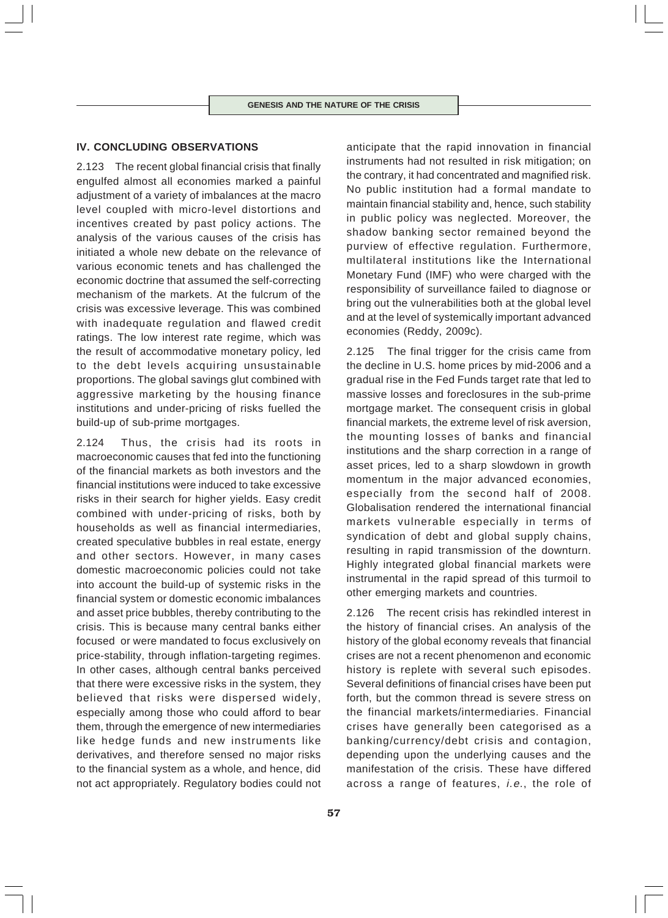# **IV. CONCLUDING OBSERVATIONS**

2.123 The recent global financial crisis that finally engulfed almost all economies marked a painful adjustment of a variety of imbalances at the macro level coupled with micro-level distortions and incentives created by past policy actions. The analysis of the various causes of the crisis has initiated a whole new debate on the relevance of various economic tenets and has challenged the economic doctrine that assumed the self-correcting mechanism of the markets. At the fulcrum of the crisis was excessive leverage. This was combined with inadequate regulation and flawed credit ratings. The low interest rate regime, which was the result of accommodative monetary policy, led to the debt levels acquiring unsustainable proportions. The global savings glut combined with aggressive marketing by the housing finance institutions and under-pricing of risks fuelled the build-up of sub-prime mortgages.

2.124 Thus, the crisis had its roots in macroeconomic causes that fed into the functioning of the financial markets as both investors and the financial institutions were induced to take excessive risks in their search for higher yields. Easy credit combined with under-pricing of risks, both by households as well as financial intermediaries, created speculative bubbles in real estate, energy and other sectors. However, in many cases domestic macroeconomic policies could not take into account the build-up of systemic risks in the financial system or domestic economic imbalances and asset price bubbles, thereby contributing to the crisis. This is because many central banks either focused or were mandated to focus exclusively on price-stability, through inflation-targeting regimes. In other cases, although central banks perceived that there were excessive risks in the system, they believed that risks were dispersed widely, especially among those who could afford to bear them, through the emergence of new intermediaries like hedge funds and new instruments like derivatives, and therefore sensed no major risks to the financial system as a whole, and hence, did not act appropriately. Regulatory bodies could not

anticipate that the rapid innovation in financial instruments had not resulted in risk mitigation; on the contrary, it had concentrated and magnified risk. No public institution had a formal mandate to maintain financial stability and, hence, such stability in public policy was neglected. Moreover, the shadow banking sector remained beyond the purview of effective regulation. Furthermore, multilateral institutions like the International Monetary Fund (IMF) who were charged with the responsibility of surveillance failed to diagnose or bring out the vulnerabilities both at the global level and at the level of systemically important advanced economies (Reddy, 2009c).

2.125 The final trigger for the crisis came from the decline in U.S. home prices by mid-2006 and a gradual rise in the Fed Funds target rate that led to massive losses and foreclosures in the sub-prime mortgage market. The consequent crisis in global financial markets, the extreme level of risk aversion, the mounting losses of banks and financial institutions and the sharp correction in a range of asset prices, led to a sharp slowdown in growth momentum in the major advanced economies, especially from the second half of 2008. Globalisation rendered the international financial markets vulnerable especially in terms of syndication of debt and global supply chains, resulting in rapid transmission of the downturn. Highly integrated global financial markets were instrumental in the rapid spread of this turmoil to other emerging markets and countries.

2.126 The recent crisis has rekindled interest in the history of financial crises. An analysis of the history of the global economy reveals that financial crises are not a recent phenomenon and economic history is replete with several such episodes. Several definitions of financial crises have been put forth, but the common thread is severe stress on the financial markets/intermediaries. Financial crises have generally been categorised as a banking/currency/debt crisis and contagion, depending upon the underlying causes and the manifestation of the crisis. These have differed across a range of features, i.e., the role of